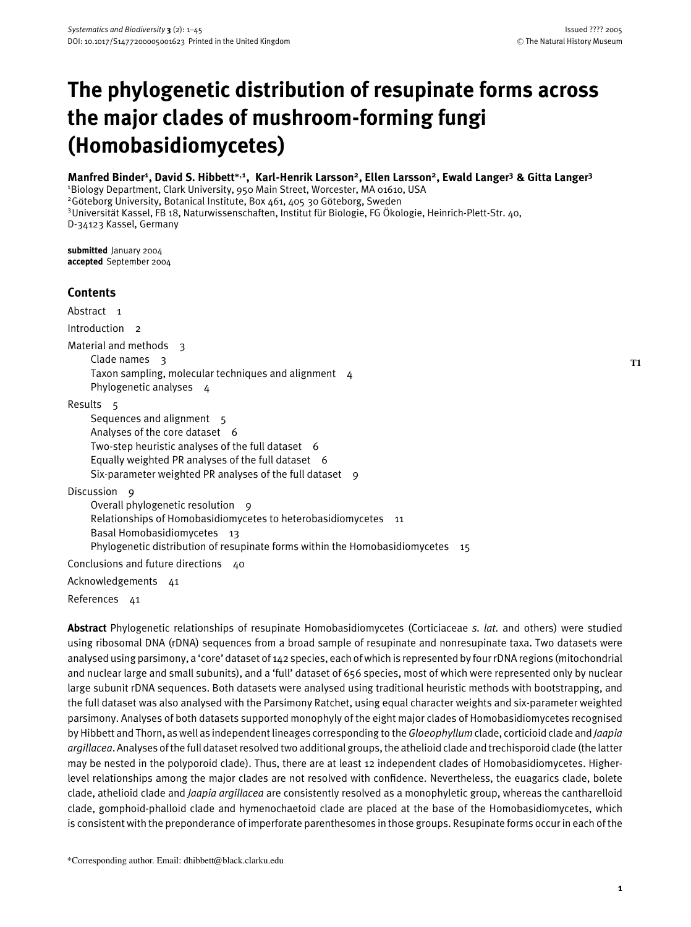# **The phylogenetic distribution of resupinate forms across the major clades of mushroom-forming fungi (Homobasidiomycetes)**

#### **Manfred Binder<sup>1</sup> , David S. Hibbett∗***,***<sup>1</sup> , Karl-Henrik Larsson2, Ellen Larsson2, Ewald Langer3 & Gitta Langer<sup>3</sup>**

1 Biology Department, Clark University, 950 Main Street, Worcester, MA 01610, USA <sup>2</sup>Göteborg University, Botanical Institute, Box 461, 405 30 Göteborg, Sweden 3Universität Kassel, FB 18, Naturwissenschaften, Institut für Biologie, FG Ökologie, Heinrich-Plett-Str. 40, D-34123 Kassel, Germany

**submitted** January 2004 **accepted** September 2004

#### **Contents**

Abstract<sub>1</sub> Introduction<sub>2</sub> Material and methods 3 Clade names 3 Taxon sampling, molecular techniques and alignment 4 Phylogenetic analyses 4 Results 5 Sequences and alignment  $5$ Analyses of the core dataset 6 Two-step heuristic analyses of the full dataset 6 Equally weighted PR analyses of the full dataset 6 Six-parameter weighted PR analyses of the full dataset 9 Discussion 9 Overall phylogenetic resolution 9 Relationships of Homobasidiomycetes to heterobasidiomycetes 11 Basal Homobasidiomycetes 13

Phylogenetic distribution of resupinate forms within the Homobasidiomycetes 15

Conclusions and future directions 40

Acknowledgements 41

References 41

**Abstract** Phylogenetic relationships of resupinate Homobasidiomycetes (Corticiaceae *s. lat.* and others) were studied using ribosomal DNA (rDNA) sequences from a broad sample of resupinate and nonresupinate taxa. Two datasets were analysed using parsimony, a 'core' dataset of 142 species, each of which is represented by four rDNA regions (mitochondrial and nuclear large and small subunits), and a 'full' dataset of 656 species, most of which were represented only by nuclear large subunit rDNA sequences. Both datasets were analysed using traditional heuristic methods with bootstrapping, and the full dataset was also analysed with the Parsimony Ratchet, using equal character weights and six-parameter weighted parsimony. Analyses of both datasets supported monophyly of the eight major clades of Homobasidiomycetes recognised by Hibbett and Thorn, as well as independent lineages corresponding to the *Gloeophyllum* clade, corticioid clade and *Jaapia argillacea*. Analyses of thefull dataset resolved two additional groups, the athelioid clade and trechisporoid clade (the latter may be nested in the polyporoid clade). Thus, there are at least 12 independent clades of Homobasidiomycetes. Higherlevel relationships among the major clades are not resolved with confidence. Nevertheless, the euagarics clade, bolete clade, athelioid clade and *Jaapia argillacea* are consistently resolved as a monophyletic group, whereas the cantharelloid clade, gomphoid-phalloid clade and hymenochaetoid clade are placed at the base of the Homobasidiomycetes, which is consistent with the preponderance of imperforate parenthesomes in those groups. Resupinate forms occur in each of the

**T1**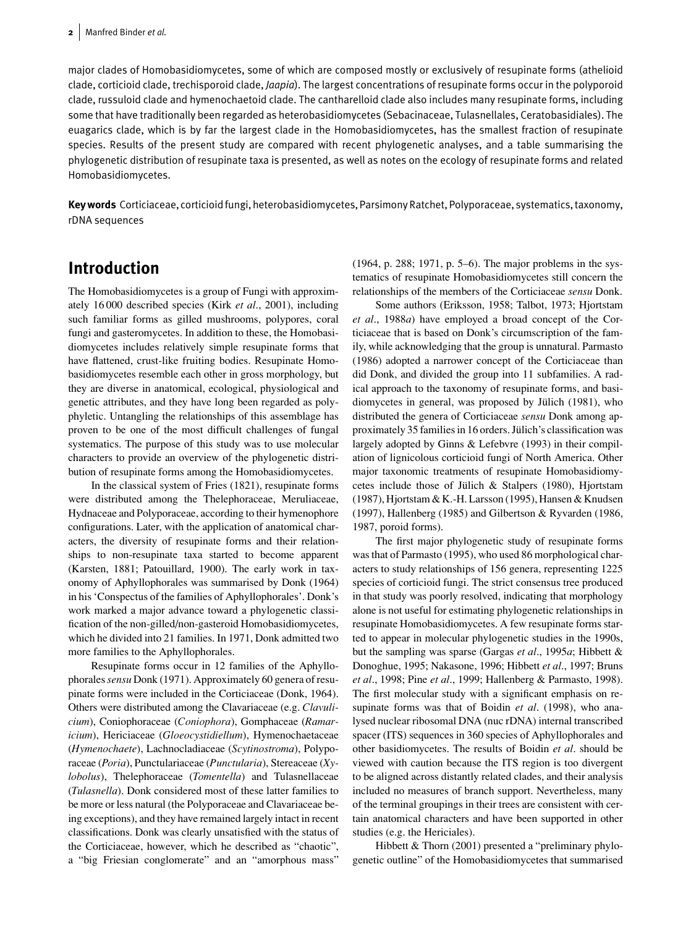major clades of Homobasidiomycetes, some of which are composed mostly or exclusively of resupinate forms (athelioid clade, corticioid clade, trechisporoid clade, *Jaapia*). The largest concentrations of resupinate forms occur in the polyporoid clade, russuloid clade and hymenochaetoid clade. The cantharelloid clade also includes many resupinate forms, including some that have traditionally been regarded as heterobasidiomycetes (Sebacinaceae, Tulasnellales, Ceratobasidiales). The euagarics clade, which is by far the largest clade in the Homobasidiomycetes, has the smallest fraction of resupinate species. Results of the present study are compared with recent phylogenetic analyses, and a table summarising the phylogenetic distribution of resupinate taxa is presented, as well as notes on the ecology of resupinate forms and related Homobasidiomycetes.

**Key words** Corticiaceae, corticioidfungi, heterobasidiomycetes, Parsimony Ratchet, Polyporaceae, systematics, taxonomy, rDNA sequences

# **Introduction**

The Homobasidiomycetes is a group of Fungi with approximately 16 000 described species (Kirk *et al*., 2001), including such familiar forms as gilled mushrooms, polypores, coral fungi and gasteromycetes. In addition to these, the Homobasidiomycetes includes relatively simple resupinate forms that have flattened, crust-like fruiting bodies. Resupinate Homobasidiomycetes resemble each other in gross morphology, but they are diverse in anatomical, ecological, physiological and genetic attributes, and they have long been regarded as polyphyletic. Untangling the relationships of this assemblage has proven to be one of the most difficult challenges of fungal systematics. The purpose of this study was to use molecular characters to provide an overview of the phylogenetic distribution of resupinate forms among the Homobasidiomycetes.

In the classical system of Fries (1821), resupinate forms were distributed among the Thelephoraceae, Meruliaceae, Hydnaceae and Polyporaceae, according to their hymenophore configurations. Later, with the application of anatomical characters, the diversity of resupinate forms and their relationships to non-resupinate taxa started to become apparent (Karsten, 1881; Patouillard, 1900). The early work in taxonomy of Aphyllophorales was summarised by Donk (1964) in his 'Conspectus of the families of Aphyllophorales'. Donk's work marked a major advance toward a phylogenetic classification of the non-gilled/non-gasteroid Homobasidiomycetes, which he divided into 21 families. In 1971, Donk admitted two more families to the Aphyllophorales.

Resupinate forms occur in 12 families of the Aphyllophorales*sensu* Donk (1971). Approximately 60 genera of resupinate forms were included in the Corticiaceae (Donk, 1964). Others were distributed among the Clavariaceae (e.g. *Clavulicium*), Coniophoraceae (*Coniophora*), Gomphaceae (*Ramaricium*), Hericiaceae (*Gloeocystidiellum*), Hymenochaetaceae (*Hymenochaete*), Lachnocladiaceae (*Scytinostroma*), Polyporaceae (*Poria*), Punctulariaceae (*Punctularia*), Stereaceae (*Xylobolus*), Thelephoraceae (*Tomentella*) and Tulasnellaceae (*Tulasnella*). Donk considered most of these latter families to be more or less natural (the Polyporaceae and Clavariaceae being exceptions), and they have remained largely intact in recent classifications. Donk was clearly unsatisfied with the status of the Corticiaceae, however, which he described as "chaotic", a "big Friesian conglomerate" and an "amorphous mass"

(1964, p. 288; 1971, p. 5–6). The major problems in the systematics of resupinate Homobasidiomycetes still concern the relationships of the members of the Corticiaceae *sensu* Donk.

Some authors (Eriksson, 1958; Talbot, 1973; Hjortstam *et al*., 1988*a*) have employed a broad concept of the Corticiaceae that is based on Donk's circumscription of the family, while acknowledging that the group is unnatural. Parmasto (1986) adopted a narrower concept of the Corticiaceae than did Donk, and divided the group into 11 subfamilies. A radical approach to the taxonomy of resupinate forms, and basidiomycetes in general, was proposed by Jülich (1981), who distributed the genera of Corticiaceae *sensu* Donk among approximately 35 families in 16 orders. Jülich's classification was largely adopted by Ginns & Lefebvre (1993) in their compilation of lignicolous corticioid fungi of North America. Other major taxonomic treatments of resupinate Homobasidiomycetes include those of Jülich & Stalpers (1980), Hjortstam (1987), Hjortstam & K.-H. Larsson (1995), Hansen & Knudsen (1997), Hallenberg (1985) and Gilbertson & Ryvarden (1986, 1987, poroid forms).

The first major phylogenetic study of resupinate forms was that of Parmasto (1995), who used 86 morphological characters to study relationships of 156 genera, representing 1225 species of corticioid fungi. The strict consensus tree produced in that study was poorly resolved, indicating that morphology alone is not useful for estimating phylogenetic relationships in resupinate Homobasidiomycetes. A few resupinate forms started to appear in molecular phylogenetic studies in the 1990s, but the sampling was sparse (Gargas *et al*., 1995*a*; Hibbett & Donoghue, 1995; Nakasone, 1996; Hibbett *et al*., 1997; Bruns *et al*., 1998; Pine *et al*., 1999; Hallenberg & Parmasto, 1998). The first molecular study with a significant emphasis on resupinate forms was that of Boidin *et al*. (1998), who analysed nuclear ribosomal DNA (nuc rDNA) internal transcribed spacer (ITS) sequences in 360 species of Aphyllophorales and other basidiomycetes. The results of Boidin *et al*. should be viewed with caution because the ITS region is too divergent to be aligned across distantly related clades, and their analysis included no measures of branch support. Nevertheless, many of the terminal groupings in their trees are consistent with certain anatomical characters and have been supported in other studies (e.g. the Hericiales).

Hibbett & Thorn (2001) presented a "preliminary phylogenetic outline" of the Homobasidiomycetes that summarised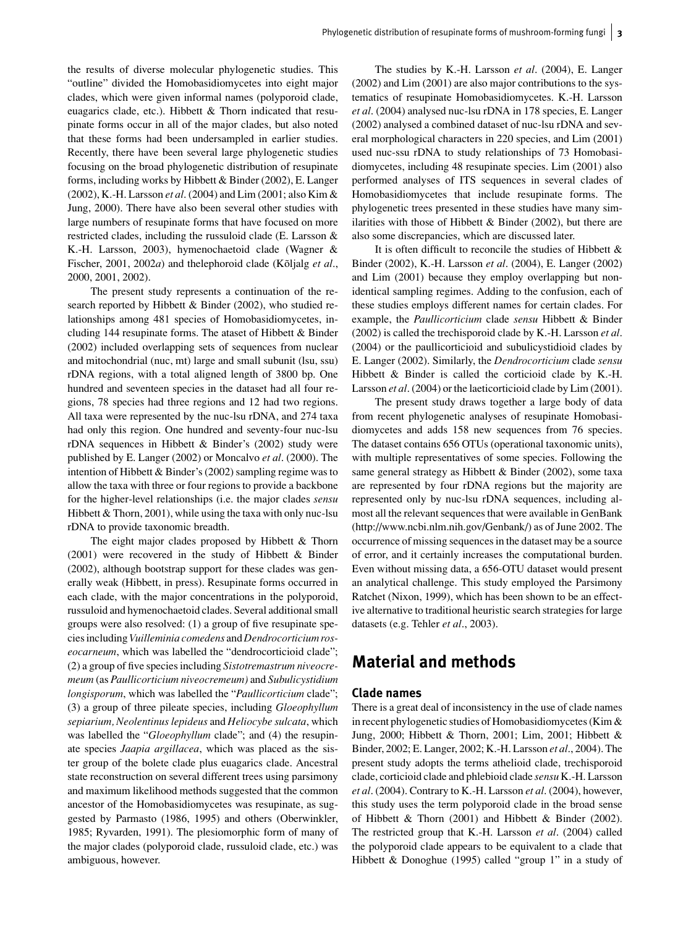the results of diverse molecular phylogenetic studies. This "outline" divided the Homobasidiomycetes into eight major clades, which were given informal names (polyporoid clade, euagarics clade, etc.). Hibbett & Thorn indicated that resupinate forms occur in all of the major clades, but also noted that these forms had been undersampled in earlier studies. Recently, there have been several large phylogenetic studies focusing on the broad phylogenetic distribution of resupinate forms, including works by Hibbett & Binder (2002), E. Langer (2002), K.-H. Larsson *et al*. (2004) and Lim (2001; also Kim & Jung, 2000). There have also been several other studies with large numbers of resupinate forms that have focused on more restricted clades, including the russuloid clade (E. Larsson & K.-H. Larsson, 2003), hymenochaetoid clade (Wagner & Fischer, 2001, 2002a) and thelephoroid clade (Kõljalg et al., 2000, 2001, 2002).

The present study represents a continuation of the research reported by Hibbett & Binder (2002), who studied relationships among 481 species of Homobasidiomycetes, including 144 resupinate forms. The ataset of Hibbett & Binder (2002) included overlapping sets of sequences from nuclear and mitochondrial (nuc, mt) large and small subunit (lsu, ssu) rDNA regions, with a total aligned length of 3800 bp. One hundred and seventeen species in the dataset had all four regions, 78 species had three regions and 12 had two regions. All taxa were represented by the nuc-lsu rDNA, and 274 taxa had only this region. One hundred and seventy-four nuc-lsu rDNA sequences in Hibbett & Binder's (2002) study were published by E. Langer (2002) or Moncalvo *et al*. (2000). The intention of Hibbett & Binder's (2002) sampling regime was to allow the taxa with three or four regions to provide a backbone for the higher-level relationships (i.e. the major clades *sensu* Hibbett  $&$  Thorn, 2001), while using the taxa with only nuc-lsu rDNA to provide taxonomic breadth.

The eight major clades proposed by Hibbett & Thorn (2001) were recovered in the study of Hibbett & Binder (2002), although bootstrap support for these clades was generally weak (Hibbett, in press). Resupinate forms occurred in each clade, with the major concentrations in the polyporoid, russuloid and hymenochaetoid clades. Several additional small groups were also resolved: (1) a group of five resupinate species including*Vuilleminia comedens* and *Dendrocorticium roseocarneum*, which was labelled the "dendrocorticioid clade"; (2) a group of five species including *Sistotremastrum niveocremeum* (as *Paullicorticium niveocremeum)* and *Subulicystidium longisporum*, which was labelled the "*Paullicorticium* clade"; (3) a group of three pileate species, including *Gloeophyllum sepiarium, Neolentinus lepideus* and *Heliocybe sulcata*, which was labelled the "*Gloeophyllum* clade"; and (4) the resupinate species *Jaapia argillacea*, which was placed as the sister group of the bolete clade plus euagarics clade. Ancestral state reconstruction on several different trees using parsimony and maximum likelihood methods suggested that the common ancestor of the Homobasidiomycetes was resupinate, as suggested by Parmasto (1986, 1995) and others (Oberwinkler, 1985; Ryvarden, 1991). The plesiomorphic form of many of the major clades (polyporoid clade, russuloid clade, etc.) was ambiguous, however.

The studies by K.-H. Larsson *et al*. (2004), E. Langer (2002) and Lim (2001) are also major contributions to the systematics of resupinate Homobasidiomycetes. K.-H. Larsson *et al*. (2004) analysed nuc-lsu rDNA in 178 species, E. Langer (2002) analysed a combined dataset of nuc-lsu rDNA and several morphological characters in 220 species, and Lim (2001) used nuc-ssu rDNA to study relationships of 73 Homobasidiomycetes, including 48 resupinate species. Lim (2001) also performed analyses of ITS sequences in several clades of Homobasidiomycetes that include resupinate forms. The phylogenetic trees presented in these studies have many similarities with those of Hibbett  $\&$  Binder (2002), but there are also some discrepancies, which are discussed later.

It is often difficult to reconcile the studies of Hibbett & Binder (2002), K.-H. Larsson *et al*. (2004), E. Langer (2002) and Lim (2001) because they employ overlapping but nonidentical sampling regimes. Adding to the confusion, each of these studies employs different names for certain clades. For example, the *Paullicorticium* clade *sensu* Hibbett & Binder (2002) is called the trechisporoid clade by K.-H. Larsson *et al*. (2004) or the paullicorticioid and subulicystidioid clades by E. Langer (2002). Similarly, the *Dendrocorticium* clade *sensu* Hibbett & Binder is called the corticioid clade by K.-H. Larsson *et al*. (2004) or the laeticorticioid clade by Lim (2001).

The present study draws together a large body of data from recent phylogenetic analyses of resupinate Homobasidiomycetes and adds 158 new sequences from 76 species. The dataset contains 656 OTUs (operational taxonomic units), with multiple representatives of some species. Following the same general strategy as Hibbett & Binder (2002), some taxa are represented by four rDNA regions but the majority are represented only by nuc-lsu rDNA sequences, including almost all the relevant sequences that were available in GenBank (http://www.ncbi.nlm.nih.gov/Genbank/) as of June 2002. The occurrence of missing sequences in the dataset may be a source of error, and it certainly increases the computational burden. Even without missing data, a 656-OTU dataset would present an analytical challenge. This study employed the Parsimony Ratchet (Nixon, 1999), which has been shown to be an effective alternative to traditional heuristic search strategies for large datasets (e.g. Tehler *et al*., 2003).

# **Material and methods**

#### **Clade names**

There is a great deal of inconsistency in the use of clade names in recent phylogenetic studies of Homobasidiomycetes (Kim & Jung, 2000; Hibbett & Thorn, 2001; Lim, 2001; Hibbett & Binder, 2002; E. Langer, 2002; K.-H. Larsson *et al*., 2004). The present study adopts the terms athelioid clade, trechisporoid clade, corticioid clade and phlebioid clade *sensu* K.-H. Larsson *et al*. (2004). Contrary to K.-H. Larsson *et al*. (2004), however, this study uses the term polyporoid clade in the broad sense of Hibbett & Thorn (2001) and Hibbett & Binder (2002). The restricted group that K.-H. Larsson *et al*. (2004) called the polyporoid clade appears to be equivalent to a clade that Hibbett & Donoghue (1995) called "group 1" in a study of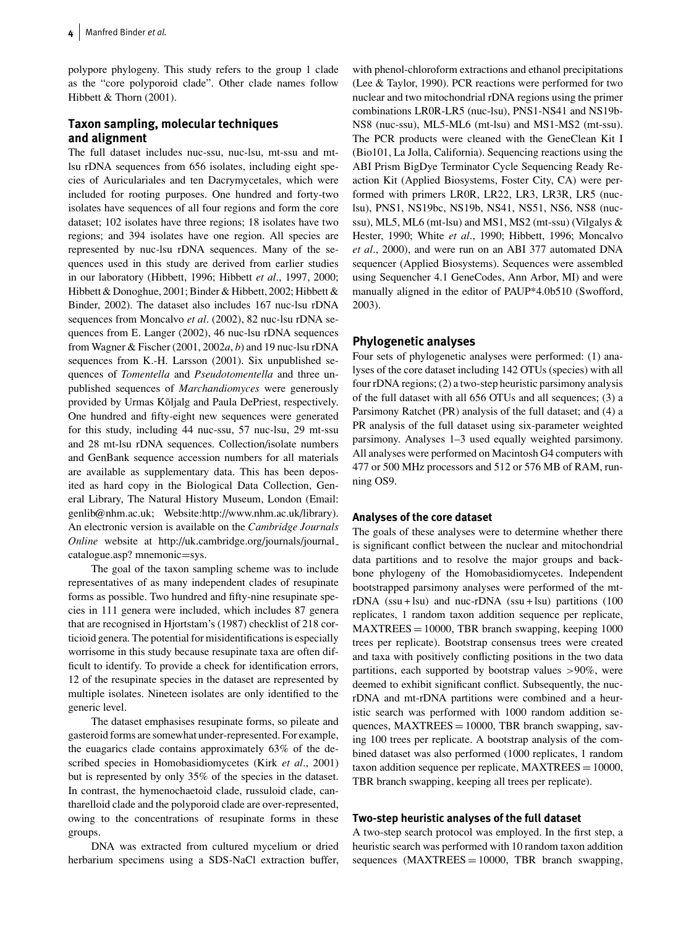polypore phylogeny. This study refers to the group 1 clade as the "core polyporoid clade". Other clade names follow Hibbett & Thorn (2001).

#### **Taxon sampling, molecular techniques and alignment**

The full dataset includes nuc-ssu, nuc-lsu, mt-ssu and mtlsu rDNA sequences from 656 isolates, including eight species of Auriculariales and ten Dacrymycetales, which were included for rooting purposes. One hundred and forty-two isolates have sequences of all four regions and form the core dataset; 102 isolates have three regions; 18 isolates have two regions; and 394 isolates have one region. All species are represented by nuc-lsu rDNA sequences. Many of the sequences used in this study are derived from earlier studies in our laboratory (Hibbett, 1996; Hibbett *et al*., 1997, 2000; Hibbett & Donoghue, 2001; Binder & Hibbett, 2002; Hibbett & Binder, 2002). The dataset also includes 167 nuc-lsu rDNA sequences from Moncalvo *et al*. (2002), 82 nuc-lsu rDNA sequences from E. Langer (2002), 46 nuc-lsu rDNA sequences from Wagner & Fischer (2001, 2002*a*, *b*) and 19 nuc-lsu rDNA sequences from K.-H. Larsson (2001). Six unpublished sequences of *Tomentella* and *Pseudotomentella* and three unpublished sequences of *Marchandiomyces* were generously provided by Urmas Kõljalg and Paula DePriest, respectively. One hundred and fifty-eight new sequences were generated for this study, including 44 nuc-ssu, 57 nuc-lsu, 29 mt-ssu and 28 mt-lsu rDNA sequences. Collection/isolate numbers and GenBank sequence accession numbers for all materials are available as supplementary data. This has been deposited as hard copy in the Biological Data Collection, General Library, The Natural History Museum, London (Email: genlib@nhm.ac.uk; Website:http://www.nhm.ac.uk/library). An electronic version is available on the *Cambridge Journals Online* website at http://uk.cambridge.org/journals/journal\_ catalogue.asp? mnemonic=sys.

The goal of the taxon sampling scheme was to include representatives of as many independent clades of resupinate forms as possible. Two hundred and fifty-nine resupinate species in 111 genera were included, which includes 87 genera that are recognised in Hjortstam's (1987) checklist of 218 corticioid genera. The potential for misidentifications is especially worrisome in this study because resupinate taxa are often difficult to identify. To provide a check for identification errors, 12 of the resupinate species in the dataset are represented by multiple isolates. Nineteen isolates are only identified to the generic level.

The dataset emphasises resupinate forms, so pileate and gasteroid forms are somewhat under-represented. For example, the euagarics clade contains approximately 63% of the described species in Homobasidiomycetes (Kirk *et al*., 2001) but is represented by only 35% of the species in the dataset. In contrast, the hymenochaetoid clade, russuloid clade, cantharelloid clade and the polyporoid clade are over-represented, owing to the concentrations of resupinate forms in these groups.

DNA was extracted from cultured mycelium or dried herbarium specimens using a SDS-NaCl extraction buffer,

with phenol-chloroform extractions and ethanol precipitations (Lee & Taylor, 1990). PCR reactions were performed for two nuclear and two mitochondrial rDNA regions using the primer combinations LR0R-LR5 (nuc-lsu), PNS1-NS41 and NS19b-NS8 (nuc-ssu), ML5-ML6 (mt-lsu) and MS1-MS2 (mt-ssu). The PCR products were cleaned with the GeneClean Kit I (Bio101, La Jolla, California). Sequencing reactions using the ABI Prism BigDye Terminator Cycle Sequencing Ready Reaction Kit (Applied Biosystems, Foster City, CA) were performed with primers LR0R, LR22, LR3, LR3R, LR5 (nuclsu), PNS1, NS19bc, NS19b, NS41, NS51, NS6, NS8 (nucssu), ML5, ML6 (mt-lsu) and MS1, MS2 (mt-ssu) (Vilgalys & Hester, 1990; White *et al*., 1990; Hibbett, 1996; Moncalvo *et al*., 2000), and were run on an ABI 377 automated DNA sequencer (Applied Biosystems). Sequences were assembled using Sequencher 4.1 GeneCodes, Ann Arbor, MI) and were manually aligned in the editor of PAUP\*4.0b510 (Swofford, 2003).

#### **Phylogenetic analyses**

Four sets of phylogenetic analyses were performed: (1) analyses of the core dataset including 142 OTUs (species) with all four rDNA regions; (2) a two-step heuristic parsimony analysis of the full dataset with all 656 OTUs and all sequences; (3) a Parsimony Ratchet (PR) analysis of the full dataset; and (4) a PR analysis of the full dataset using six-parameter weighted parsimony. Analyses 1–3 used equally weighted parsimony. All analyses were performed on Macintosh G4 computers with 477 or 500 MHz processors and 512 or 576 MB of RAM, running OS9.

#### **Analyses of the core dataset**

The goals of these analyses were to determine whether there is significant conflict between the nuclear and mitochondrial data partitions and to resolve the major groups and backbone phylogeny of the Homobasidiomycetes. Independent bootstrapped parsimony analyses were performed of the mtrDNA  $(ssu + lsu)$  and nuc-rDNA  $(ssu + lsu)$  partitions (100 replicates, 1 random taxon addition sequence per replicate,  $MAXTREES = 10000$ , TBR branch swapping, keeping 1000 trees per replicate). Bootstrap consensus trees were created and taxa with positively conflicting positions in the two data partitions, each supported by bootstrap values *>*90%, were deemed to exhibit significant conflict. Subsequently, the nucrDNA and mt-rDNA partitions were combined and a heuristic search was performed with 1000 random addition sequences,  $MAXTREES = 10000$ , TBR branch swapping, saving 100 trees per replicate. A bootstrap analysis of the combined dataset was also performed (1000 replicates, 1 random taxon addition sequence per replicate, MAXTREES = 10000, TBR branch swapping, keeping all trees per replicate).

#### **Two-step heuristic analyses of the full dataset**

A two-step search protocol was employed. In the first step, a heuristic search was performed with 10 random taxon addition sequences  $(MAXTREES = 10000, TBR branch swapping,$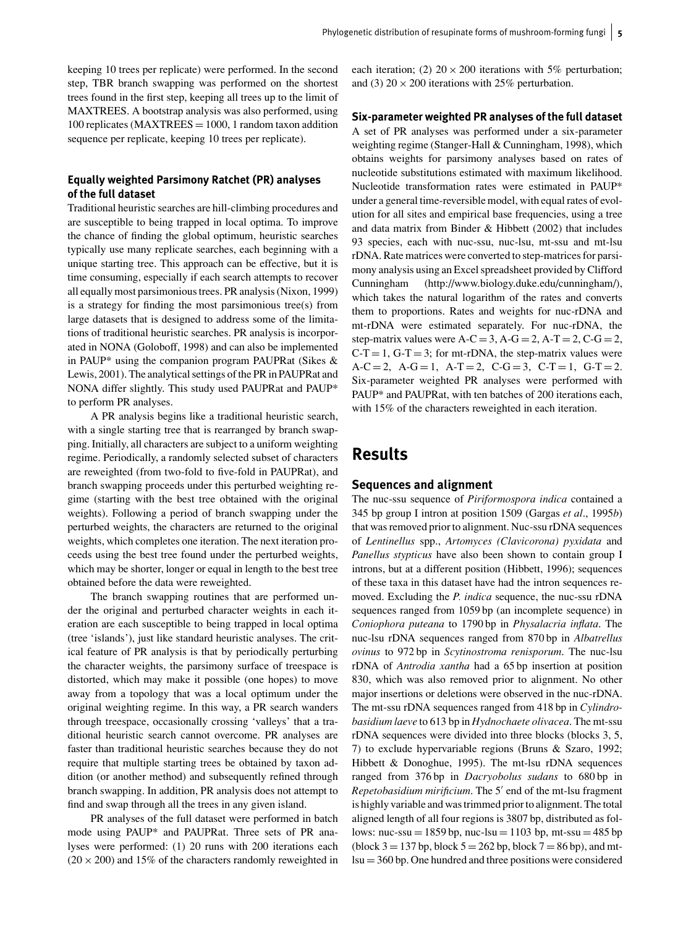keeping 10 trees per replicate) were performed. In the second step, TBR branch swapping was performed on the shortest trees found in the first step, keeping all trees up to the limit of MAXTREES. A bootstrap analysis was also performed, using 100 replicates (MAXTREES  $= 1000$ , 1 random taxon addition sequence per replicate, keeping 10 trees per replicate).

#### **Equally weighted Parsimony Ratchet (PR) analyses of the full dataset**

Traditional heuristic searches are hill-climbing procedures and are susceptible to being trapped in local optima. To improve the chance of finding the global optimum, heuristic searches typically use many replicate searches, each beginning with a unique starting tree. This approach can be effective, but it is time consuming, especially if each search attempts to recover all equally most parsimonious trees. PR analysis (Nixon, 1999) is a strategy for finding the most parsimonious tree(s) from large datasets that is designed to address some of the limitations of traditional heuristic searches. PR analysis is incorporated in NONA (Goloboff, 1998) and can also be implemented in PAUP\* using the companion program PAUPRat (Sikes & Lewis, 2001). The analytical settings of the PR in PAUPRat and NONA differ slightly. This study used PAUPRat and PAUP\* to perform PR analyses.

A PR analysis begins like a traditional heuristic search, with a single starting tree that is rearranged by branch swapping. Initially, all characters are subject to a uniform weighting regime. Periodically, a randomly selected subset of characters are reweighted (from two-fold to five-fold in PAUPRat), and branch swapping proceeds under this perturbed weighting regime (starting with the best tree obtained with the original weights). Following a period of branch swapping under the perturbed weights, the characters are returned to the original weights, which completes one iteration. The next iteration proceeds using the best tree found under the perturbed weights, which may be shorter, longer or equal in length to the best tree obtained before the data were reweighted.

The branch swapping routines that are performed under the original and perturbed character weights in each iteration are each susceptible to being trapped in local optima (tree 'islands'), just like standard heuristic analyses. The critical feature of PR analysis is that by periodically perturbing the character weights, the parsimony surface of treespace is distorted, which may make it possible (one hopes) to move away from a topology that was a local optimum under the original weighting regime. In this way, a PR search wanders through treespace, occasionally crossing 'valleys' that a traditional heuristic search cannot overcome. PR analyses are faster than traditional heuristic searches because they do not require that multiple starting trees be obtained by taxon addition (or another method) and subsequently refined through branch swapping. In addition, PR analysis does not attempt to find and swap through all the trees in any given island.

PR analyses of the full dataset were performed in batch mode using PAUP\* and PAUPRat. Three sets of PR analyses were performed: (1) 20 runs with 200 iterations each  $(20 \times 200)$  and 15% of the characters randomly reweighted in each iteration; (2)  $20 \times 200$  iterations with 5% perturbation; and (3)  $20 \times 200$  iterations with 25% perturbation.

#### **Six-parameter weighted PR analyses of the full dataset**

A set of PR analyses was performed under a six-parameter weighting regime (Stanger-Hall & Cunningham, 1998), which obtains weights for parsimony analyses based on rates of nucleotide substitutions estimated with maximum likelihood. Nucleotide transformation rates were estimated in PAUP\* under a general time-reversible model, with equal rates of evolution for all sites and empirical base frequencies, using a tree and data matrix from Binder & Hibbett (2002) that includes 93 species, each with nuc-ssu, nuc-lsu, mt-ssu and mt-lsu rDNA. Rate matrices were converted to step-matrices for parsimony analysis using an Excel spreadsheet provided by Clifford Cunningham (http://www.biology.duke.edu/cunningham/), which takes the natural logarithm of the rates and converts them to proportions. Rates and weights for nuc-rDNA and mt-rDNA were estimated separately. For nuc-rDNA, the step-matrix values were  $A-C = 3$ ,  $A-G = 2$ ,  $A-T = 2$ ,  $C-G = 2$ ,  $C-T = 1$ ,  $G-T = 3$ ; for mt-rDNA, the step-matrix values were  $A-C=2$ ,  $A-G=1$ ,  $A-T=2$ ,  $C-G=3$ ,  $C-T=1$ ,  $G-T=2$ . Six-parameter weighted PR analyses were performed with PAUP\* and PAUPRat, with ten batches of 200 iterations each, with 15% of the characters reweighted in each iteration.

# **Results**

#### **Sequences and alignment**

The nuc-ssu sequence of *Piriformospora indica* contained a 345 bp group I intron at position 1509 (Gargas *et al*., 1995*b*) that was removed prior to alignment. Nuc-ssu rDNA sequences of *Lentinellus* spp., *Artomyces (Clavicorona) pyxidata* and *Panellus stypticus* have also been shown to contain group I introns, but at a different position (Hibbett, 1996); sequences of these taxa in this dataset have had the intron sequences removed. Excluding the *P. indica* sequence, the nuc-ssu rDNA sequences ranged from 1059 bp (an incomplete sequence) in *Coniophora puteana* to 1790 bp in *Physalacria inflata*. The nuc-lsu rDNA sequences ranged from 870 bp in *Albatrellus ovinus* to 972 bp in *Scytinostroma renisporum*. The nuc-lsu rDNA of *Antrodia xantha* had a 65 bp insertion at position 830, which was also removed prior to alignment. No other major insertions or deletions were observed in the nuc-rDNA. The mt-ssu rDNA sequences ranged from 418 bp in *Cylindrobasidium laeve* to 613 bp in *Hydnochaete olivacea*. The mt-ssu rDNA sequences were divided into three blocks (blocks 3, 5, 7) to exclude hypervariable regions (Bruns & Szaro, 1992; Hibbett & Donoghue, 1995). The mt-lsu rDNA sequences ranged from 376 bp in *Dacryobolus sudans* to 680 bp in Repetobasidium mirificium. The 5' end of the mt-lsu fragment is highly variable and was trimmed prior to alignment. The total aligned length of all four regions is 3807 bp, distributed as follows: nuc-ssu = 1859 bp, nuc-lsu = 1103 bp, mt-ssu =  $485$  bp (block  $3 = 137$  bp, block  $5 = 262$  bp, block  $7 = 86$  bp), and mtlsu = 360 bp. One hundred and three positions were considered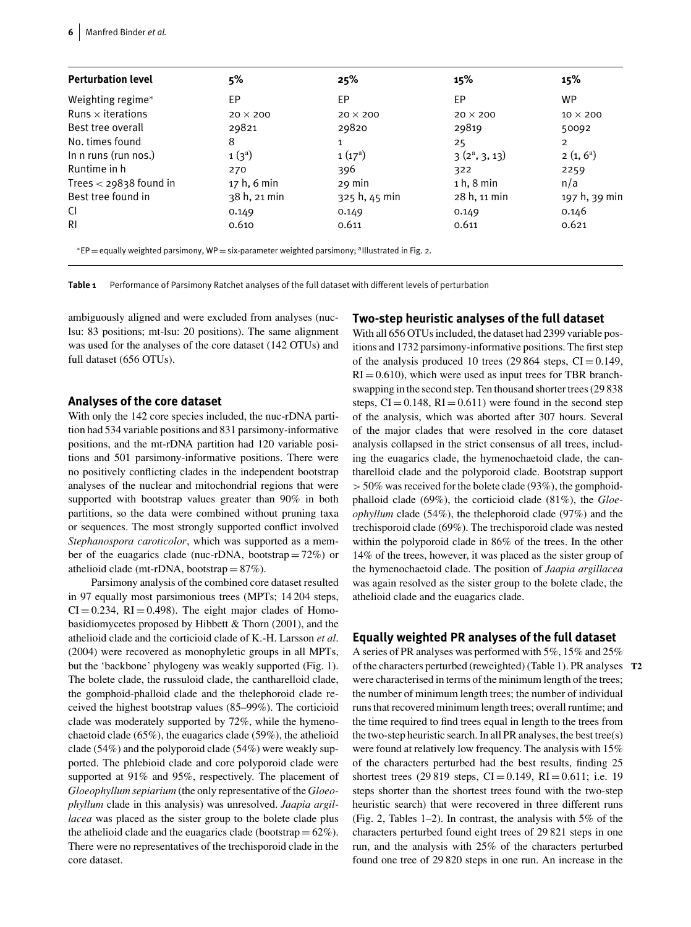| <b>Perturbation level</b> | 5%              | 25%             | 15%             | 15%             |
|---------------------------|-----------------|-----------------|-----------------|-----------------|
| Weighting regime*         | EP              | EP.             | EP              | <b>WP</b>       |
| Runs $\times$ iterations  | $20 \times 200$ | $20 \times 200$ | $20 \times 200$ | $10 \times 200$ |
| Best tree overall         | 29821           | 29820           | 29819           | 50092           |
| No. times found           | 8               | 1               | 25              | $\overline{2}$  |
| In n runs (run nos.)      | $1(3^a)$        | $1(17^a)$       | $3(2^a, 3, 13)$ | $2(1, 6^a)$     |
| Runtime in h              | 270             | 396             | 322             | 2259            |
| Trees $<$ 29838 found in  | 17 h, 6 min     | 29 min          | $1h$ , 8 min    | n/a             |
| Best tree found in        | 38 h, 21 min    | 325 h, 45 min   | 28 h, 11 min    | 197 h, 39 min   |
| CI                        | 0.149           | 0.149           | 0.149           | 0.146           |
| R1                        | 0.610           | 0.611           | 0.611           | 0.621           |
|                           |                 |                 |                 |                 |

 $*EP =$  equally weighted parsimony, WP = six-parameter weighted parsimony; <sup>a</sup>lllustrated in Fig. 2.

**Table 1** Performance of Parsimony Ratchet analyses of the full dataset with different levels of perturbation

ambiguously aligned and were excluded from analyses (nuclsu: 83 positions; mt-lsu: 20 positions). The same alignment was used for the analyses of the core dataset (142 OTUs) and full dataset (656 OTUs).

#### **Analyses of the core dataset**

With only the 142 core species included, the nuc-rDNA partition had 534 variable positions and 831 parsimony-informative positions, and the mt-rDNA partition had 120 variable positions and 501 parsimony-informative positions. There were no positively conflicting clades in the independent bootstrap analyses of the nuclear and mitochondrial regions that were supported with bootstrap values greater than 90% in both partitions, so the data were combined without pruning taxa or sequences. The most strongly supported conflict involved *Stephanospora caroticolor*, which was supported as a member of the euagarics clade (nuc-rDNA, bootstrap =  $72\%$ ) or athelioid clade (mt-rDNA, bootstrap  $= 87\%$ ).

Parsimony analysis of the combined core dataset resulted in 97 equally most parsimonious trees (MPTs; 14 204 steps,  $CI = 0.234$ ,  $RI = 0.498$ . The eight major clades of Homobasidiomycetes proposed by Hibbett & Thorn (2001), and the athelioid clade and the corticioid clade of K.-H. Larsson *et al*. (2004) were recovered as monophyletic groups in all MPTs, but the 'backbone' phylogeny was weakly supported (Fig. 1). The bolete clade, the russuloid clade, the cantharelloid clade, the gomphoid-phalloid clade and the thelephoroid clade received the highest bootstrap values (85–99%). The corticioid clade was moderately supported by 72%, while the hymenochaetoid clade (65%), the euagarics clade (59%), the athelioid clade (54%) and the polyporoid clade (54%) were weakly supported. The phlebioid clade and core polyporoid clade were supported at 91% and 95%, respectively. The placement of *Gloeophyllum sepiarium* (the only representative of the *Gloeophyllum* clade in this analysis) was unresolved. *Jaapia argillacea* was placed as the sister group to the bolete clade plus the athelioid clade and the euagarics clade (bootstrap  $= 62\%$ ). There were no representatives of the trechisporoid clade in the core dataset.

#### **Two-step heuristic analyses of the full dataset**

With all 656 OTUs included, the dataset had 2399 variable positions and 1732 parsimony-informative positions. The first step of the analysis produced 10 trees (29 864 steps,  $CI = 0.149$ ,  $RI = 0.610$ , which were used as input trees for TBR branchswapping in the second step. Ten thousand shorter trees (29 838 steps,  $CI = 0.148$ ,  $RI = 0.611$ ) were found in the second step of the analysis, which was aborted after 307 hours. Several of the major clades that were resolved in the core dataset analysis collapsed in the strict consensus of all trees, including the euagarics clade, the hymenochaetoid clade, the cantharelloid clade and the polyporoid clade. Bootstrap support *>* 50% was received for the bolete clade (93%), the gomphoidphalloid clade (69%), the corticioid clade (81%), the *Gloeophyllum* clade (54%), the thelephoroid clade (97%) and the trechisporoid clade (69%). The trechisporoid clade was nested within the polyporoid clade in 86% of the trees. In the other 14% of the trees, however, it was placed as the sister group of the hymenochaetoid clade. The position of *Jaapia argillacea* was again resolved as the sister group to the bolete clade, the athelioid clade and the euagarics clade.

#### **Equally weighted PR analyses of the full dataset**

A series of PR analyses was performed with 5%, 15% and 25% of the characters perturbed (reweighted) (Table 1). PR analyses **T2** were characterised in terms of the minimum length of the trees; the number of minimum length trees; the number of individual runs that recovered minimum length trees; overall runtime; and the time required to find trees equal in length to the trees from the two-step heuristic search. In all PR analyses, the best tree(s) were found at relatively low frequency. The analysis with 15% of the characters perturbed had the best results, finding 25 shortest trees (29 819 steps,  $CI = 0.149$ ,  $RI = 0.611$ ; i.e. 19 steps shorter than the shortest trees found with the two-step heuristic search) that were recovered in three different runs (Fig. 2, Tables 1–2). In contrast, the analysis with 5% of the characters perturbed found eight trees of 29 821 steps in one run, and the analysis with 25% of the characters perturbed found one tree of 29 820 steps in one run. An increase in the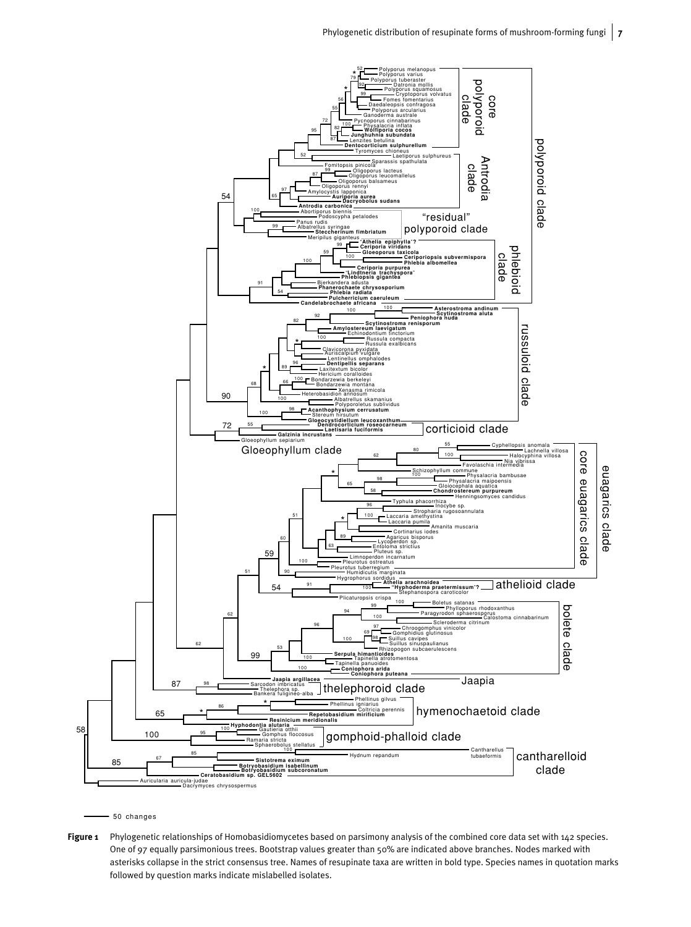

50 changes

**Figure 1** Phylogenetic relationships of Homobasidiomycetes based on parsimony analysis of the combined core data set with 142 species. One of 97 equally parsimonious trees. Bootstrap values greater than 50% are indicated above branches. Nodes marked with asterisks collapse in the strict consensus tree. Names of resupinate taxa are written in bold type. Species names in quotation marks followed by question marks indicate mislabelled isolates.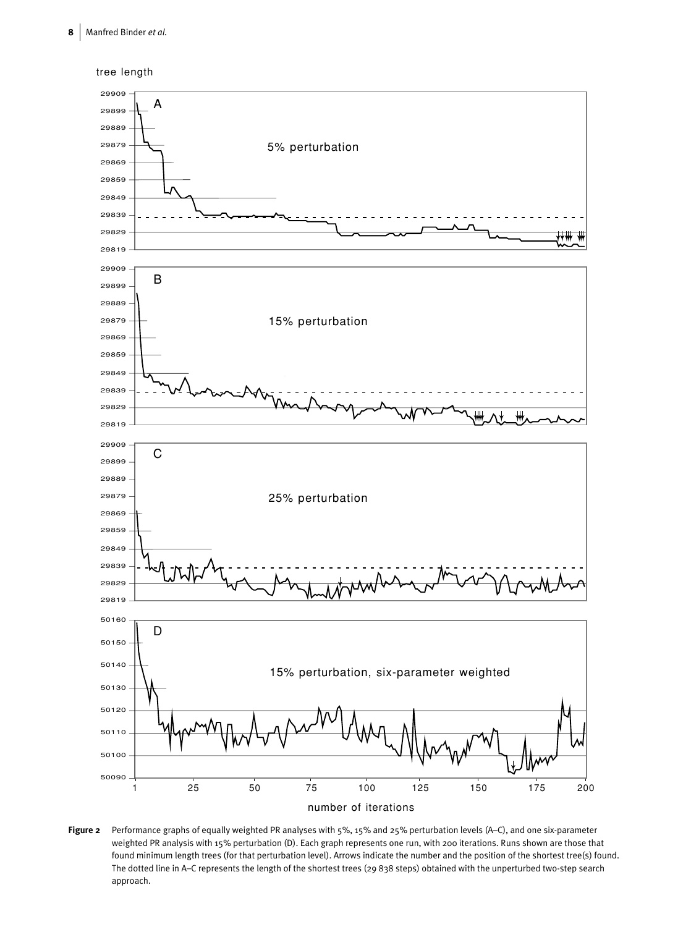

Figure 2 Performance graphs of equally weighted PR analyses with 5%, 15% and 25% perturbation levels (A–C), and one six-parameter weighted PR analysis with 15% perturbation (D). Each graph represents one run, with 200 iterations. Runs shown are those that found minimum length trees (for that perturbation level). Arrows indicate the number and the position of the shortest tree(s) found. The dotted line in A–C represents the length of the shortest trees (29 838 steps) obtained with the unperturbed two-step search approach.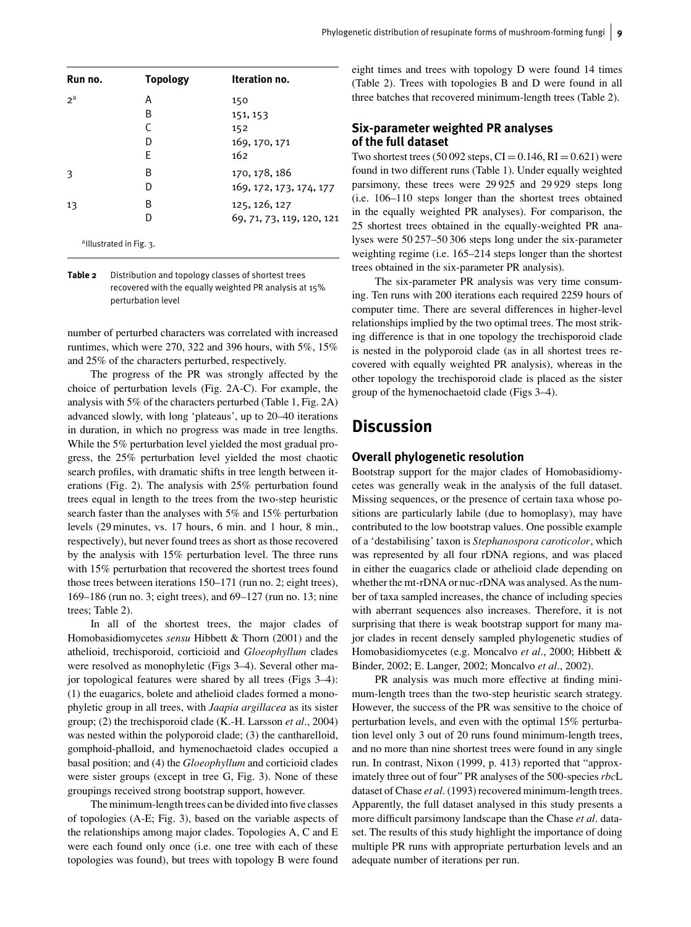| Run no.                             | <b>Topology</b> | Iteration no.             |
|-------------------------------------|-----------------|---------------------------|
| $2^a$                               | А               | 150                       |
|                                     | B               | 151, 153                  |
|                                     | $\mathsf{C}$    | 152                       |
|                                     | D               | 169, 170, 171             |
|                                     | Е               | 162                       |
| 3                                   | B               | 170, 178, 186             |
|                                     | D               | 169, 172, 173, 174, 177   |
| 13                                  | B               | 125, 126, 127             |
|                                     | D               | 69, 71, 73, 119, 120, 121 |
| <sup>a</sup> lllustrated in Fig. 3. |                 |                           |

**Table 2** Distribution and topology classes of shortest trees recovered with the equally weighted PR analysis at 15% perturbation level

number of perturbed characters was correlated with increased runtimes, which were 270, 322 and 396 hours, with 5%, 15% and 25% of the characters perturbed, respectively.

The progress of the PR was strongly affected by the choice of perturbation levels (Fig. 2A-C). For example, the analysis with 5% of the characters perturbed (Table 1, Fig. 2A) advanced slowly, with long 'plateaus', up to 20–40 iterations in duration, in which no progress was made in tree lengths. While the 5% perturbation level yielded the most gradual progress, the 25% perturbation level yielded the most chaotic search profiles, with dramatic shifts in tree length between iterations (Fig. 2). The analysis with 25% perturbation found trees equal in length to the trees from the two-step heuristic search faster than the analyses with 5% and 15% perturbation levels (29 minutes, vs. 17 hours, 6 min. and 1 hour, 8 min., respectively), but never found trees as short as those recovered by the analysis with 15% perturbation level. The three runs with 15% perturbation that recovered the shortest trees found those trees between iterations 150–171 (run no. 2; eight trees), 169–186 (run no. 3; eight trees), and 69–127 (run no. 13; nine trees; Table 2).

In all of the shortest trees, the major clades of Homobasidiomycetes *sensu* Hibbett & Thorn (2001) and the athelioid, trechisporoid, corticioid and *Gloeophyllum* clades were resolved as monophyletic (Figs 3–4). Several other major topological features were shared by all trees (Figs 3–4): (1) the euagarics, bolete and athelioid clades formed a monophyletic group in all trees, with *Jaapia argillacea* as its sister group; (2) the trechisporoid clade (K.-H. Larsson *et al*., 2004) was nested within the polyporoid clade; (3) the cantharelloid, gomphoid-phalloid, and hymenochaetoid clades occupied a basal position; and (4) the *Gloeophyllum* and corticioid clades were sister groups (except in tree G, Fig. 3). None of these groupings received strong bootstrap support, however.

The minimum-length trees can be divided into five classes of topologies (A-E; Fig. 3), based on the variable aspects of the relationships among major clades. Topologies A, C and E were each found only once (i.e. one tree with each of these topologies was found), but trees with topology B were found eight times and trees with topology D were found 14 times (Table 2). Trees with topologies B and D were found in all three batches that recovered minimum-length trees (Table 2).

#### **Six-parameter weighted PR analyses of the full dataset**

Two shortest trees (50 092 steps,  $CI = 0.146$ ,  $RI = 0.621$ ) were found in two different runs (Table 1). Under equally weighted parsimony, these trees were 29 925 and 29 929 steps long (i.e. 106–110 steps longer than the shortest trees obtained in the equally weighted PR analyses). For comparison, the 25 shortest trees obtained in the equally-weighted PR analyses were 50 257–50 306 steps long under the six-parameter weighting regime (i.e. 165–214 steps longer than the shortest trees obtained in the six-parameter PR analysis).

The six-parameter PR analysis was very time consuming. Ten runs with 200 iterations each required 2259 hours of computer time. There are several differences in higher-level relationships implied by the two optimal trees. The most striking difference is that in one topology the trechisporoid clade is nested in the polyporoid clade (as in all shortest trees recovered with equally weighted PR analysis), whereas in the other topology the trechisporoid clade is placed as the sister group of the hymenochaetoid clade (Figs 3–4).

## **Discussion**

#### **Overall phylogenetic resolution**

Bootstrap support for the major clades of Homobasidiomycetes was generally weak in the analysis of the full dataset. Missing sequences, or the presence of certain taxa whose positions are particularly labile (due to homoplasy), may have contributed to the low bootstrap values. One possible example of a 'destabilising' taxon is *Stephanospora caroticolor*, which was represented by all four rDNA regions, and was placed in either the euagarics clade or athelioid clade depending on whether the mt-rDNA or nuc-rDNA was analysed. As the number of taxa sampled increases, the chance of including species with aberrant sequences also increases. Therefore, it is not surprising that there is weak bootstrap support for many major clades in recent densely sampled phylogenetic studies of Homobasidiomycetes (e.g. Moncalvo *et al*., 2000; Hibbett & Binder, 2002; E. Langer, 2002; Moncalvo *et al*., 2002).

PR analysis was much more effective at finding minimum-length trees than the two-step heuristic search strategy. However, the success of the PR was sensitive to the choice of perturbation levels, and even with the optimal 15% perturbation level only 3 out of 20 runs found minimum-length trees, and no more than nine shortest trees were found in any single run. In contrast, Nixon (1999, p. 413) reported that "approximately three out of four" PR analyses of the 500-species *rbc*L dataset of Chase *et al*. (1993) recovered minimum-length trees. Apparently, the full dataset analysed in this study presents a more difficult parsimony landscape than the Chase *et al*. dataset. The results of this study highlight the importance of doing multiple PR runs with appropriate perturbation levels and an adequate number of iterations per run.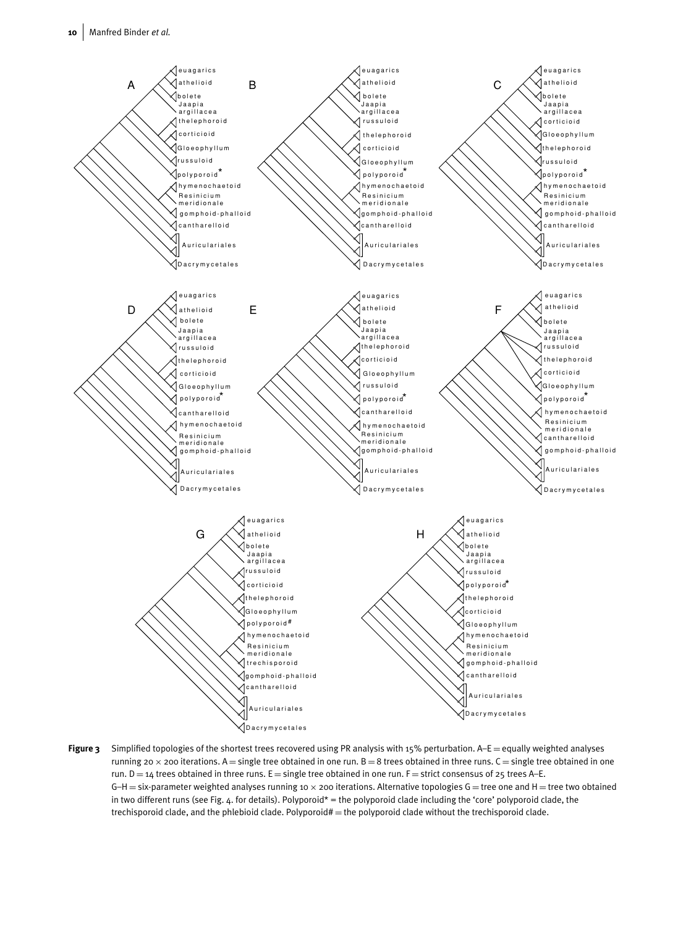

Figure 3 Simplified topologies of the shortest trees recovered using PR analysis with 15% perturbation. A–E = equally weighted analyses running 20  $\times$  200 iterations. A = single tree obtained in one run. B = 8 trees obtained in three runs. C = single tree obtained in one run. D = 14 trees obtained in three runs. E = single tree obtained in one run. F = strict consensus of 25 trees A–E. G-H = six-parameter weighted analyses running 10  $\times$  200 iterations. Alternative topologies G = tree one and H = tree two obtained in two different runs (see Fig. 4. for details). Polyporoid\* = the polyporoid clade including the 'core' polyporoid clade, the trechisporoid clade, and the phlebioid clade. Polyporoid $#$  = the polyporoid clade without the trechisporoid clade.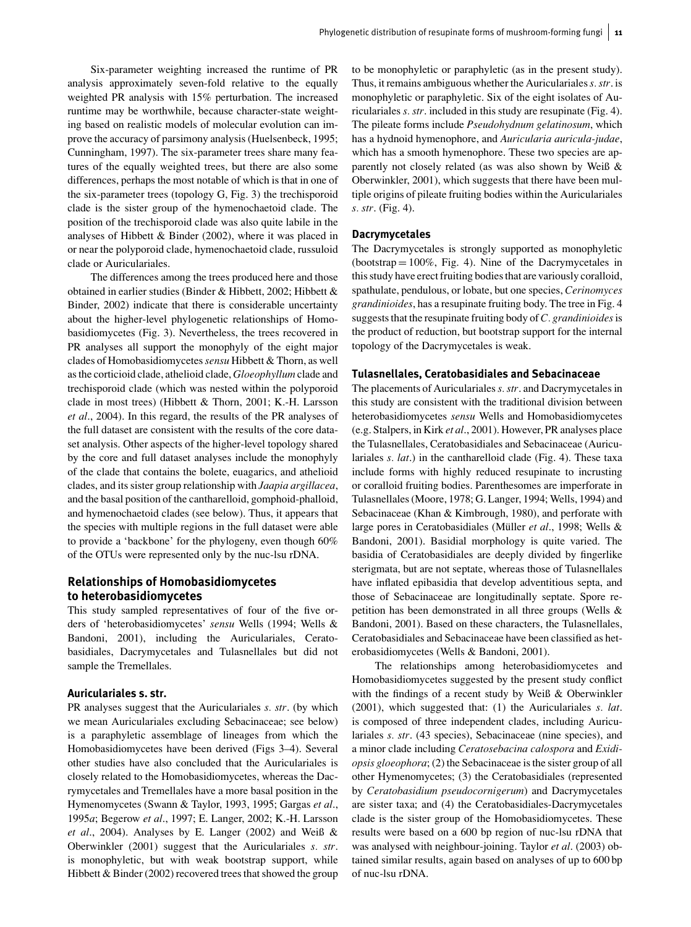Six-parameter weighting increased the runtime of PR analysis approximately seven-fold relative to the equally weighted PR analysis with 15% perturbation. The increased runtime may be worthwhile, because character-state weighting based on realistic models of molecular evolution can improve the accuracy of parsimony analysis (Huelsenbeck, 1995; Cunningham, 1997). The six-parameter trees share many features of the equally weighted trees, but there are also some differences, perhaps the most notable of which is that in one of the six-parameter trees (topology G, Fig. 3) the trechisporoid clade is the sister group of the hymenochaetoid clade. The position of the trechisporoid clade was also quite labile in the analyses of Hibbett & Binder (2002), where it was placed in or near the polyporoid clade, hymenochaetoid clade, russuloid clade or Auriculariales.

The differences among the trees produced here and those obtained in earlier studies (Binder & Hibbett, 2002; Hibbett & Binder, 2002) indicate that there is considerable uncertainty about the higher-level phylogenetic relationships of Homobasidiomycetes (Fig. 3). Nevertheless, the trees recovered in PR analyses all support the monophyly of the eight major clades of Homobasidiomycetes*sensu* Hibbett & Thorn, as well as the corticioid clade, athelioid clade, *Gloeophyllum* clade and trechisporoid clade (which was nested within the polyporoid clade in most trees) (Hibbett & Thorn, 2001; K.-H. Larsson *et al*., 2004). In this regard, the results of the PR analyses of the full dataset are consistent with the results of the core dataset analysis. Other aspects of the higher-level topology shared by the core and full dataset analyses include the monophyly of the clade that contains the bolete, euagarics, and athelioid clades, and its sister group relationship with *Jaapia argillacea*, and the basal position of the cantharelloid, gomphoid-phalloid, and hymenochaetoid clades (see below). Thus, it appears that the species with multiple regions in the full dataset were able to provide a 'backbone' for the phylogeny, even though 60% of the OTUs were represented only by the nuc-lsu rDNA.

#### **Relationships of Homobasidiomycetes to heterobasidiomycetes**

This study sampled representatives of four of the five orders of 'heterobasidiomycetes' *sensu* Wells (1994; Wells & Bandoni, 2001), including the Auriculariales, Ceratobasidiales, Dacrymycetales and Tulasnellales but did not sample the Tremellales.

#### **Auriculariales s. str.**

PR analyses suggest that the Auriculariales *s. str*. (by which we mean Auriculariales excluding Sebacinaceae; see below) is a paraphyletic assemblage of lineages from which the Homobasidiomycetes have been derived (Figs 3–4). Several other studies have also concluded that the Auriculariales is closely related to the Homobasidiomycetes, whereas the Dacrymycetales and Tremellales have a more basal position in the Hymenomycetes (Swann & Taylor, 1993, 1995; Gargas *et al*., 1995*a*; Begerow *et al*., 1997; E. Langer, 2002; K.-H. Larsson *et al*., 2004). Analyses by E. Langer (2002) and Weiß & Oberwinkler (2001) suggest that the Auriculariales *s. str*. is monophyletic, but with weak bootstrap support, while Hibbett & Binder (2002) recovered trees that showed the group to be monophyletic or paraphyletic (as in the present study). Thus, it remains ambiguous whether the Auriculariales*s. str*. is monophyletic or paraphyletic. Six of the eight isolates of Auriculariales *s. str*. included in this study are resupinate (Fig. 4). The pileate forms include *Pseudohydnum gelatinosum*, which has a hydnoid hymenophore, and *Auricularia auricula-judae*, which has a smooth hymenophore. These two species are apparently not closely related (as was also shown by Weiß & Oberwinkler, 2001), which suggests that there have been multiple origins of pileate fruiting bodies within the Auriculariales *s. str*. (Fig. 4).

#### **Dacrymycetales**

The Dacrymycetales is strongly supported as monophyletic  $(bootstrap = 100\%, Fig. 4)$ . Nine of the Dacrymycetales in this study have erect fruiting bodies that are variously coralloid, spathulate, pendulous, or lobate, but one species, *Cerinomyces grandinioides*, has a resupinate fruiting body. The tree in Fig. 4 suggests that the resupinate fruiting body of*C. grandinioides*is the product of reduction, but bootstrap support for the internal topology of the Dacrymycetales is weak.

#### **Tulasnellales, Ceratobasidiales and Sebacinaceae**

The placements of Auriculariales*s. str*. and Dacrymycetales in this study are consistent with the traditional division between heterobasidiomycetes *sensu* Wells and Homobasidiomycetes (e.g. Stalpers, in Kirk *et al*., 2001). However, PR analyses place the Tulasnellales, Ceratobasidiales and Sebacinaceae (Auriculariales *s. lat*.) in the cantharelloid clade (Fig. 4). These taxa include forms with highly reduced resupinate to incrusting or coralloid fruiting bodies. Parenthesomes are imperforate in Tulasnellales (Moore, 1978; G. Langer, 1994; Wells, 1994) and Sebacinaceae (Khan & Kimbrough, 1980), and perforate with large pores in Ceratobasidiales (Müller *et al.*, 1998; Wells & Bandoni, 2001). Basidial morphology is quite varied. The basidia of Ceratobasidiales are deeply divided by fingerlike sterigmata, but are not septate, whereas those of Tulasnellales have inflated epibasidia that develop adventitious septa, and those of Sebacinaceae are longitudinally septate. Spore repetition has been demonstrated in all three groups (Wells & Bandoni, 2001). Based on these characters, the Tulasnellales, Ceratobasidiales and Sebacinaceae have been classified as heterobasidiomycetes (Wells & Bandoni, 2001).

The relationships among heterobasidiomycetes and Homobasidiomycetes suggested by the present study conflict with the findings of a recent study by Weiß & Oberwinkler (2001), which suggested that: (1) the Auriculariales *s. lat*. is composed of three independent clades, including Auriculariales *s. str*. (43 species), Sebacinaceae (nine species), and a minor clade including *Ceratosebacina calospora* and *Exidiopsis gloeophora*; (2) the Sebacinaceae is the sister group of all other Hymenomycetes; (3) the Ceratobasidiales (represented by *Ceratobasidium pseudocornigerum*) and Dacrymycetales are sister taxa; and (4) the Ceratobasidiales-Dacrymycetales clade is the sister group of the Homobasidiomycetes. These results were based on a 600 bp region of nuc-lsu rDNA that was analysed with neighbour-joining. Taylor *et al*. (2003) obtained similar results, again based on analyses of up to 600 bp of nuc-lsu rDNA.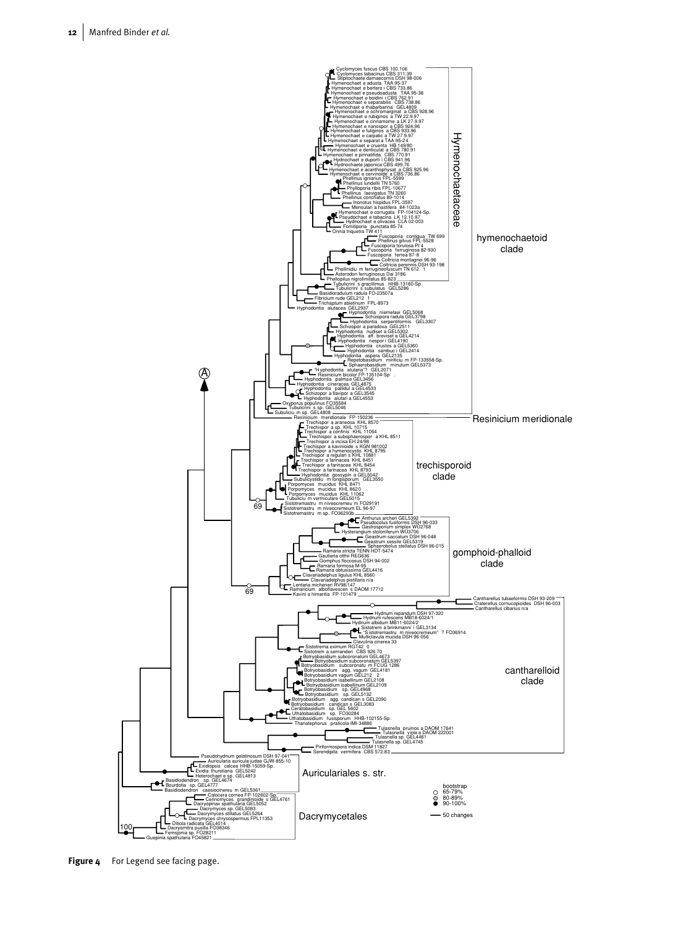

**Figure 4** For Legend see facing page.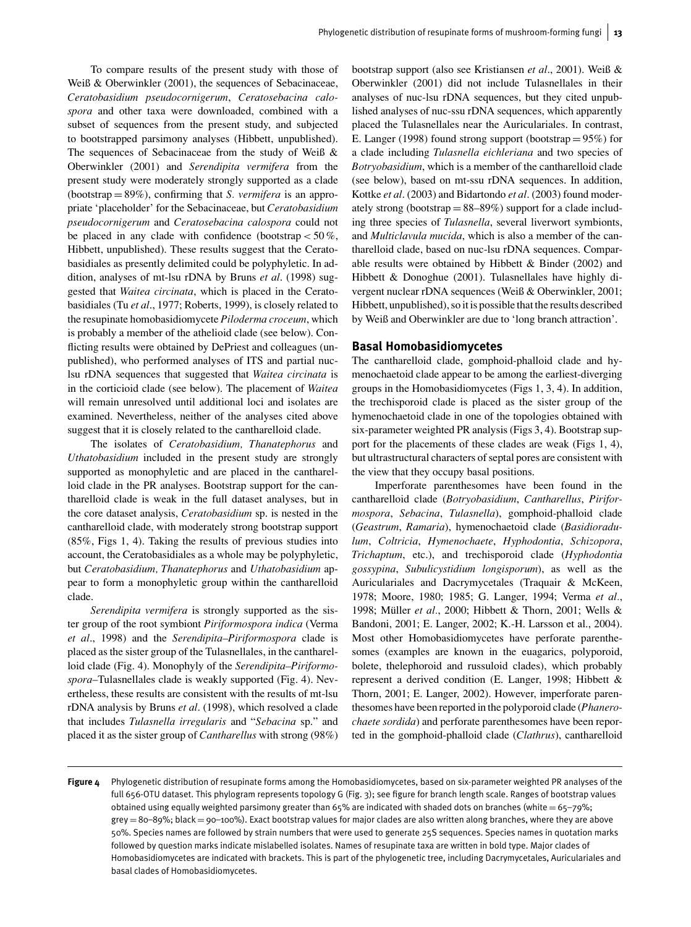To compare results of the present study with those of Weiß & Oberwinkler (2001), the sequences of Sebacinaceae, *Ceratobasidium pseudocornigerum*, *Ceratosebacina calospora* and other taxa were downloaded, combined with a subset of sequences from the present study, and subjected to bootstrapped parsimony analyses (Hibbett, unpublished). The sequences of Sebacinaceae from the study of Weiß & Oberwinkler (2001) and *Serendipita vermifera* from the present study were moderately strongly supported as a clade (bootstrap = 89%), confirming that *S. vermifera* is an appropriate 'placeholder' for the Sebacinaceae, but *Ceratobasidium pseudocornigerum* and *Ceratosebacina calospora* could not be placed in any clade with confidence (bootstrap *<* 50 %, Hibbett, unpublished). These results suggest that the Ceratobasidiales as presently delimited could be polyphyletic. In addition, analyses of mt-lsu rDNA by Bruns *et al*. (1998) suggested that *Waitea circinata*, which is placed in the Ceratobasidiales (Tu *et al*., 1977; Roberts, 1999), is closely related to the resupinate homobasidiomycete *Piloderma croceum*, which is probably a member of the athelioid clade (see below). Conflicting results were obtained by DePriest and colleagues (unpublished), who performed analyses of ITS and partial nuclsu rDNA sequences that suggested that *Waitea circinata* is in the corticioid clade (see below). The placement of *Waitea* will remain unresolved until additional loci and isolates are examined. Nevertheless, neither of the analyses cited above suggest that it is closely related to the cantharelloid clade.

The isolates of *Ceratobasidium, Thanatephorus* and *Uthatobasidium* included in the present study are strongly supported as monophyletic and are placed in the cantharelloid clade in the PR analyses. Bootstrap support for the cantharelloid clade is weak in the full dataset analyses, but in the core dataset analysis, *Ceratobasidium* sp. is nested in the cantharelloid clade, with moderately strong bootstrap support (85%, Figs 1, 4). Taking the results of previous studies into account, the Ceratobasidiales as a whole may be polyphyletic, but *Ceratobasidium, Thanatephorus* and *Uthatobasidium* appear to form a monophyletic group within the cantharelloid clade.

*Serendipita vermifera* is strongly supported as the sister group of the root symbiont *Piriformospora indica* (Verma *et al*., 1998) and the *Serendipita–Piriformospora* clade is placed as the sister group of the Tulasnellales, in the cantharelloid clade (Fig. 4). Monophyly of the *Serendipita–Piriformospora*–Tulasnellales clade is weakly supported (Fig. 4). Nevertheless, these results are consistent with the results of mt-lsu rDNA analysis by Bruns *et al*. (1998), which resolved a clade that includes *Tulasnella irregularis* and "*Sebacina* sp." and placed it as the sister group of *Cantharellus* with strong (98%) bootstrap support (also see Kristiansen *et al*., 2001). Weiß & Oberwinkler (2001) did not include Tulasnellales in their analyses of nuc-lsu rDNA sequences, but they cited unpublished analyses of nuc-ssu rDNA sequences, which apparently placed the Tulasnellales near the Auriculariales. In contrast, E. Langer (1998) found strong support (bootstrap  $= 95\%$ ) for a clade including *Tulasnella eichleriana* and two species of *Botryobasidium*, which is a member of the cantharelloid clade (see below), based on mt-ssu rDNA sequences. In addition, Kottke *et al*. (2003) and Bidartondo *et al*. (2003) found moderately strong (bootstrap  $= 88-89\%$ ) support for a clade including three species of *Tulasnella*, several liverwort symbionts, and *Multiclavula mucida*, which is also a member of the cantharelloid clade, based on nuc-lsu rDNA sequences. Comparable results were obtained by Hibbett  $& \text{Binder} (2002)$  and Hibbett & Donoghue (2001). Tulasnellales have highly divergent nuclear rDNA sequences (Weiß & Oberwinkler, 2001; Hibbett, unpublished), so it is possible that the results described by Weiß and Oberwinkler are due to 'long branch attraction'.

#### **Basal Homobasidiomycetes**

The cantharelloid clade, gomphoid-phalloid clade and hymenochaetoid clade appear to be among the earliest-diverging groups in the Homobasidiomycetes (Figs 1, 3, 4). In addition, the trechisporoid clade is placed as the sister group of the hymenochaetoid clade in one of the topologies obtained with six-parameter weighted PR analysis (Figs 3, 4). Bootstrap support for the placements of these clades are weak (Figs 1, 4), but ultrastructural characters of septal pores are consistent with the view that they occupy basal positions.

Imperforate parenthesomes have been found in the cantharelloid clade (*Botryobasidium*, *Cantharellus*, *Piriformospora*, *Sebacina*, *Tulasnella*), gomphoid-phalloid clade (*Geastrum*, *Ramaria*), hymenochaetoid clade (*Basidioradulum*, *Coltricia*, *Hymenochaete*, *Hyphodontia*, *Schizopora*, *Trichaptum*, etc.), and trechisporoid clade (*Hyphodontia gossypina*, *Subulicystidium longisporum*), as well as the Auriculariales and Dacrymycetales (Traquair & McKeen, 1978; Moore, 1980; 1985; G. Langer, 1994; Verma *et al.*, 1998; Müller et al., 2000; Hibbett & Thorn, 2001; Wells & Bandoni, 2001; E. Langer, 2002; K.-H. Larsson et al., 2004). Most other Homobasidiomycetes have perforate parenthesomes (examples are known in the euagarics, polyporoid, bolete, thelephoroid and russuloid clades), which probably represent a derived condition (E. Langer, 1998; Hibbett & Thorn, 2001; E. Langer, 2002). However, imperforate parenthesomes have been reported in the polyporoid clade (*Phanerochaete sordida*) and perforate parenthesomes have been reported in the gomphoid-phalloid clade (*Clathrus*), cantharelloid

**Figure 4** Phylogenetic distribution of resupinate forms among the Homobasidiomycetes, based on six-parameter weighted PR analyses of the full 656-OTU dataset. This phylogram represents topology G (Fig. 3); see figure for branch length scale. Ranges of bootstrap values obtained using equally weighted parsimony greater than 65% are indicated with shaded dots on branches (white  $= 65-79$ %; grey = 80–89%; black = 90–100%). Exact bootstrap values for major clades are also written along branches, where they are above 50%. Species names are followed by strain numbers that were used to generate 25S sequences. Species names in quotation marks followed by question marks indicate mislabelled isolates. Names of resupinate taxa are written in bold type. Major clades of Homobasidiomycetes are indicated with brackets. This is part of the phylogenetic tree, including Dacrymycetales, Auriculariales and basal clades of Homobasidiomycetes.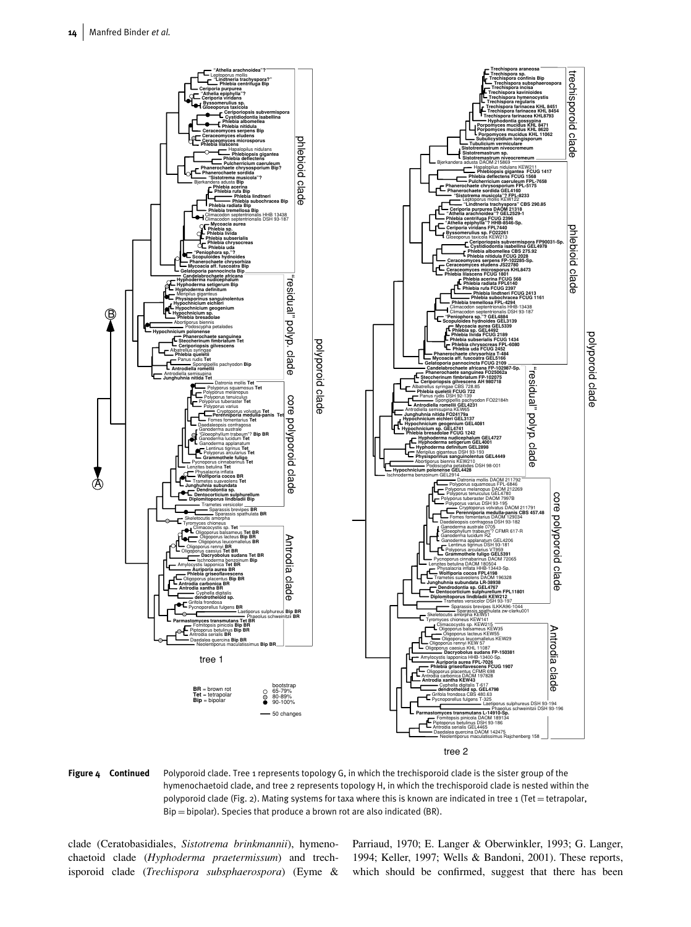

**Figure 4 Continued** Polyporoid clade. Tree 1 represents topology G, in which the trechisporoid clade is the sister group of the hymenochaetoid clade, and tree 2 represents topology H, in which the trechisporoid clade is nested within the polyporoid clade (Fig. 2). Mating systems for taxa where this is known are indicated in tree 1 (Tet = tetrapolar, Bip = bipolar). Species that produce a brown rot are also indicated (BR).

clade (Ceratobasidiales, *Sistotrema brinkmannii*), hymenochaetoid clade (*Hyphoderma praetermissum*) and trechisporoid clade (*Trechispora subsphaerospora*) (Eyme & Parriaud, 1970; E. Langer & Oberwinkler, 1993; G. Langer, 1994; Keller, 1997; Wells & Bandoni, 2001). These reports, which should be confirmed, suggest that there has been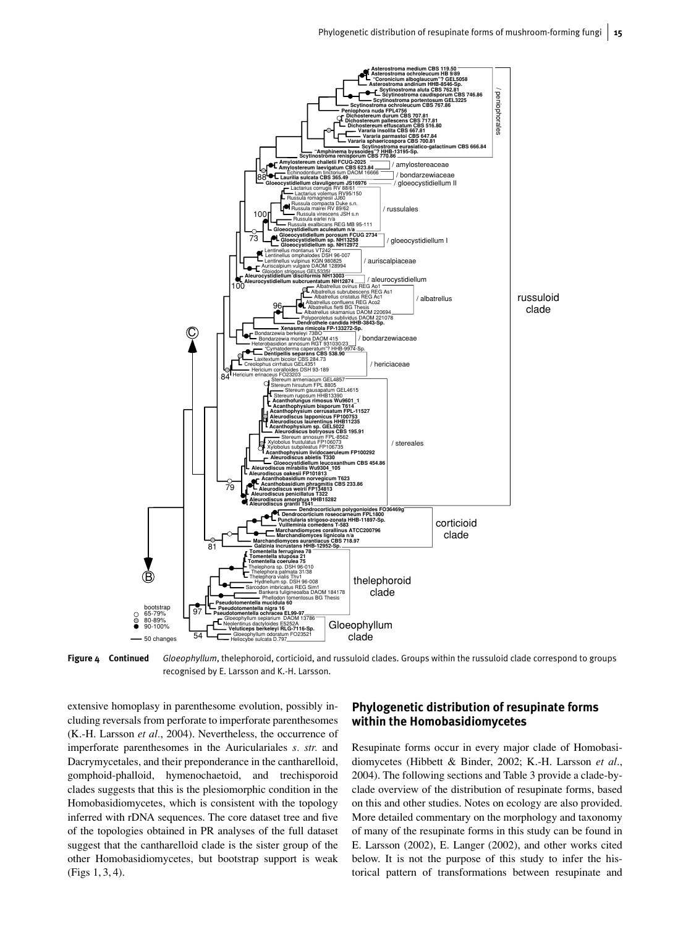

Figure 4 Continued Gloeophyllum, thelephoroid, corticioid, and russuloid clades. Groups within the russuloid clade correspond to groups recognised by E. Larsson and K.-H. Larsson.

extensive homoplasy in parenthesome evolution, possibly including reversals from perforate to imperforate parenthesomes (K.-H. Larsson *et al.*, 2004). Nevertheless, the occurrence of imperforate parenthesomes in the Auriculariales *s. str.* and Dacrymycetales, and their preponderance in the cantharelloid, gomphoid-phalloid, hymenochaetoid, and trechisporoid clades suggests that this is the plesiomorphic condition in the Homobasidiomycetes, which is consistent with the topology inferred with rDNA sequences. The core dataset tree and five of the topologies obtained in PR analyses of the full dataset suggest that the cantharelloid clade is the sister group of the other Homobasidiomycetes, but bootstrap support is weak (Figs 1, 3, 4).

#### **Phylogenetic distribution of resupinate forms within the Homobasidiomycetes**

Resupinate forms occur in every major clade of Homobasidiomycetes (Hibbett & Binder, 2002; K.-H. Larsson *et al*., 2004). The following sections and Table 3 provide a clade-byclade overview of the distribution of resupinate forms, based on this and other studies. Notes on ecology are also provided. More detailed commentary on the morphology and taxonomy of many of the resupinate forms in this study can be found in E. Larsson (2002), E. Langer (2002), and other works cited below. It is not the purpose of this study to infer the historical pattern of transformations between resupinate and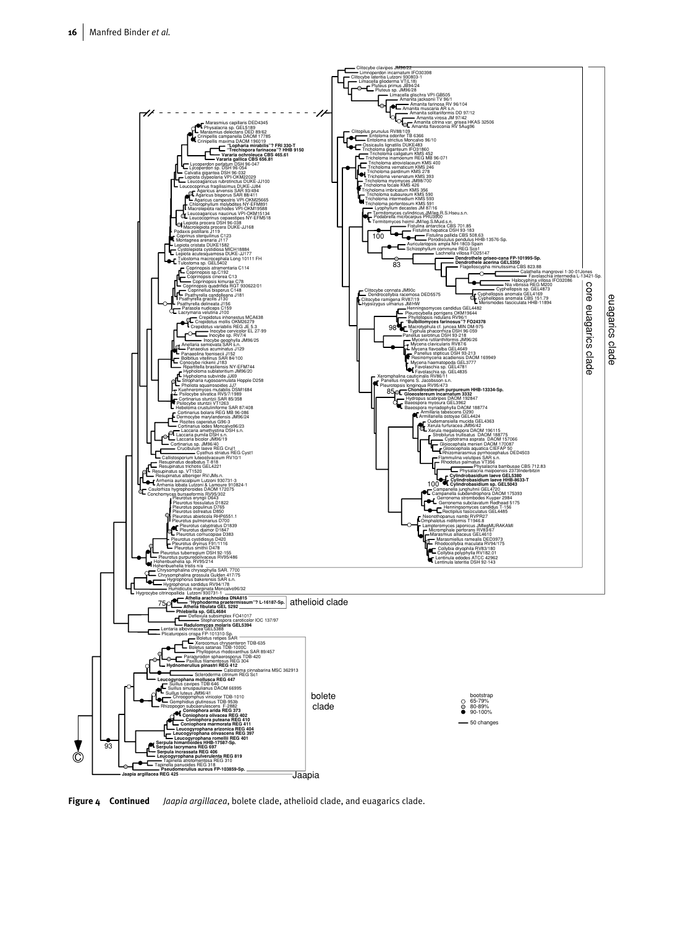

**Figure 4 Continued** *Jaapia argillacea*, bolete clade, athelioid clade, and euagarics clade.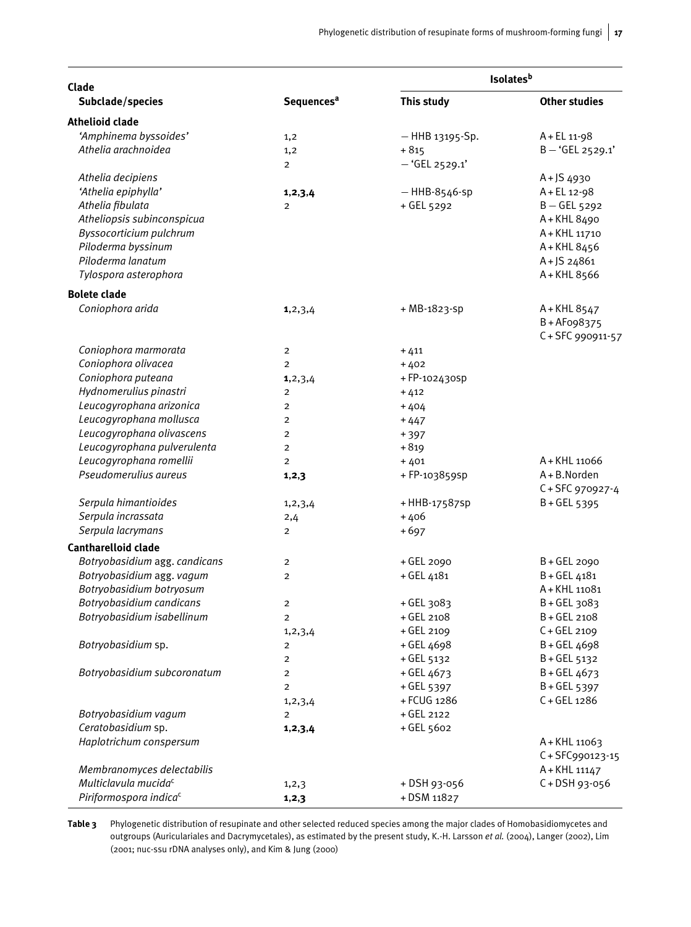|                                    |                              | <b>Isolates</b> <sup>b</sup> |                      |
|------------------------------------|------------------------------|------------------------------|----------------------|
| Clade<br>Subclade/species          | <b>Sequences<sup>a</sup></b> | This study                   | <b>Other studies</b> |
|                                    |                              |                              |                      |
| <b>Athelioid clade</b>             |                              |                              |                      |
| 'Amphinema byssoides'              | 1,2                          | $-$ HHB 13195-Sp.            | A + EL 11-98         |
| Athelia arachnoidea                | 1,2                          | $+815$                       | $B - 'GEL 2529.1'$   |
|                                    | $\overline{2}$               | $-$ 'GEL 2529.1'             |                      |
| Athelia decipiens                  |                              |                              | $A + JS 4930$        |
| 'Athelia epiphylla'                | 1, 2, 3, 4                   | $-$ HHB-8546-sp              | A + EL 12-98         |
| Athelia fibulata                   | $\overline{2}$               | + GEL 5292                   | $B - GEL$ 5292       |
| Atheliopsis subinconspicua         |                              |                              | A + KHL 8490         |
| Byssocorticium pulchrum            |                              |                              | A + KHL 11710        |
| Piloderma byssinum                 |                              |                              | A + KHL 8456         |
| Piloderma lanatum                  |                              |                              | $A + JS 24861$       |
| Tylospora asterophora              |                              |                              | A + KHL 8566         |
| <b>Bolete clade</b>                |                              |                              |                      |
| Coniophora arida                   | 1, 2, 3, 4                   | + MB-1823-sp                 | A + KHL 8547         |
|                                    |                              |                              | B+AF098375           |
|                                    |                              |                              | C + SFC 990911-57    |
| Coniophora marmorata               | $\overline{2}$               | $+411$                       |                      |
| Coniophora olivacea                | $\overline{2}$               | $+402$                       |                      |
| Coniophora puteana                 | 1, 2, 3, 4                   | +FP-102430Sp                 |                      |
| Hydnomerulius pinastri             | $\overline{2}$               | $+412$                       |                      |
| Leucogyrophana arizonica           | $\overline{2}$               | $+404$                       |                      |
| Leucogyrophana mollusca            | $\overline{2}$               | $+447$                       |                      |
| Leucogyrophana olivascens          | $\overline{2}$               | $+397$                       |                      |
| Leucogyrophana pulverulenta        | $\overline{2}$               | $+819$                       |                      |
| Leucogyrophana romellii            | $\overline{2}$               | $+401$                       | A + KHL 11066        |
| Pseudomerulius aureus              | 1, 2, 3                      | +FP-103859Sp                 | A + B.Norden         |
|                                    |                              |                              | $C + SFC 970927 - 4$ |
| Serpula himantioides               | 1, 2, 3, 4                   | + HHB-17587sp                | $B + GEL$ 5395       |
| Serpula incrassata                 | 2,4                          | $+406$                       |                      |
| Serpula lacrymans                  | $\overline{2}$               | $+697$                       |                      |
| Cantharelloid clade                |                              |                              |                      |
| Botryobasidium agg. candicans      | $\overline{2}$               | + GEL 2090                   | B + GEL 2090         |
| Botryobasidium agg. vagum          | $\overline{2}$               | + GEL 4181                   | B + GEL 4181         |
| Botryobasidium botryosum           |                              |                              | A + KHL 11081        |
| Botryobasidium candicans           | $\overline{2}$               | +GEL 3083                    | B+GEL 3083           |
| Botryobasidium isabellinum         | $\overline{2}$               | + GEL 2108                   | B + GEL 2108         |
|                                    | 1, 2, 3, 4                   | + GEL 2109                   | $C + GEL 2109$       |
| Botryobasidium sp.                 | $\overline{2}$               | +GEL 4698                    | B + GEL 4698         |
|                                    | $\overline{2}$               | $+$ GEL 5132                 | B+GEL 5132           |
| Botryobasidium subcoronatum        | $\overline{2}$               | +GEL 4673                    | B + GEL 4673         |
|                                    | $\overline{2}$               | +GEL 5397                    | $B + GEL$ 5397       |
|                                    | 1, 2, 3, 4                   | + FCUG 1286                  | $C + GEL$ 1286       |
| Botryobasidium vagum               | $\overline{2}$               | + GEL 2122                   |                      |
| Ceratobasidium sp.                 | 1, 2, 3, 4                   | +GEL 5602                    |                      |
| Haplotrichum conspersum            |                              |                              | A + KHL 11063        |
|                                    |                              |                              | C+SFC990123-15       |
| Membranomyces delectabilis         |                              |                              | A + KHL 11147        |
| Multiclavula mucida <sup>c</sup>   | 1, 2, 3                      | + DSH 93-056                 | C+DSH 93-056         |
| Piriformospora indica <sup>c</sup> | 1, 2, 3                      | +DSM 11827                   |                      |

**Table 3** Phylogenetic distribution of resupinate and other selected reduced species among the major clades of Homobasidiomycetes and outgroups (Auriculariales and Dacrymycetales), as estimated by the present study, K.-H. Larsson *et al.* (2004), Langer (2002), Lim (2001; nuc-ssu rDNA analyses only), and Kim & Jung (2000)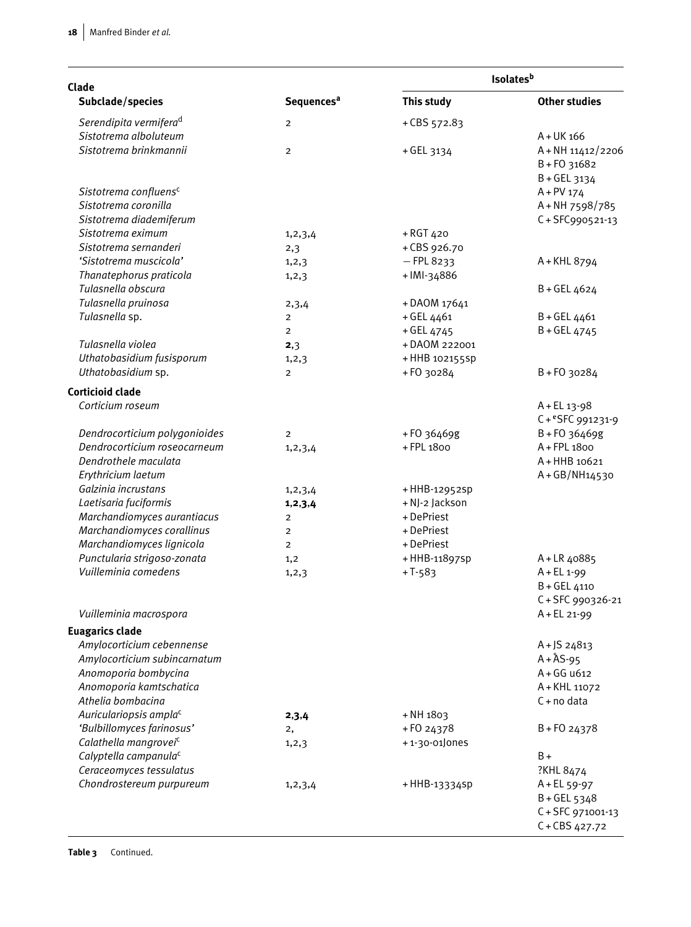| Clade                              |                              | <b>Isolates</b> <sup>b</sup> |                      |
|------------------------------------|------------------------------|------------------------------|----------------------|
| Subclade/species                   | <b>Sequences<sup>a</sup></b> | This study                   | <b>Other studies</b> |
| Serendipita vermifera <sup>d</sup> | $\overline{2}$               | $+$ CBS 572.83               |                      |
| Sistotrema alboluteum              |                              |                              | $A + UK$ 166         |
| Sistotrema brinkmannii             | $\overline{2}$               | +GEL 3134                    | A + NH 11412/2206    |
|                                    |                              |                              | B+F0 31682           |
|                                    |                              |                              | B + GEL 3134         |
| Sistotrema confluens <sup>c</sup>  |                              |                              | $A + PV 174$         |
| Sistotrema coronilla               |                              |                              | A+NH 7598/785        |
| Sistotrema diademiferum            |                              |                              | $C + SFC990521 - 13$ |
| Sistotrema eximum                  | 1, 2, 3, 4                   | + RGT 420                    |                      |
| Sistotrema sernanderi              | 2,3                          | +CBS 926.70                  |                      |
| 'Sistotrema muscicola'             | 1, 2, 3                      | $-$ FPL 8233                 | A + KHL 8794         |
| Thanatephorus praticola            | 1, 2, 3                      | +IMI-34886                   |                      |
| Tulasnella obscura                 |                              |                              | B + GEL 4624         |
| Tulasnella pruinosa                | 2,3,4                        | +DAOM 17641                  |                      |
| Tulasnella sp.                     | $\overline{2}$               | + GEL 4461                   | B + GEL 4461         |
|                                    | $\overline{2}$               | + GEL 4745                   | $B + GEL 4745$       |
| Tulasnella violea                  | 2,3                          | +DAOM 222001                 |                      |
| Uthatobasidium fusisporum          | 1, 2, 3                      | + HHB 102155SD               |                      |
| Uthatobasidium sp.                 | $\overline{2}$               | +FO 30284                    | B+F0 30284           |
| <b>Corticioid clade</b>            |                              |                              |                      |
| Corticium roseum                   |                              |                              | $A + EL$ 13-98       |
|                                    |                              |                              | $C + e$ SFC 991231-9 |
| Dendrocorticium polygonioides      | $\overline{2}$               | +F0 36469g                   | B + FO 36469g        |
| Dendrocorticium roseocarneum       | 1, 2, 3, 4                   | + FPL 1800                   | A + FPL 1800         |
| Dendrothele maculata               |                              |                              | A + HHB 10621        |
| Erythricium laetum                 |                              |                              | A+GB/NH14530         |
| Galzinia incrustans                | 1, 2, 3, 4                   | +HHB-12952Sp                 |                      |
| Laetisaria fuciformis              | 1, 2, 3, 4                   | + NJ-2 Jackson               |                      |
| Marchandiomyces aurantiacus        | $\overline{2}$               | +DePriest                    |                      |
| Marchandiomyces corallinus         | $\overline{2}$               | +DePriest                    |                      |
| Marchandiomyces lignicola          | $\overline{2}$               | +DePriest                    |                      |
| Punctularia strigoso-zonata        | 1,2                          | + HHB-11897sp                | A + LR 40885         |
| Vuilleminia comedens               | 1, 2, 3                      | $+T-583$                     | $A + EL$ 1-99        |
|                                    |                              |                              | B + GEL 4110         |
|                                    |                              |                              | C+SFC 990326-21      |
| Vuilleminia macrospora             |                              |                              | A + EL 21-99         |
| <b>Euagarics clade</b>             |                              |                              |                      |
| Amylocorticium cebennense          |                              |                              | $A + JS 24813$       |
| Amylocorticium subincarnatum       |                              |                              | $A + \text{AS-95}$   |
| Anomoporia bombycina               |                              |                              | $A + GG$ u612        |
| Anomoporia kamtschatica            |                              |                              | A + KHL 11072        |
| Athelia bombacina                  |                              |                              | $C + no$ data        |
| Auriculariopsis ampla <sup>c</sup> | 2,3,4                        | + NH 1803                    |                      |
| 'Bulbillomyces farinosus'          | 2,                           | +FO 24378                    | $B + F0 24378$       |
| Calathella mangrovei <sup>c</sup>  | 1, 2, 3                      | +1-30-01Jones                |                      |
| Calyptella campanula <sup>c</sup>  |                              |                              | $B +$                |
| Ceraceomyces tessulatus            |                              |                              | ?KHL 8474            |
| Chondrostereum purpureum           | 1, 2, 3, 4                   | + HHB-13334sp                | $A + EL$ 59-97       |
|                                    |                              |                              | $B + GEL$ 5348       |
|                                    |                              |                              | C + SFC 971001-13    |
|                                    |                              |                              | $C + CBS$ 427.72     |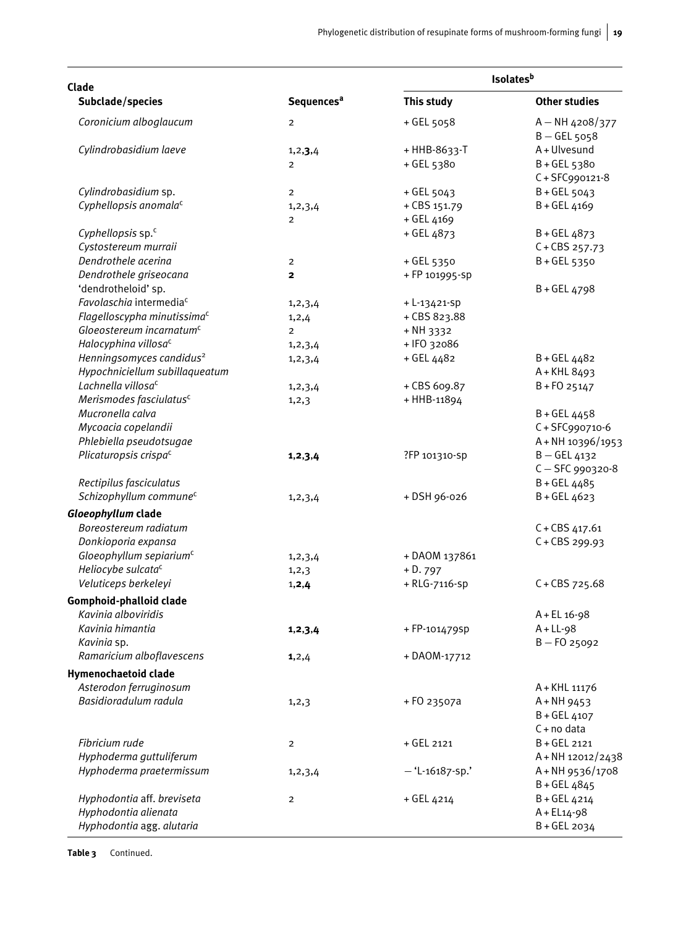| Clade                                   |                              |                    | <b>Isolates</b> <sup>b</sup>        |  |
|-----------------------------------------|------------------------------|--------------------|-------------------------------------|--|
| Subclade/species                        | <b>Sequences<sup>a</sup></b> | This study         | <b>Other studies</b>                |  |
| Coronicium alboglaucum                  | $\overline{2}$               | + GEL 5058         | $A - NH 4208/377$<br>$B - GEL$ 5058 |  |
| Cylindrobasidium laeve                  | 1, 2, 3, 4                   | + HHB-8633-T       | A + Ulvesund                        |  |
|                                         | $\overline{2}$               | + GEL 5380         | $B + GEL$ 5380                      |  |
|                                         |                              |                    | C+SFC990121-8                       |  |
| Cylindrobasidium sp.                    | $\overline{2}$               | + GEL 5043         | $B + GEL$ 5043                      |  |
| Cyphellopsis anomala <sup>c</sup>       | 1, 2, 3, 4                   | + CBS 151.79       | B + GEL 4169                        |  |
|                                         | $\overline{2}$               | + GEL 4169         |                                     |  |
| Cyphellopsis sp. <sup>c</sup>           |                              | + GEL 4873         | B + GEL 4873                        |  |
| Cystostereum murraii                    |                              |                    | $C + CBS$ 257.73                    |  |
| Dendrothele acerina                     | $\overline{2}$               | + GEL 5350         | $B + GEL$ 5350                      |  |
| Dendrothele griseocana                  | $\mathbf{2}$                 | + FP 101995-Sp     |                                     |  |
| 'dendrotheloid' sp.                     |                              |                    | B + GEL 4798                        |  |
| Favolaschia intermedia <sup>c</sup>     | 1, 2, 3, 4                   | $+ L - 13421 - Sp$ |                                     |  |
| Flagelloscypha minutissima <sup>c</sup> | 1, 2, 4                      | + CBS 823.88       |                                     |  |
| Gloeostereum incarnatum $c$             | $\overline{2}$               | + NH 3332          |                                     |  |
| Halocyphina villosa <sup>c</sup>        | 1, 2, 3, 4                   | + IFO 32086        |                                     |  |
| Henningsomyces candidus <sup>2</sup>    | 1, 2, 3, 4                   | + GEL 4482         | B + GEL 4482                        |  |
| Hypochniciellum subillaqueatum          |                              |                    | A + KHL 8493                        |  |
| Lachnella villosa <sup>c</sup>          | 1, 2, 3, 4                   | + CBS 609.87       | $B + F0 25147$                      |  |
| Merismodes fasciulatus <sup>c</sup>     | 1, 2, 3                      | + HHB-11894        |                                     |  |
| Mucronella calva                        |                              |                    | $B + GEL 4458$                      |  |
| Mycoacia copelandii                     |                              |                    | C+SFC990710-6                       |  |
| Phlebiella pseudotsugae                 |                              |                    | A+NH 10396/1953                     |  |
| Plicaturopsis crispa <sup>c</sup>       | 1, 2, 3, 4                   | ?FP 101310-Sp      | $B - GEL 4132$                      |  |
|                                         |                              |                    | $C - SFC 990320 - 8$                |  |
| Rectipilus fasciculatus                 |                              |                    | $B + GEL 4485$                      |  |
| Schizophyllum commune <sup>c</sup>      | 1, 2, 3, 4                   | +DSH 96-026        | $B + GEL 4623$                      |  |
| Gloeophyllum clade                      |                              |                    |                                     |  |
| Boreostereum radiatum                   |                              |                    | $C + CBS$ 417.61                    |  |
| Donkioporia expansa                     |                              |                    | $C + CBS$ 299.93                    |  |
| Gloeophyllum sepiarium <sup>c</sup>     | 1, 2, 3, 4                   | + DAOM 137861      |                                     |  |
| Heliocybe sulcata <sup>c</sup>          | 1, 2, 3                      | $+D.797$           |                                     |  |
| Veluticeps berkeleyi                    | 1, 2, 4                      | + RLG-7116-sp      | $C + CBS$ 725.68                    |  |
|                                         |                              |                    |                                     |  |
| Gomphoid-phalloid clade                 |                              |                    |                                     |  |
| Kavinia alboviridis                     |                              |                    | A + EL 16-98                        |  |
| Kavinia himantia                        | 1, 2, 3, 4                   | + FP-101479Sp      | $A + LL-98$                         |  |
| Kavinia sp.                             |                              |                    | $B - F025092$                       |  |
| Ramaricium alboflavescens               | 1, 2, 4                      | + DAOM-17712       |                                     |  |
| Hymenochaetoid clade                    |                              |                    |                                     |  |
| Asterodon ferruginosum                  |                              |                    | A + KHL 11176                       |  |
| Basidioradulum radula                   | 1, 2, 3                      | +F0 23507a         | $A + NH$ 9453                       |  |
|                                         |                              |                    | B + GEL 4107                        |  |
|                                         |                              |                    | $C + no$ data                       |  |
| Fibricium rude                          | $\overline{2}$               | + GEL 2121         | B + GEL 2121                        |  |
| Hyphoderma guttuliferum                 |                              |                    | A+NH 12012/2438                     |  |
| Hyphoderma praetermissum                | 1, 2, 3, 4                   | $-$ 'L-16187-sp.'  | A+NH 9536/1708                      |  |
|                                         |                              |                    | $B + GEL 4845$                      |  |
| Hyphodontia aff. breviseta              | $\overline{2}$               | + GEL 4214         | B + GEL 4214                        |  |
| Hyphodontia alienata                    |                              |                    | $A + EL14 - 98$                     |  |
| Hyphodontia agg. alutaria               |                              |                    | B+GEL 2034                          |  |

**Table 3** Continued.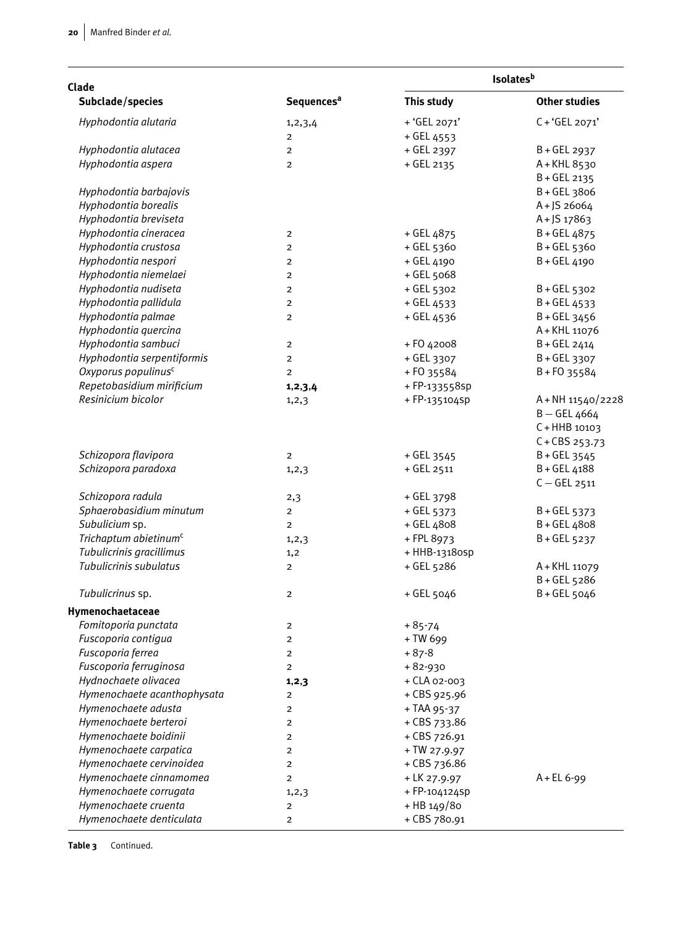| Clade                                               |                              | <b>Isolates</b> <sup>b</sup> |                      |
|-----------------------------------------------------|------------------------------|------------------------------|----------------------|
| Subclade/species                                    | <b>Sequences<sup>a</sup></b> | This study                   | <b>Other studies</b> |
| Hyphodontia alutaria                                | 1, 2, 3, 4                   | + 'GEL 2071'                 | $C + 'GEL 2071'$     |
|                                                     | $\overline{2}$               | + GEL 4553                   |                      |
| Hyphodontia alutacea                                | $\overline{2}$               | + GEL 2397                   | B + GEL 2937         |
| Hyphodontia aspera                                  | $\overline{2}$               | + GEL 2135                   | A+KHL 8530           |
|                                                     |                              |                              | $B + GEL 2135$       |
| Hyphodontia barbajovis                              |                              |                              | B+GEL 3806           |
| Hyphodontia borealis                                |                              |                              | $A + JS$ 26064       |
| Hyphodontia breviseta                               |                              |                              | $A + JS$ 17863       |
| Hyphodontia cineracea                               | $\overline{2}$               | + GEL 4875                   | $B + GEL 4875$       |
| Hyphodontia crustosa                                | $\overline{2}$               | + GEL 5360                   | $B + GEL$ 5360       |
| Hyphodontia nespori                                 | $\overline{2}$               | + GEL 4190                   | B + GEL 4190         |
| Hyphodontia niemelaei                               | $\overline{2}$               | + GEL 5068                   |                      |
| Hyphodontia nudiseta                                | $\overline{2}$               | + GEL 5302                   | $B + GEL$ 5302       |
| Hyphodontia pallidula                               | $\overline{2}$               | $+$ GEL 4533                 | $B + GEL 4533$       |
| Hyphodontia palmae                                  | $\overline{2}$               | + GEL 4536                   | $B + GEL 3456$       |
| Hyphodontia quercina                                |                              |                              | A + KHL 11076        |
| Hyphodontia sambuci                                 | $\mathbf 2$                  | +F042008                     | B + GEL 2414         |
| Hyphodontia serpentiformis                          | $\overline{2}$               | + GEL 3307                   | B+GEL 3307           |
| Oxyporus populinus <sup>c</sup>                     | $\overline{2}$               | +FO 35584                    | $B + F0$ 35584       |
| Repetobasidium mirificium                           | 1, 2, 3, 4                   | +FP-133558sp                 |                      |
| Resinicium bicolor                                  | 1, 2, 3                      | +FP-135104Sp                 | A+NH 11540/2228      |
|                                                     |                              |                              | $B - GEL 4664$       |
|                                                     |                              |                              | C + HHB 10103        |
|                                                     |                              |                              | $C + CBS$ 253.73     |
| Schizopora flavipora                                | $\overline{2}$               | $+$ GEL 3545                 | $B + GEL$ 3545       |
| Schizopora paradoxa                                 | 1, 2, 3                      | + GEL 2511                   | B + GEL 4188         |
|                                                     |                              |                              | $C - GEL 2511$       |
| Schizopora radula                                   | 2,3                          | + GEL 3798                   |                      |
| Sphaerobasidium minutum                             | $\overline{c}$               | + GEL 5373                   | $B + GEL$ 5373       |
| Subulicium sp.                                      | $\overline{2}$               | + GEL 4808                   | B+GEL 4808           |
| Trichaptum abietinum <sup>c</sup>                   | 1, 2, 3                      | + FPL 8973                   | $B + GEL$ 5237       |
| Tubulicrinis gracillimus                            | 1,2                          | + HHB-13180Sp                |                      |
| Tubulicrinis subulatus                              | $\overline{2}$               | + GEL 5286                   | A + KHL 11079        |
|                                                     |                              |                              | B+GEL 5286           |
| Tubulicrinus sp.                                    | 2                            | + GEL 5046                   | B + GEL 5046         |
| Hymenochaetaceae                                    |                              |                              |                      |
| Fomitoporia punctata                                | $\overline{c}$               | $+85 - 74$                   |                      |
| Fuscoporia contigua                                 | $\overline{2}$               | + TW 699                     |                      |
| Fuscoporia ferrea                                   | $\overline{2}$               | $+87-8$                      |                      |
| Fuscoporia ferruginosa                              | $\overline{2}$               | $+82-930$                    |                      |
| Hydnochaete olivacea                                |                              | + CLA 02-003                 |                      |
| Hymenochaete acanthophysata                         | 1, 2, 3<br>$\overline{2}$    | + CBS 925.96                 |                      |
| Hymenochaete adusta                                 | $\overline{2}$               | $+$ TAA 95-37                |                      |
| Hymenochaete berteroi                               | $\overline{2}$               | + CBS 733.86                 |                      |
| Hymenochaete boidinii                               | $\overline{2}$               | + CBS 726.91                 |                      |
| Hymenochaete carpatica                              | $\overline{2}$               | + TW 27.9.97                 |                      |
|                                                     |                              |                              |                      |
| Hymenochaete cervinoidea<br>Hymenochaete cinnamomea | $\overline{2}$               | + CBS 736.86<br>+ LK 27.9.97 | $A + EL 6-99$        |
|                                                     | $\overline{2}$               |                              |                      |
| Hymenochaete corrugata                              | 1, 2, 3                      | +FP-104124Sp                 |                      |
| Hymenochaete cruenta                                | $\overline{c}$               | $+$ HB 149/80                |                      |
| Hymenochaete denticulata                            | $\overline{c}$               | + CBS 780.91                 |                      |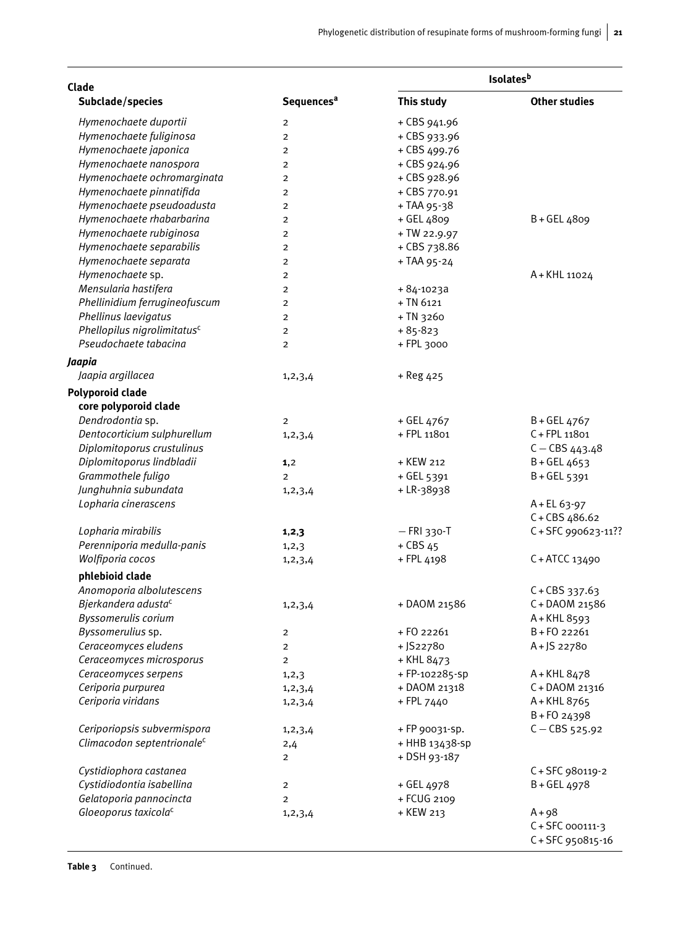| Clade                                   |                              | <b>Isolates</b> <sup>b</sup> |                       |
|-----------------------------------------|------------------------------|------------------------------|-----------------------|
| Subclade/species                        | <b>Sequences<sup>a</sup></b> | This study                   | <b>Other studies</b>  |
| Hymenochaete duportii                   | $\overline{2}$               | + CBS 941.96                 |                       |
| Hymenochaete fuliginosa                 | $\overline{2}$               | + CBS 933.96                 |                       |
| Hymenochaete japonica                   | $\overline{2}$               | + CBS 499.76                 |                       |
| Hymenochaete nanospora                  | $\overline{2}$               | + CBS 924.96                 |                       |
| Hymenochaete ochromarginata             | $\overline{2}$               | + CBS 928.96                 |                       |
| Hymenochaete pinnatifida                | $\overline{2}$               | + CBS 770.91                 |                       |
| Hymenochaete pseudoadusta               | $\overline{2}$               | $+$ TAA 95-38                |                       |
| Hymenochaete rhabarbarina               | $\overline{2}$               | + GEL 4809                   | B+GEL 4809            |
| Hymenochaete rubiginosa                 | $\overline{2}$               | + TW 22.9.97                 |                       |
| Hymenochaete separabilis                | $\overline{2}$               | + CBS 738.86                 |                       |
| Hymenochaete separata                   | $\overline{2}$               | $+$ TAA 95-24                |                       |
| Hymenochaete sp.                        | $\overline{2}$               |                              | A + KHL 11024         |
| Mensularia hastifera                    | $\overline{2}$               | $+84-1023a$                  |                       |
| Phellinidium ferrugineofuscum           | $\overline{2}$               | $+$ TN 6121                  |                       |
| Phellinus laevigatus                    | $\overline{2}$               | + TN 3260                    |                       |
| Phellopilus nigrolimitatus <sup>c</sup> | $\overline{2}$               | $+85 - 823$                  |                       |
| Pseudochaete tabacina                   | $\overline{2}$               | + FPL 3000                   |                       |
| Jaapia                                  |                              |                              |                       |
| Jaapia argillacea                       | 1, 2, 3, 4                   | + Reg 425                    |                       |
| <b>Polyporoid clade</b>                 |                              |                              |                       |
| core polyporoid clade                   |                              |                              |                       |
| Dendrodontia sp.                        | $\overline{2}$               | + GEL 4767                   | B + GEL 4767          |
| Dentocorticium sulphurellum             | 1, 2, 3, 4                   | + FPL 11801                  | $C$ + FPL 11801       |
| Diplomitoporus crustulinus              |                              |                              | $C - CBS443.48$       |
| Diplomitoporus lindbladii               | 1,2                          | + KEW 212                    | $B + GEL 4653$        |
| Grammothele fuligo                      | $\overline{2}$               | + GEL 5391                   | $B + GEL$ 5391        |
| Junghuhnia subundata                    | 1, 2, 3, 4                   | + LR-38938                   |                       |
| Lopharia cinerascens                    |                              |                              | $A + EL 63 - 97$      |
|                                         |                              |                              | $C + CBS$ 486.62      |
| Lopharia mirabilis                      | 1, 2, 3                      | $-$ FRI 330-T                | C+SFC 990623-11??     |
| Perenniporia medulla-panis              | 1, 2, 3                      | $+$ CBS 45                   |                       |
| Wolfiporia cocos                        | 1, 2, 3, 4                   | + FPL 4198                   | $C + ATCC 13490$      |
| phlebioid clade                         |                              |                              |                       |
| Anomoporia albolutescens                |                              |                              | $C + CBS$ 337.63      |
| Bjerkandera adusta <sup>c</sup>         | 1, 2, 3, 4                   | + DAOM 21586                 | C + DAOM 21586        |
| Byssomerulis corium                     |                              |                              | A + KHL 8593          |
| Byssomerulius sp.                       | $\overline{2}$               | $+ F0 22261$                 | $B + F0 22261$        |
| Ceraceomyces eludens                    | $\overline{2}$               | +JS22780                     | A+JS 22780            |
| Ceraceomyces microsporus                | $\overline{2}$               | + KHL 8473                   |                       |
| Ceraceomyces serpens                    | 1, 2, 3                      | +FP-102285-sp                | A + KHL 8478          |
| Ceriporia purpurea                      | 1, 2, 3, 4                   | + DAOM 21318                 | C + DAOM 21316        |
| Ceriporia viridans                      | 1, 2, 3, 4                   | + FPL 7440                   | A+KHL 8765            |
|                                         |                              |                              | $B + F0 24398$        |
| Ceriporiopsis subvermispora             | 1, 2, 3, 4                   | + FP 90031-Sp.               | $C - CBS$ 525.92      |
| Climacodon septentrionale <sup>c</sup>  | 2,4                          | + HHB 13438-sp               |                       |
|                                         | $\overline{2}$               | + DSH 93-187                 |                       |
| Cystidiophora castanea                  |                              |                              | C + SFC 980119-2      |
| Cystidiodontia isabellina               | $\overline{2}$               | + GEL 4978                   | B + GEL 4978          |
| Gelatoporia pannocincta                 | $\overline{2}$               | + FCUG 2109                  |                       |
| Gloeoporus taxicola <sup>c</sup>        | 1, 2, 3, 4                   | + KEW 213                    | $A + 98$              |
|                                         |                              |                              | $C + SFC 000111 - 3$  |
|                                         |                              |                              | $C + SFC 950815 - 16$ |
|                                         |                              |                              |                       |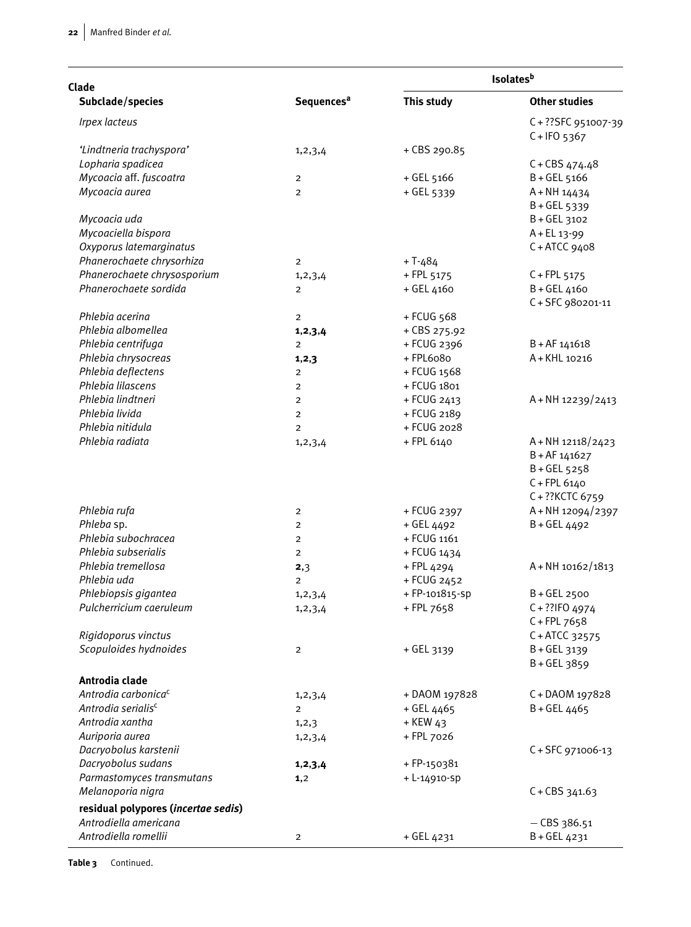| Clade                               |                              |                | <b>Isolates</b> <sup>b</sup>                                                                 |
|-------------------------------------|------------------------------|----------------|----------------------------------------------------------------------------------------------|
| Subclade/species                    | <b>Sequences<sup>a</sup></b> | This study     | <b>Other studies</b>                                                                         |
| Irpex lacteus                       |                              |                | C+??SFC 951007-39<br>$C +$ IFO 5367                                                          |
| 'Lindtneria trachyspora'            | 1, 2, 3, 4                   | + CBS 290.85   |                                                                                              |
| Lopharia spadicea                   |                              |                | $C + CBS$ 474.48                                                                             |
| Mycoacia aff. fuscoatra             | $\overline{2}$               | + GEL 5166     | $B + GEL$ 5166                                                                               |
| Mycoacia aurea                      | $\overline{2}$               | + GEL 5339     | $A + NH$ 14434                                                                               |
|                                     |                              |                | $B + GEL$ 5339                                                                               |
| Mycoacia uda                        |                              |                | B + GEL 3102                                                                                 |
| Mycoaciella bispora                 |                              |                | $A + EL$ 13-99                                                                               |
| Oxyporus latemarginatus             |                              |                | $C + ATCC 9408$                                                                              |
| Phanerochaete chrysorhiza           | $\overline{2}$               | $+T - 484$     |                                                                                              |
| Phanerochaete chrysosporium         | 1, 2, 3, 4                   | + FPL 5175     | $C$ + FPL 5175                                                                               |
| Phanerochaete sordida               | $\overline{2}$               | + GEL 4160     | B + GEL 4160<br>C + SFC 980201-11                                                            |
| Phlebia acerina                     | $\overline{2}$               | + FCUG 568     |                                                                                              |
| Phlebia albomellea                  | 1, 2, 3, 4                   | + CBS 275.92   |                                                                                              |
| Phlebia centrifuga                  | $\overline{2}$               | + FCUG 2396    | $B + AF 141618$                                                                              |
| Phlebia chrysocreas                 | 1, 2, 3                      | + FPL6080      | A + KHL 10216                                                                                |
| Phlebia deflectens                  | $\overline{2}$               | + FCUG 1568    |                                                                                              |
| Phlebia lilascens                   | $\overline{2}$               | + FCUG 1801    |                                                                                              |
| Phlebia lindtneri                   | $\overline{2}$               | + FCUG 2413    | A + NH 12239/2413                                                                            |
| Phlebia livida                      | $\overline{2}$               | + FCUG 2189    |                                                                                              |
| Phlebia nitidula                    | $\overline{2}$               | + FCUG 2028    |                                                                                              |
| Phlebia radiata                     | 1, 2, 3, 4                   | + FPL 6140     | A + NH 12118/2423<br>$B + AF 141627$<br>$B + GEL$ 5258<br>$C$ + FPL 6140<br>C + ?? KCTC 6759 |
| Phlebia rufa                        | $\overline{2}$               | + FCUG 2397    | A + NH 12094/2397                                                                            |
| Phleba sp.                          | $\overline{2}$               | + GEL 4492     | B + GEL 4492                                                                                 |
| Phlebia subochracea                 | $\overline{2}$               | + FCUG 1161    |                                                                                              |
| Phlebia subserialis                 | $\overline{2}$               | + FCUG 1434    |                                                                                              |
| Phlebia tremellosa                  | 2,3                          | + FPL 4294     | A + NH 10162/1813                                                                            |
| Phlebia uda                         | $\overline{2}$               | + FCUG 2452    |                                                                                              |
| Phlebiopsis gigantea                | 1, 2, 3, 4                   | + FP-101815-Sp | $B + GEL 2500$                                                                               |
| Pulcherricium caeruleum             | 1, 2, 3, 4                   | +FPL 7658      | $C + ??$ IFO 4974                                                                            |
|                                     |                              |                | $C$ + FPL $7658$                                                                             |
| Rigidoporus vinctus                 |                              |                | $C + ATCC$ 32575                                                                             |
| Scopuloides hydnoides               | $\overline{2}$               | + GEL 3139     | $B + GEL$ 3139<br>B+GEL 3859                                                                 |
| Antrodia clade                      |                              |                |                                                                                              |
| Antrodia carbonica <sup>c</sup>     | 1, 2, 3, 4                   | +DAOM 197828   | C + DAOM 197828                                                                              |
| Antrodia serialis <sup>c</sup>      | $\overline{2}$               | + GEL 4465     | $B + GEL 4465$                                                                               |
| Antrodia xantha                     | 1, 2, 3                      | + KEW 43       |                                                                                              |
| Auriporia aurea                     | 1, 2, 3, 4                   | + FPL 7026     |                                                                                              |
| Dacryobolus karstenii               |                              |                | C + SFC 971006-13                                                                            |
| Dacryobolus sudans                  | 1, 2, 3, 4                   | +FP-150381     |                                                                                              |
| Parmastomyces transmutans           | 1,2                          | $+$ L-14910-Sp |                                                                                              |
| Melanoporia nigra                   |                              |                | $C + CBS$ 341.63                                                                             |
| residual polypores (incertae sedis) |                              |                |                                                                                              |
| Antrodiella americana               |                              |                | $-$ CBS 386.51                                                                               |
| Antrodiella romellii                | $\overline{2}$               | + GEL 4231     | B + GEL 4231                                                                                 |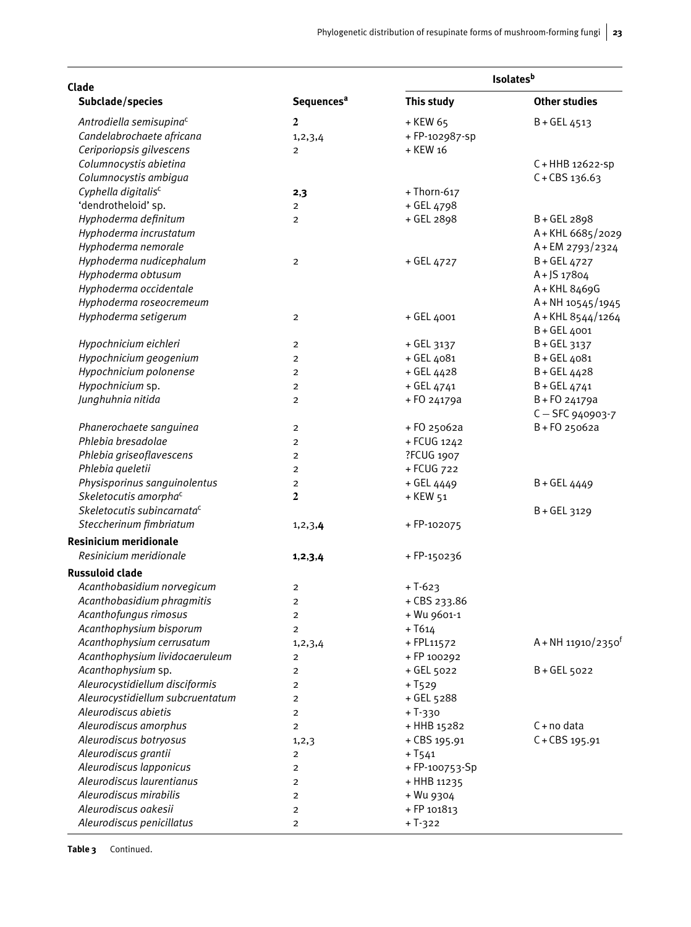| Clade                                  |                        | <b>Isolates</b> <sup>b</sup> |                                |
|----------------------------------------|------------------------|------------------------------|--------------------------------|
| Subclade/species                       | Sequences <sup>a</sup> | This study                   | <b>Other studies</b>           |
| Antrodiella semisupina <sup>c</sup>    | 2                      | + KEW 65                     | $B + GEL 4513$                 |
| Candelabrochaete africana              | 1, 2, 3, 4             | +FP-102987-sp                |                                |
| Ceriporiopsis gilvescens               | 2                      | + KEW 16                     |                                |
| Columnocystis abietina                 |                        |                              | C + HHB 12622-Sp               |
| Columnocystis ambigua                  |                        |                              | $C + CBS$ 136.63               |
| Cyphella digitalis <sup>c</sup>        | 2,3                    | + Thorn-617                  |                                |
| 'dendrotheloid' sp.                    | 2                      | + GEL 4798                   |                                |
| Hyphoderma definitum                   | $\overline{2}$         | + GEL 2898                   | B+GEL 2898                     |
| Hyphoderma incrustatum                 |                        |                              | A+KHL 6685/2029                |
| Hyphoderma nemorale                    |                        |                              | A+EM 2793/2324                 |
| Hyphoderma nudicephalum                | $\overline{c}$         | + GEL 4727                   | $B + GEL 4727$                 |
| Hyphoderma obtusum                     |                        |                              | A+JS 17804                     |
| Hyphoderma occidentale                 |                        |                              | A + KHL 8469G                  |
| Hyphoderma roseocremeum                |                        |                              | A + NH 10545/1945              |
| Hyphoderma setigerum                   | $\overline{2}$         | + GEL 4001                   | A+KHL 8544/1264                |
|                                        |                        |                              | B + GEL 4001                   |
| Hypochnicium eichleri                  | $\overline{2}$         | + GEL 3137                   | B + GEL 3137                   |
| Hypochnicium geogenium                 | 2                      | + GEL 4081                   | B + GEL 4081                   |
| Hypochnicium polonense                 | $\overline{2}$         | + GEL 4428                   | B + GEL 4428                   |
| Hypochnicium sp.                       | $\overline{2}$         | + GEL 4741                   | $B + GEL 4741$                 |
| Junghuhnia nitida                      | $\overline{2}$         | +F0 24179a                   | B + FO 24179a                  |
|                                        |                        |                              | $C - SFC 940903 - 7$           |
| Phanerochaete sanguinea                | $\overline{2}$         | +F0 25062a                   | B+FO 25062a                    |
| Phlebia bresadolae                     | $\overline{2}$         | + FCUG 1242                  |                                |
| Phlebia griseoflavescens               | $\overline{2}$         | ?FCUG 1907                   |                                |
| Phlebia queletii                       | $\overline{2}$         | + FCUG 722                   |                                |
| Physisporinus sanguinolentus           | $\overline{2}$         | + GEL 4449                   | $B + GEL 4449$                 |
| Skeletocutis amorpha <sup>c</sup>      | $\boldsymbol{2}$       | + KEW 51                     |                                |
| Skeletocutis subincarnata <sup>c</sup> |                        |                              | B + GEL 3129                   |
| Steccherinum fimbriatum                | 1, 2, 3, 4             | +FP-102075                   |                                |
| <b>Resinicium meridionale</b>          |                        |                              |                                |
| Resinicium meridionale                 | 1, 2, 3, 4             | +FP-150236                   |                                |
| <b>Russuloid clade</b>                 |                        |                              |                                |
| Acanthobasidium norvegicum             | 2                      | $+T-623$                     |                                |
| Acanthobasidium phragmitis             | 2                      | + CBS 233.86                 |                                |
| Acanthofungus rimosus                  | $\overline{c}$         | + Wu 9601-1                  |                                |
| Acanthophysium bisporum                | $\overline{2}$         | $+ 7614$                     |                                |
| Acanthophysium cerrusatum              | 1, 2, 3, 4             | +FPL11572                    | A + NH 11910/2350 <sup>t</sup> |
| Acanthophysium lividocaeruleum         | 2                      | +FP 100292                   |                                |
| Acanthophysium sp.                     | 2                      | + GEL 5022                   | $B + GEL$ 5022                 |
| Aleurocystidiellum disciformis         | 2                      | $+T529$                      |                                |
| Aleurocystidiellum subcruentatum       | 2                      | + GEL 5288                   |                                |
| Aleurodiscus abietis                   | 2                      | $+T-330$                     |                                |
| Aleurodiscus amorphus                  | $\overline{c}$         | + HHB 15282                  | $C + no$ data                  |
| Aleurodiscus botryosus                 | 1, 2, 3                | + CBS 195.91                 | $C + CBS$ 195.91               |
| Aleurodiscus grantii                   | $\overline{2}$         | $+T541$                      |                                |
| Aleurodiscus lapponicus                | $\overline{2}$         | +FP-100753-Sp                |                                |
| Aleurodiscus laurentianus              | 2                      | + HHB 11235                  |                                |
| Aleurodiscus mirabilis                 | 2                      | + Wu 9304                    |                                |
| Aleurodiscus oakesii                   | 2                      | +FP 101813                   |                                |
| Aleurodiscus penicillatus              | $\overline{c}$         | $+T-322$                     |                                |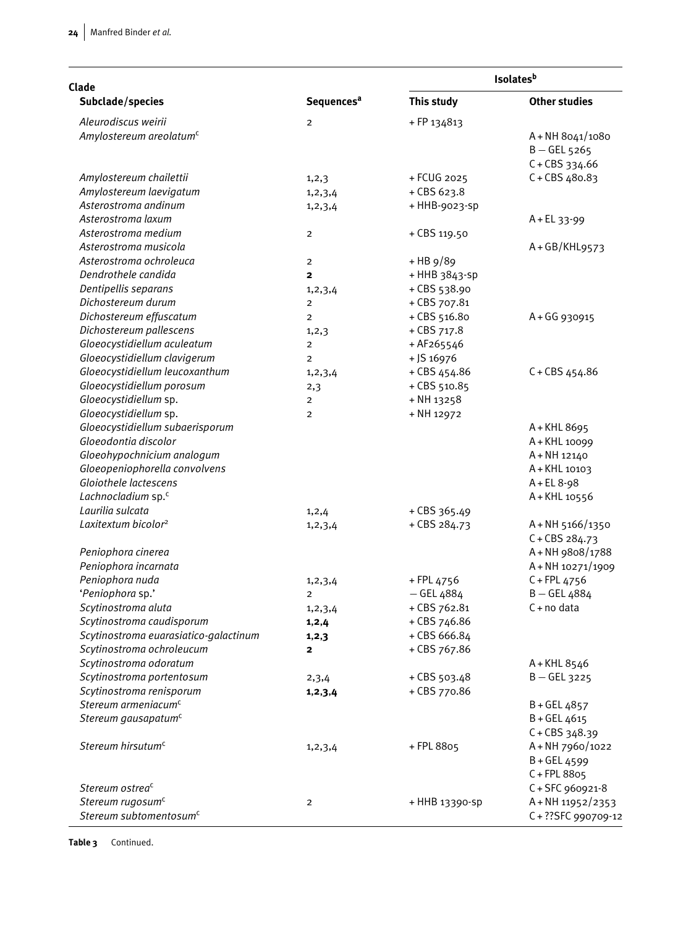| Clade                                 |                              |                | <b>Isolates</b> <sup>b</sup> |
|---------------------------------------|------------------------------|----------------|------------------------------|
| Subclade/species                      | <b>Sequences<sup>a</sup></b> | This study     | <b>Other studies</b>         |
| Aleurodiscus weirii                   | $\overline{2}$               | +FP 134813     |                              |
| Amylostereum areolatum <sup>c</sup>   |                              |                | A+NH 8041/1080               |
|                                       |                              |                | $B - GEL$ 5265               |
|                                       |                              |                | $C + CBS$ 334.66             |
| Amylostereum chailettii               | 1, 2, 3                      | + FCUG 2025    | $C + CBS 480.83$             |
| Amylostereum laevigatum               | 1, 2, 3, 4                   | $+$ CBS 623.8  |                              |
| Asterostroma andinum                  | 1, 2, 3, 4                   | + HHB-9023-sp  |                              |
| Asterostroma laxum                    |                              |                | $A + EL$ 33-99               |
| Asterostroma medium                   | $\mathbf 2$                  | + CBS 119.50   |                              |
| Asterostroma musicola                 |                              |                | A+GB/KHL9573                 |
| Asterostroma ochroleuca               | $\overline{2}$               | $+$ HB $9/89$  |                              |
| Dendrothele candida                   | $\mathbf{2}$                 | + HHB 3843-sp  |                              |
| Dentipellis separans                  | 1, 2, 3, 4                   | + CBS 538.90   |                              |
| Dichostereum durum                    | $\overline{2}$               | + CBS 707.81   |                              |
| Dichostereum effuscatum               | $\overline{2}$               | + CBS 516.80   | A+GG 930915                  |
| Dichostereum pallescens               | 1, 2, 3                      | $+$ CBS 717.8  |                              |
| Gloeocystidiellum aculeatum           | $\overline{2}$               | + AF265546     |                              |
| Gloeocystidiellum clavigerum          | $\overline{2}$               | $+$ JS 16976   |                              |
| Gloeocystidiellum leucoxanthum        | 1, 2, 3, 4                   | + CBS 454.86   | $C + CBS$ 454.86             |
| Gloeocystidiellum porosum             | 2,3                          | $+$ CBS 510.85 |                              |
| Gloeocystidiellum sp.                 | $\overline{2}$               | + NH 13258     |                              |
| Gloeocystidiellum sp.                 | $\overline{2}$               | + NH 12972     |                              |
| Gloeocystidiellum subaerisporum       |                              |                | A + KHL 8695                 |
| Gloeodontia discolor                  |                              |                | A + KHL 10099                |
| Gloeohypochnicium analogum            |                              |                | A + NH 12140                 |
| Gloeopeniophorella convolvens         |                              |                | A + KHL 10103                |
| Gloiothele lactescens                 |                              |                | $A + EL$ 8-98                |
| Lachnocladium sp. <sup>c</sup>        |                              |                | A + KHL 10556                |
| Laurilia sulcata                      | 1, 2, 4                      | $+$ CBS 365.49 |                              |
| Laxitextum bicolor <sup>2</sup>       | 1, 2, 3, 4                   | + CBS 284.73   | A+NH 5166/1350               |
|                                       |                              |                | $C + CBS 284.73$             |
| Peniophora cinerea                    |                              |                | A+NH 9808/1788               |
| Peniophora incarnata                  |                              |                | A+NH 10271/1909              |
| Peniophora nuda                       | 1, 2, 3, 4                   | + FPL 4756     | $C$ + FPL 4756               |
| 'Peniophora sp.'                      | $\overline{2}$               | $-$ GEL 4884   | $B - GEL 4884$               |
| Scytinostroma aluta                   | 1, 2, 3, 4                   | + CBS 762.81   | C + no data                  |
| Scytinostroma caudisporum             | 1, 2, 4                      | + CBS 746.86   |                              |
| Scytinostroma euarasiatico-galactinum | 1, 2, 3                      | + CBS 666.84   |                              |
| Scytinostroma ochroleucum             | $\overline{2}$               | + CBS 767.86   |                              |
| Scytinostroma odoratum                |                              |                | A + KHL 8546                 |
| Scytinostroma portentosum             | 2,3,4                        | + CBS 503.48   | $B - GEL$ 3225               |
| Scytinostroma renisporum              | 1, 2, 3, 4                   | + CBS 770.86   |                              |
| Stereum armeniacum <sup>c</sup>       |                              |                | $B + GEL 4857$               |
| Stereum gausapatum <sup>c</sup>       |                              |                | B + GEL 4615                 |
|                                       |                              |                | $C + CBS$ 348.39             |
| Stereum hirsutum <sup>c</sup>         | 1, 2, 3, 4                   | + FPL 8805     | A+NH 7960/1022               |
|                                       |                              |                | $B + GEL 4599$               |
|                                       |                              |                | $C$ + FPL 8805               |
| Stereum ostrea <sup>c</sup>           |                              |                | C + SFC 960921-8             |
| Stereum rugosum <sup>c</sup>          | $\overline{2}$               | + HHB 13390-Sp | A + NH 11952/2353            |
| Stereum subtomentosum <sup>c</sup>    |                              |                | C+??SFC 990709-12            |

**Table 3** Continued.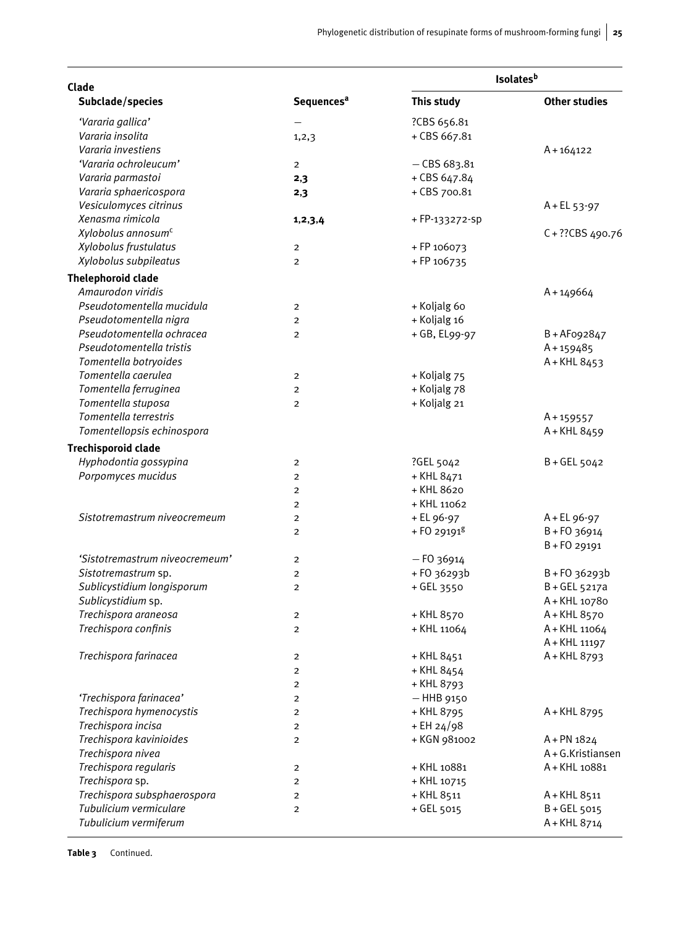| Clade                          |                              | <b>Isolates</b> <sup>b</sup> |                      |
|--------------------------------|------------------------------|------------------------------|----------------------|
| Subclade/species               | <b>Sequences<sup>a</sup></b> | This study                   | <b>Other studies</b> |
| 'Vararia gallica'              |                              | ?CBS 656.81                  |                      |
| Vararia insolita               | 1, 2, 3                      | + CBS 667.81                 |                      |
| Vararia investiens             |                              |                              | $A + 164122$         |
| 'Vararia ochroleucum'          | $\overline{2}$               | $-$ CBS 683.81               |                      |
| Vararia parmastoi              | 2,3                          | + CBS 647.84                 |                      |
| Vararia sphaericospora         | 2,3                          | + CBS 700.81                 |                      |
| Vesiculomyces citrinus         |                              |                              | $A + EL$ 53-97       |
| Xenasma rimicola               | 1, 2, 3, 4                   | +FP-133272-sp                |                      |
| Xylobolus annosum <sup>c</sup> |                              |                              | C + ?? CBS 490.76    |
| Xylobolus frustulatus          | $\overline{2}$               | +FP 106073                   |                      |
| Xylobolus subpileatus          | $\overline{2}$               | +FP 106735                   |                      |
| <b>Thelephoroid clade</b>      |                              |                              |                      |
| Amaurodon viridis              |                              |                              | $A + 149664$         |
| Pseudotomentella mucidula      | $\overline{2}$               | + Koljalg 60                 |                      |
| Pseudotomentella nigra         | $\overline{2}$               | + Koljalg 16                 |                      |
| Pseudotomentella ochracea      | $\overline{2}$               | + GB, EL99-97                | B+AF092847           |
| Pseudotomentella tristis       |                              |                              | $A + 159485$         |
| Tomentella botryoides          |                              |                              | A + KHL 8453         |
| Tomentella caerulea            | $\overline{2}$               | + Koljalg 75                 |                      |
| Tomentella ferruginea          | $\overline{2}$               | + Koljalg 78                 |                      |
| Tomentella stuposa             | $\overline{2}$               | + Koljalg 21                 |                      |
| Tomentella terrestris          |                              |                              | $A + 159557$         |
| Tomentellopsis echinospora     |                              |                              | A + KHL 8459         |
|                                |                              |                              |                      |
| <b>Trechisporoid clade</b>     |                              |                              |                      |
| Hyphodontia gossypina          | $\overline{2}$               | ?GEL 5042                    | $B + GEL$ 5042       |
| Porpomyces mucidus             | $\overline{2}$               | + KHL 8471                   |                      |
|                                | $\overline{2}$               | + KHL 8620                   |                      |
|                                | $\overline{2}$               | + KHL 11062                  |                      |
| Sistotremastrum niveocremeum   | $\overline{2}$               | + EL 96-97                   | A + EL 96-97         |
|                                | $\overline{2}$               | + FO 29191 <sup>g</sup>      | $B + F0$ 36914       |
|                                |                              |                              | B + FO 29191         |
| 'Sistotremastrum niveocremeum' | $\overline{2}$               | $- F0$ 36914                 |                      |
| Sistotremastrum sp.            | $\overline{2}$               | +F0 36293b                   | $B + F0$ 36293b      |
| Sublicystidium longisporum     | 2                            | + GEL 3550                   | $B + GEL$ 5217a      |
| Sublicystidium sp.             |                              |                              | A + KHL 10780        |
| Trechispora araneosa           | $\overline{\mathbf{c}}$      | + KHL 8570                   | A + KHL 8570         |
| Trechispora confinis           | 2                            | + KHL 11064                  | A + KHL 11064        |
|                                |                              |                              | A + KHL 11197        |
| Trechispora farinacea          | $\overline{2}$               | + KHL 8451                   | A + KHL 8793         |
|                                | $\overline{2}$               | + KHL 8454                   |                      |
|                                | $\overline{2}$               | + KHL 8793                   |                      |
| 'Trechispora farinacea'        | $\overline{2}$               | $-$ HHB 9150                 |                      |
| Trechispora hymenocystis       | $\overline{2}$               | + KHL 8795                   | A + KHL 8795         |
| Trechispora incisa             | $\overline{2}$               | $+EH 24/98$                  |                      |
| Trechispora kavinioides        | $\overline{2}$               | + KGN 981002                 | $A + PN$ 1824        |
| Trechispora nivea              |                              |                              | A+G.Kristiansen      |
| Trechispora regularis          | $\overline{2}$               | + KHL 10881                  | A + KHL 10881        |
| Trechispora sp.                | $\overline{2}$               | + KHL 10715                  |                      |
| Trechispora subsphaerospora    | $\overline{2}$               | + KHL 8511                   | A + KHL 8511         |
| Tubulicium vermiculare         | $\overline{2}$               | + GEL 5015                   | $B + GEL$ 5015       |
| Tubulicium vermiferum          |                              |                              | A + KHL 8714         |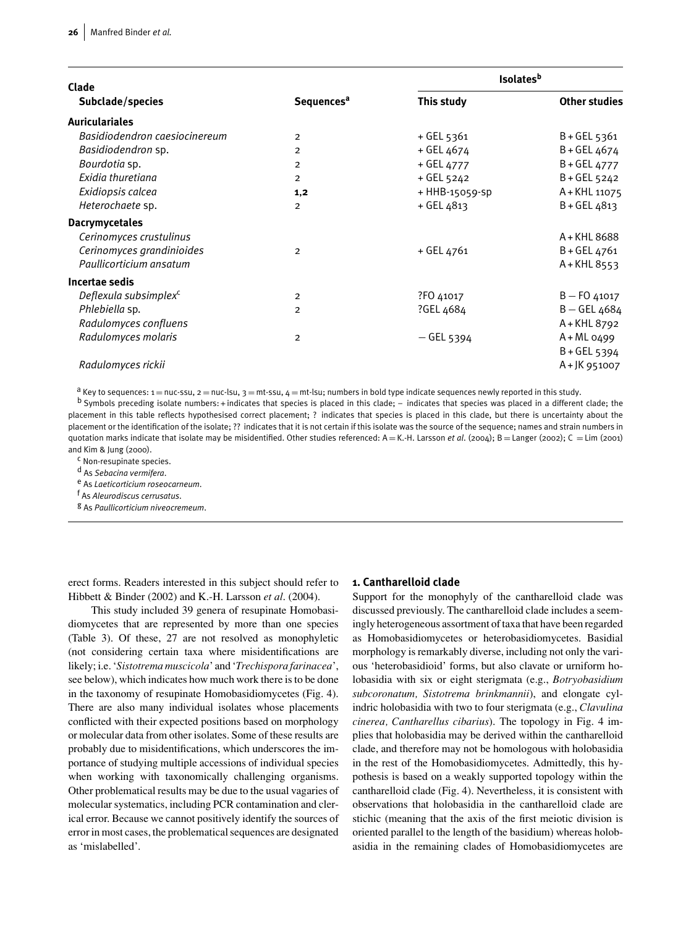| Clade                         |                              | <b>Isolates</b> <sup>b</sup> |                      |
|-------------------------------|------------------------------|------------------------------|----------------------|
| Subclade/species              | <b>Sequences<sup>a</sup></b> | This study                   | <b>Other studies</b> |
| <b>Auriculariales</b>         |                              |                              |                      |
| Basidiodendron caesiocinereum | $\overline{2}$               | $+$ GEL 5361                 | $B + GEL$ 5361       |
| Basidiodendron sp.            | 2                            | + GEL 4674                   | $B + GEL 4674$       |
| Bourdotia sp.                 | 2                            | + GEL 4777                   | $B + GEL 4777$       |
| Exidia thuretiana             | $\overline{2}$               | $+$ GEL 5242                 | $B + GEL$ 5242       |
| Exidiopsis calcea             | 1,2                          | + HHB-15059-Sp               | A + KHL 11075        |
| Heterochaete sp.              | $\overline{2}$               | $+$ GEL 4813                 | $B + GEL 4813$       |
| <b>Dacrymycetales</b>         |                              |                              |                      |
| Cerinomyces crustulinus       |                              |                              | A + KHL 8688         |
| Cerinomyces grandinioides     | $\overline{2}$               | + GEL 4761                   | $B + GEL 4761$       |
| Paullicorticium ansatum       |                              |                              | $A + KHL 8553$       |
| Incertae sedis                |                              |                              |                      |
| Deflexula subsimplex $c$      | $\overline{2}$               | ?FO 41017                    | $B - F0$ 41017       |
| Phlebiella sp.                | $\overline{2}$               | ?GEL 4684                    | $B - GEL 4684$       |
| Radulomyces confluens         |                              |                              | A + KHL 8792         |
| Radulomyces molaris           | $\overline{2}$               | $-$ GEL 5394                 | $A + ML 0499$        |
|                               |                              |                              | $B + GEL$ 5394       |
| Radulomyces rickii            |                              |                              | A+JK 951007          |

 $a$  Key to sequences:  $1 =$  nuc-ssu,  $2 =$  nuc-lsu,  $3 =$  mt-ssu,  $4 =$  mt-lsu; numbers in bold type indicate sequences newly reported in this study.

 $<sup>b</sup>$  Symbols preceding isolate numbers: + indicates that species is placed in this clade; - indicates that species was placed in a different clade; the</sup> placement in this table reflects hypothesised correct placement; ? indicates that species is placed in this clade, but there is uncertainty about the placement or the identification of the isolate; ?? indicates that it is not certain if this isolate was the source of the sequence; names and strain numbers in quotation marks indicate that isolate may be misidentified. Other studies referenced: A = K.-H. Larsson *et al.* (2004); B = Langer (2002); C = Lim (2001) and Kim & Jung (2000).

c Non-resupinate species.

d As *Sebacina vermifera*.

e As *Laeticorticium roseocarneum*.

f As *Aleurodiscus cerrusatus*.

g As *Paullicorticium niveocremeum*.

erect forms. Readers interested in this subject should refer to Hibbett & Binder (2002) and K.-H. Larsson *et al*. (2004).

This study included 39 genera of resupinate Homobasidiomycetes that are represented by more than one species (Table 3). Of these, 27 are not resolved as monophyletic (not considering certain taxa where misidentifications are likely; i.e. '*Sistotrema muscicola*' and '*Trechispora farinacea*', see below), which indicates how much work there is to be done in the taxonomy of resupinate Homobasidiomycetes (Fig. 4). There are also many individual isolates whose placements conflicted with their expected positions based on morphology or molecular data from other isolates. Some of these results are probably due to misidentifications, which underscores the importance of studying multiple accessions of individual species when working with taxonomically challenging organisms. Other problematical results may be due to the usual vagaries of molecular systematics, including PCR contamination and clerical error. Because we cannot positively identify the sources of error in most cases, the problematical sequences are designated as 'mislabelled'.

#### **1. Cantharelloid clade**

Support for the monophyly of the cantharelloid clade was discussed previously. The cantharelloid clade includes a seemingly heterogeneous assortment of taxa that have been regarded as Homobasidiomycetes or heterobasidiomycetes. Basidial morphology is remarkably diverse, including not only the various 'heterobasidioid' forms, but also clavate or urniform holobasidia with six or eight sterigmata (e.g., *Botryobasidium subcoronatum, Sistotrema brinkmannii*), and elongate cylindric holobasidia with two to four sterigmata (e.g., *Clavulina cinerea, Cantharellus cibarius*). The topology in Fig. 4 implies that holobasidia may be derived within the cantharelloid clade, and therefore may not be homologous with holobasidia in the rest of the Homobasidiomycetes. Admittedly, this hypothesis is based on a weakly supported topology within the cantharelloid clade (Fig. 4). Nevertheless, it is consistent with observations that holobasidia in the cantharelloid clade are stichic (meaning that the axis of the first meiotic division is oriented parallel to the length of the basidium) whereas holobasidia in the remaining clades of Homobasidiomycetes are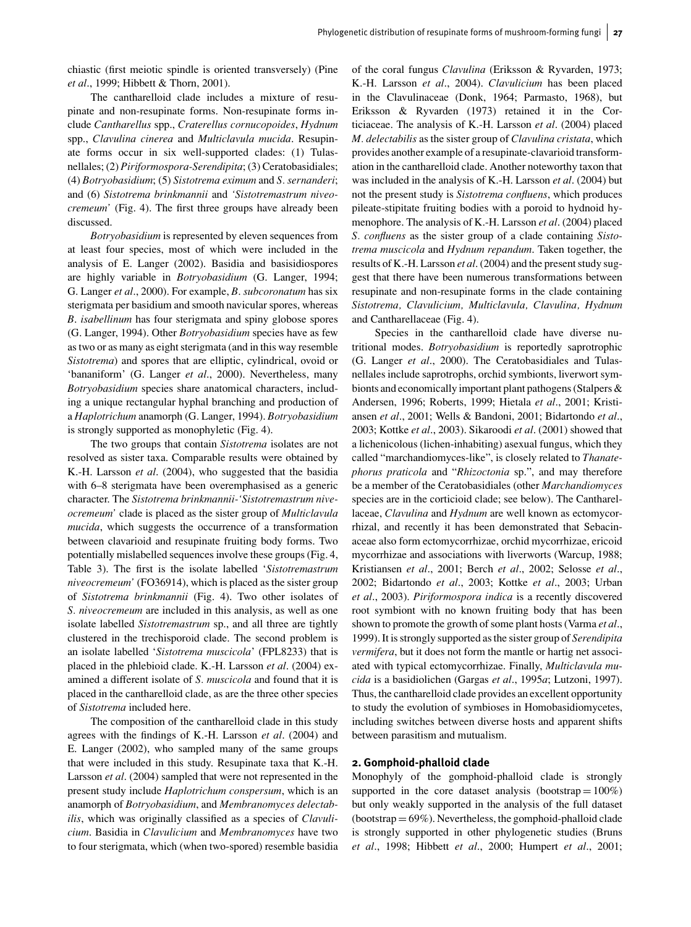chiastic (first meiotic spindle is oriented transversely) (Pine *et al*., 1999; Hibbett & Thorn, 2001).

The cantharelloid clade includes a mixture of resupinate and non-resupinate forms. Non-resupinate forms include *Cantharellus* spp., *Craterellus cornucopoides*, *Hydnum* spp., *Clavulina cinerea* and *Multiclavula mucida*. Resupinate forms occur in six well-supported clades: (1) Tulasnellales; (2) *Piriformospora-Serendipita*; (3) Ceratobasidiales; (4) *Botryobasidium*; (5) *Sistotrema eximum* and *S. sernanderi*; and (6) *Sistotrema brinkmannii* and *'Sistotremastrum niveocremeum'* (Fig. 4). The first three groups have already been discussed.

*Botryobasidium* is represented by eleven sequences from at least four species, most of which were included in the analysis of E. Langer (2002). Basidia and basisidiospores are highly variable in *Botryobasidium* (G. Langer, 1994; G. Langer *et al*., 2000). For example, *B*. *subcoronatum* has six sterigmata per basidium and smooth navicular spores, whereas *B*. *isabellinum* has four sterigmata and spiny globose spores (G. Langer, 1994). Other *Botryobasidium* species have as few as two or as many as eight sterigmata (and in this way resemble *Sistotrema*) and spores that are elliptic, cylindrical, ovoid or 'bananiform' (G. Langer *et al*., 2000). Nevertheless, many *Botryobasidium* species share anatomical characters, including a unique rectangular hyphal branching and production of a *Haplotrichum* anamorph (G. Langer, 1994). *Botryobasidium* is strongly supported as monophyletic (Fig. 4).

The two groups that contain *Sistotrema* isolates are not resolved as sister taxa. Comparable results were obtained by K.-H. Larsson *et al*. (2004), who suggested that the basidia with 6–8 sterigmata have been overemphasised as a generic character. The *Sistotrema brinkmannii-'Sistotremastrum niveocremeum'* clade is placed as the sister group of *Multiclavula mucida*, which suggests the occurrence of a transformation between clavarioid and resupinate fruiting body forms. Two potentially mislabelled sequences involve these groups (Fig. 4, Table 3). The first is the isolate labelled '*Sistotremastrum niveocremeum'* (FO36914), which is placed as the sister group of *Sistotrema brinkmannii* (Fig. 4). Two other isolates of *S. niveocremeum* are included in this analysis, as well as one isolate labelled *Sistotremastrum* sp., and all three are tightly clustered in the trechisporoid clade. The second problem is an isolate labelled '*Sistotrema muscicola*' (FPL8233) that is placed in the phlebioid clade. K.-H. Larsson *et al*. (2004) examined a different isolate of *S. muscicola* and found that it is placed in the cantharelloid clade, as are the three other species of *Sistotrema* included here.

The composition of the cantharelloid clade in this study agrees with the findings of K.-H. Larsson *et al*. (2004) and E. Langer (2002), who sampled many of the same groups that were included in this study. Resupinate taxa that K.-H. Larsson *et al*. (2004) sampled that were not represented in the present study include *Haplotrichum conspersum*, which is an anamorph of *Botryobasidium*, and *Membranomyces delectabilis*, which was originally classified as a species of *Clavulicium*. Basidia in *Clavulicium* and *Membranomyces* have two to four sterigmata, which (when two-spored) resemble basidia of the coral fungus *Clavulina* (Eriksson & Ryvarden, 1973; K.-H. Larsson *et al*., 2004). *Clavulicium* has been placed in the Clavulinaceae (Donk, 1964; Parmasto, 1968), but Eriksson & Ryvarden (1973) retained it in the Corticiaceae. The analysis of K.-H. Larsson *et al*. (2004) placed *M. delectabilis* as the sister group of *Clavulina cristata*, which provides another example of a resupinate-clavarioid transformation in the cantharelloid clade. Another noteworthy taxon that was included in the analysis of K.-H. Larsson *et al*. (2004) but not the present study is *Sistotrema confluens*, which produces pileate-stipitate fruiting bodies with a poroid to hydnoid hymenophore. The analysis of K.-H. Larsson *et al*. (2004) placed *S. confluens* as the sister group of a clade containing *Sistotrema muscicola* and *Hydnum repandum*. Taken together, the results of K.-H. Larsson *et al*. (2004) and the present study suggest that there have been numerous transformations between resupinate and non-resupinate forms in the clade containing *Sistotrema, Clavulicium, Multiclavula, Clavulina, Hydnum* and Cantharellaceae (Fig. 4).

Species in the cantharelloid clade have diverse nutritional modes. *Botryobasidium* is reportedly saprotrophic (G. Langer *et al*., 2000). The Ceratobasidiales and Tulasnellales include saprotrophs, orchid symbionts, liverwort symbionts and economically important plant pathogens (Stalpers & Andersen, 1996; Roberts, 1999; Hietala *et al*., 2001; Kristiansen *et al*., 2001; Wells & Bandoni, 2001; Bidartondo *et al*., 2003; Kottke *et al*., 2003). Sikaroodi *et al*. (2001) showed that a lichenicolous (lichen-inhabiting) asexual fungus, which they called "marchandiomyces-like", is closely related to *Thanatephorus praticola* and "*Rhizoctonia* sp.", and may therefore be a member of the Ceratobasidiales (other *Marchandiomyces* species are in the corticioid clade; see below). The Cantharellaceae, *Clavulina* and *Hydnum* are well known as ectomycorrhizal, and recently it has been demonstrated that Sebacinaceae also form ectomycorrhizae, orchid mycorrhizae, ericoid mycorrhizae and associations with liverworts (Warcup, 1988; Kristiansen *et al*., 2001; Berch *et al*., 2002; Selosse *et al*., 2002; Bidartondo *et al*., 2003; Kottke *et al*., 2003; Urban *et al*., 2003). *Piriformospora indica* is a recently discovered root symbiont with no known fruiting body that has been shown to promote the growth of some plant hosts (Varma *et al*., 1999). It is strongly supported as the sister group of *Serendipita vermifera*, but it does not form the mantle or hartig net associated with typical ectomycorrhizae. Finally, *Multiclavula mucida* is a basidiolichen (Gargas *et al*., 1995*a*; Lutzoni, 1997). Thus, the cantharelloid clade provides an excellent opportunity to study the evolution of symbioses in Homobasidiomycetes, including switches between diverse hosts and apparent shifts between parasitism and mutualism.

#### **2. Gomphoid-phalloid clade**

Monophyly of the gomphoid-phalloid clade is strongly supported in the core dataset analysis (bootstrap =  $100\%$ ) but only weakly supported in the analysis of the full dataset  $(bootstrap = 69\%)$ . Nevertheless, the gomphoid-phalloid clade is strongly supported in other phylogenetic studies (Bruns *et al*., 1998; Hibbett *et al*., 2000; Humpert *et al*., 2001;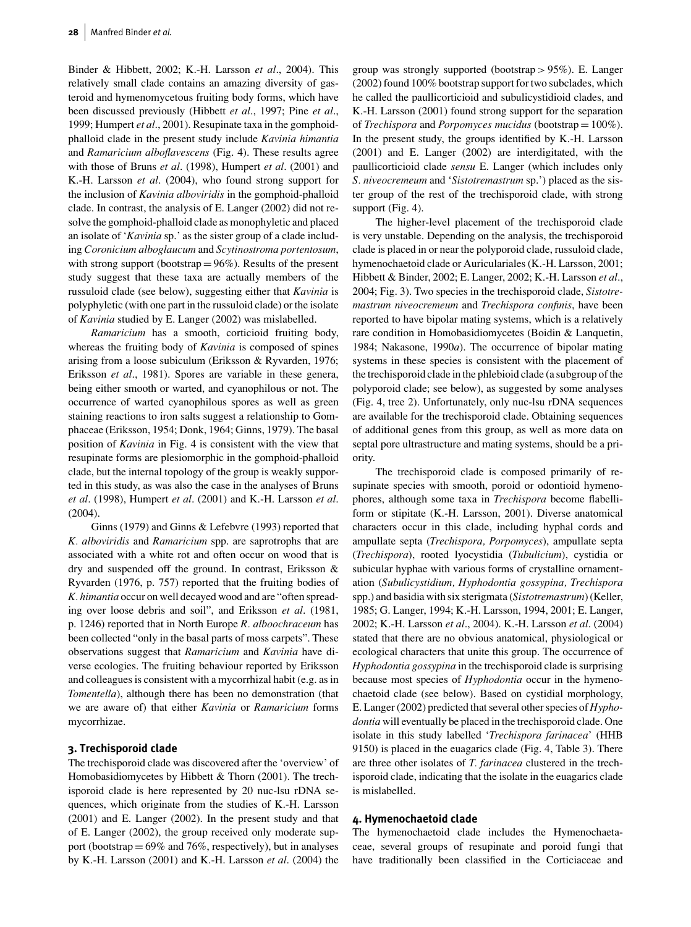Binder & Hibbett, 2002; K.-H. Larsson *et al*., 2004). This relatively small clade contains an amazing diversity of gasteroid and hymenomycetous fruiting body forms, which have been discussed previously (Hibbett *et al*., 1997; Pine *et al*., 1999; Humpert *et al*., 2001). Resupinate taxa in the gomphoidphalloid clade in the present study include *Kavinia himantia* and *Ramaricium alboflavescens* (Fig. 4). These results agree with those of Bruns *et al*. (1998), Humpert *et al*. (2001) and K.-H. Larsson *et al*. (2004), who found strong support for the inclusion of *Kavinia alboviridis* in the gomphoid-phalloid clade. In contrast, the analysis of E. Langer (2002) did not resolve the gomphoid-phalloid clade as monophyletic and placed an isolate of '*Kavinia* sp.' as the sister group of a clade including *Coronicium alboglaucum* and *Scytinostroma portentosum*, with strong support (bootstrap =  $96\%$ ). Results of the present study suggest that these taxa are actually members of the russuloid clade (see below), suggesting either that *Kavinia* is polyphyletic (with one part in the russuloid clade) or the isolate of *Kavinia* studied by E. Langer (2002) was mislabelled.

*Ramaricium* has a smooth, corticioid fruiting body, whereas the fruiting body of *Kavinia* is composed of spines arising from a loose subiculum (Eriksson & Ryvarden, 1976; Eriksson *et al*., 1981). Spores are variable in these genera, being either smooth or warted, and cyanophilous or not. The occurrence of warted cyanophilous spores as well as green staining reactions to iron salts suggest a relationship to Gomphaceae (Eriksson, 1954; Donk, 1964; Ginns, 1979). The basal position of *Kavinia* in Fig. 4 is consistent with the view that resupinate forms are plesiomorphic in the gomphoid-phalloid clade, but the internal topology of the group is weakly supported in this study, as was also the case in the analyses of Bruns *et al*. (1998), Humpert *et al*. (2001) and K.-H. Larsson *et al*. (2004).

Ginns (1979) and Ginns & Lefebvre (1993) reported that *K. alboviridis* and *Ramaricium* spp. are saprotrophs that are associated with a white rot and often occur on wood that is dry and suspended off the ground. In contrast, Eriksson & Ryvarden (1976, p. 757) reported that the fruiting bodies of *K. himantia* occur on well decayed wood and are "often spreading over loose debris and soil", and Eriksson *et al*. (1981, p. 1246) reported that in North Europe *R. alboochraceum* has been collected "only in the basal parts of moss carpets". These observations suggest that *Ramaricium* and *Kavinia* have diverse ecologies. The fruiting behaviour reported by Eriksson and colleagues is consistent with a mycorrhizal habit (e.g. as in *Tomentella*), although there has been no demonstration (that we are aware of) that either *Kavinia* or *Ramaricium* forms mycorrhizae.

#### **3. Trechisporoid clade**

The trechisporoid clade was discovered after the 'overview' of Homobasidiomycetes by Hibbett & Thorn (2001). The trechisporoid clade is here represented by 20 nuc-lsu rDNA sequences, which originate from the studies of K.-H. Larsson (2001) and E. Langer (2002). In the present study and that of E. Langer (2002), the group received only moderate support (bootstrap  $= 69\%$  and 76%, respectively), but in analyses by K.-H. Larsson (2001) and K.-H. Larsson *et al*. (2004) the

group was strongly supported (bootstrap *>* 95%). E. Langer (2002) found 100% bootstrap support for two subclades, which he called the paullicorticioid and subulicystidioid clades, and K.-H. Larsson (2001) found strong support for the separation of *Trechispora* and *Porpomyces mucidus* (bootstrap = 100%). In the present study, the groups identified by K.-H. Larsson (2001) and E. Langer (2002) are interdigitated, with the paullicorticioid clade *sensu* E. Langer (which includes only *S. niveocremeum* and '*Sistotremastrum* sp.') placed as the sister group of the rest of the trechisporoid clade, with strong support (Fig. 4).

The higher-level placement of the trechisporoid clade is very unstable. Depending on the analysis, the trechisporoid clade is placed in or near the polyporoid clade, russuloid clade, hymenochaetoid clade or Auriculariales (K.-H. Larsson, 2001; Hibbett & Binder, 2002; E. Langer, 2002; K.-H. Larsson *et al*., 2004; Fig. 3). Two species in the trechisporoid clade, *Sistotremastrum niveocremeum* and *Trechispora confinis*, have been reported to have bipolar mating systems, which is a relatively rare condition in Homobasidiomycetes (Boidin & Lanquetin, 1984; Nakasone, 1990*a*). The occurrence of bipolar mating systems in these species is consistent with the placement of the trechisporoid clade in the phlebioid clade (a subgroup of the polyporoid clade; see below), as suggested by some analyses (Fig. 4, tree 2). Unfortunately, only nuc-lsu rDNA sequences are available for the trechisporoid clade. Obtaining sequences of additional genes from this group, as well as more data on septal pore ultrastructure and mating systems, should be a priority.

The trechisporoid clade is composed primarily of resupinate species with smooth, poroid or odontioid hymenophores, although some taxa in *Trechispora* become flabelliform or stipitate (K.-H. Larsson, 2001). Diverse anatomical characters occur in this clade, including hyphal cords and ampullate septa (*Trechispora, Porpomyces*), ampullate septa (*Trechispora*), rooted lyocystidia (*Tubulicium*), cystidia or subicular hyphae with various forms of crystalline ornamentation (*Subulicystidium, Hyphodontia gossypina, Trechispora* spp.) and basidia with six sterigmata (*Sistotremastrum*) (Keller, 1985; G. Langer, 1994; K.-H. Larsson, 1994, 2001; E. Langer, 2002; K.-H. Larsson *et al*., 2004). K.-H. Larsson *et al*. (2004) stated that there are no obvious anatomical, physiological or ecological characters that unite this group. The occurrence of *Hyphodontia gossypina* in the trechisporoid clade is surprising because most species of *Hyphodontia* occur in the hymenochaetoid clade (see below). Based on cystidial morphology, E. Langer (2002) predicted that several other species of *Hyphodontia* will eventually be placed in the trechisporoid clade. One isolate in this study labelled '*Trechispora farinacea*' (HHB 9150) is placed in the euagarics clade (Fig. 4, Table 3). There are three other isolates of *T. farinacea* clustered in the trechisporoid clade, indicating that the isolate in the euagarics clade is mislabelled.

#### **4. Hymenochaetoid clade**

The hymenochaetoid clade includes the Hymenochaetaceae, several groups of resupinate and poroid fungi that have traditionally been classified in the Corticiaceae and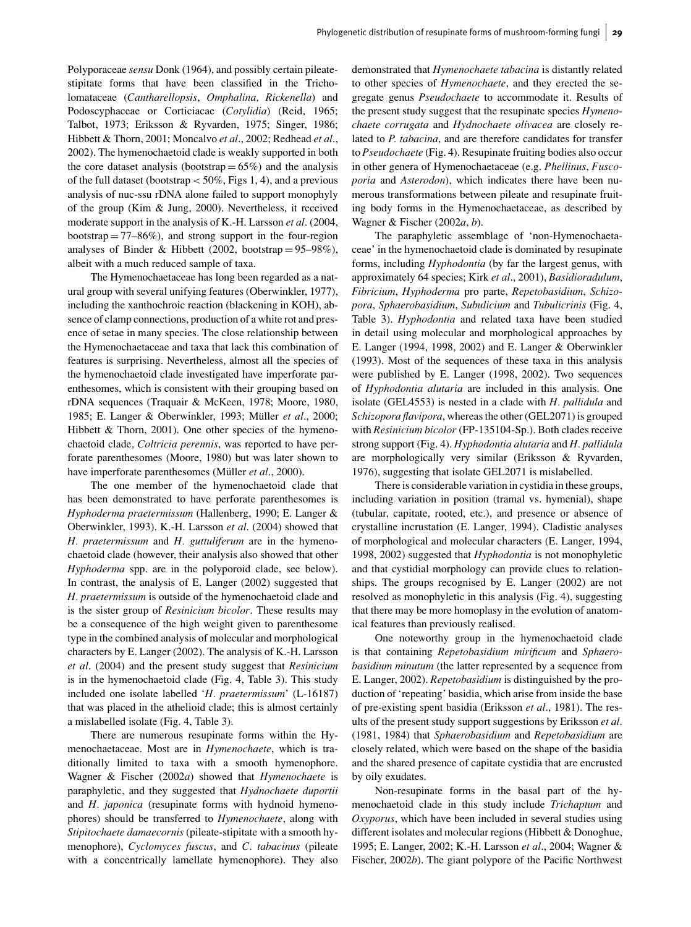Polyporaceae *sensu* Donk (1964), and possibly certain pileatestipitate forms that have been classified in the Tricholomataceae (*Cantharellopsis*, *Omphalina, Rickenella*) and Podoscyphaceae or Corticiacae (*Cotylidia*) (Reid, 1965; Talbot, 1973; Eriksson & Ryvarden, 1975; Singer, 1986; Hibbett & Thorn, 2001; Moncalvo *et al*., 2002; Redhead *et al*., 2002). The hymenochaetoid clade is weakly supported in both the core dataset analysis (bootstrap  $= 65\%$ ) and the analysis of the full dataset (bootstrap *<* 50%, Figs 1, 4), and a previous analysis of nuc-ssu rDNA alone failed to support monophyly of the group (Kim & Jung, 2000). Nevertheless, it received moderate support in the analysis of K.-H. Larsson *et al*. (2004, bootstrap  $= 77-86\%$ , and strong support in the four-region analyses of Binder & Hibbett (2002, bootstrap =  $95-98\%$ ), albeit with a much reduced sample of taxa.

The Hymenochaetaceae has long been regarded as a natural group with several unifying features (Oberwinkler, 1977), including the xanthochroic reaction (blackening in KOH), absence of clamp connections, production of a white rot and presence of setae in many species. The close relationship between the Hymenochaetaceae and taxa that lack this combination of features is surprising. Nevertheless, almost all the species of the hymenochaetoid clade investigated have imperforate parenthesomes, which is consistent with their grouping based on rDNA sequences (Traquair & McKeen, 1978; Moore, 1980, 1985; E. Langer & Oberwinkler, 1993; Müller et al., 2000; Hibbett & Thorn, 2001). One other species of the hymenochaetoid clade, *Coltricia perennis*, was reported to have perforate parenthesomes (Moore, 1980) but was later shown to have imperforate parenthesomes (Müller *et al.*, 2000).

The one member of the hymenochaetoid clade that has been demonstrated to have perforate parenthesomes is *Hyphoderma praetermissum* (Hallenberg, 1990; E. Langer & Oberwinkler, 1993). K.-H. Larsson *et al*. (2004) showed that *H. praetermissum* and *H. guttuliferum* are in the hymenochaetoid clade (however, their analysis also showed that other *Hyphoderma* spp. are in the polyporoid clade, see below). In contrast, the analysis of E. Langer (2002) suggested that *H. praetermissum* is outside of the hymenochaetoid clade and is the sister group of *Resinicium bicolor*. These results may be a consequence of the high weight given to parenthesome type in the combined analysis of molecular and morphological characters by E. Langer (2002). The analysis of K.-H. Larsson *et al*. (2004) and the present study suggest that *Resinicium* is in the hymenochaetoid clade (Fig. 4, Table 3). This study included one isolate labelled '*H. praetermissum*' (L-16187) that was placed in the athelioid clade; this is almost certainly a mislabelled isolate (Fig. 4, Table 3).

There are numerous resupinate forms within the Hymenochaetaceae. Most are in *Hymenochaete*, which is traditionally limited to taxa with a smooth hymenophore. Wagner & Fischer (2002*a*) showed that *Hymenochaete* is paraphyletic, and they suggested that *Hydnochaete duportii* and *H. japonica* (resupinate forms with hydnoid hymenophores) should be transferred to *Hymenochaete*, along with *Stipitochaete damaecornis* (pileate-stipitate with a smooth hymenophore), *Cyclomyces fuscus*, and *C. tabacinus* (pileate with a concentrically lamellate hymenophore). They also

demonstrated that *Hymenochaete tabacina* is distantly related to other species of *Hymenochaete*, and they erected the segregate genus *Pseudochaete* to accommodate it. Results of the present study suggest that the resupinate species *Hymenochaete corrugata* and *Hydnochaete olivacea* are closely related to *P. tabacina*, and are therefore candidates for transfer to *Pseudochaete* (Fig. 4). Resupinate fruiting bodies also occur in other genera of Hymenochaetaceae (e.g. *Phellinus*, *Fuscoporia* and *Asterodon*), which indicates there have been numerous transformations between pileate and resupinate fruiting body forms in the Hymenochaetaceae, as described by Wagner & Fischer (2002*a*, *b*).

The paraphyletic assemblage of 'non-Hymenochaetaceae' in the hymenochaetoid clade is dominated by resupinate forms, including *Hyphodontia* (by far the largest genus, with approximately 64 species; Kirk *et al*., 2001), *Basidioradulum*, *Fibricium*, *Hyphoderma* pro parte, *Repetobasidium*, *Schizopora*, *Sphaerobasidium*, *Subulicium* and *Tubulicrinis* (Fig. 4, Table 3). *Hyphodontia* and related taxa have been studied in detail using molecular and morphological approaches by E. Langer (1994, 1998, 2002) and E. Langer & Oberwinkler (1993). Most of the sequences of these taxa in this analysis were published by E. Langer (1998, 2002). Two sequences of *Hyphodontia alutaria* are included in this analysis. One isolate (GEL4553) is nested in a clade with *H. pallidula* and *Schizopora flavipora*, whereas the other (GEL2071) is grouped with *Resinicium bicolor* (FP-135104-Sp.). Both clades receive strong support (Fig. 4). *Hyphodontia alutaria* and *H. pallidula* are morphologically very similar (Eriksson & Ryvarden, 1976), suggesting that isolate GEL2071 is mislabelled.

There is considerable variation in cystidia in these groups, including variation in position (tramal vs. hymenial), shape (tubular, capitate, rooted, etc.), and presence or absence of crystalline incrustation (E. Langer, 1994). Cladistic analyses of morphological and molecular characters (E. Langer, 1994, 1998, 2002) suggested that *Hyphodontia* is not monophyletic and that cystidial morphology can provide clues to relationships. The groups recognised by E. Langer (2002) are not resolved as monophyletic in this analysis (Fig. 4), suggesting that there may be more homoplasy in the evolution of anatomical features than previously realised.

One noteworthy group in the hymenochaetoid clade is that containing *Repetobasidium mirificum* and *Sphaerobasidium minutum* (the latter represented by a sequence from E. Langer, 2002). *Repetobasidium* is distinguished by the production of 'repeating' basidia, which arise from inside the base of pre-existing spent basidia (Eriksson *et al*., 1981). The results of the present study support suggestions by Eriksson *et al*. (1981, 1984) that *Sphaerobasidium* and *Repetobasidium* are closely related, which were based on the shape of the basidia and the shared presence of capitate cystidia that are encrusted by oily exudates.

Non-resupinate forms in the basal part of the hymenochaetoid clade in this study include *Trichaptum* and *Oxyporus*, which have been included in several studies using different isolates and molecular regions (Hibbett & Donoghue, 1995; E. Langer, 2002; K.-H. Larsson *et al*., 2004; Wagner & Fischer, 2002*b*). The giant polypore of the Pacific Northwest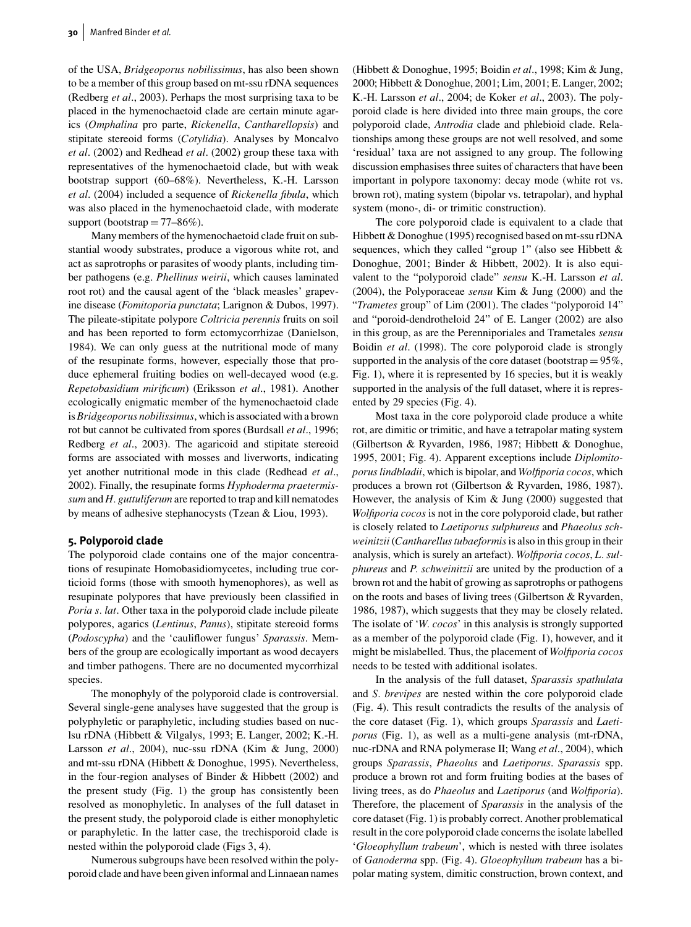of the USA, *Bridgeoporus nobilissimus*, has also been shown to be a member of this group based on mt-ssu rDNA sequences (Redberg *et al*., 2003). Perhaps the most surprising taxa to be placed in the hymenochaetoid clade are certain minute agarics (*Omphalina* pro parte, *Rickenella*, *Cantharellopsis*) and stipitate stereoid forms (*Cotylidia*). Analyses by Moncalvo *et al*. (2002) and Redhead *et al*. (2002) group these taxa with representatives of the hymenochaetoid clade, but with weak bootstrap support (60–68%). Nevertheless, K.-H. Larsson *et al*. (2004) included a sequence of *Rickenella fibula*, which was also placed in the hymenochaetoid clade, with moderate support (bootstrap  $= 77-86\%$ ).

Many members of the hymenochaetoid clade fruit on substantial woody substrates, produce a vigorous white rot, and act as saprotrophs or parasites of woody plants, including timber pathogens (e.g. *Phellinus weirii*, which causes laminated root rot) and the causal agent of the 'black measles' grapevine disease (*Fomitoporia punctata*; Larignon & Dubos, 1997). The pileate-stipitate polypore *Coltricia perennis* fruits on soil and has been reported to form ectomycorrhizae (Danielson, 1984). We can only guess at the nutritional mode of many of the resupinate forms, however, especially those that produce ephemeral fruiting bodies on well-decayed wood (e.g. *Repetobasidium mirificum*) (Eriksson *et al*., 1981). Another ecologically enigmatic member of the hymenochaetoid clade is *Bridgeoporus nobilissimus*, which is associated with a brown rot but cannot be cultivated from spores (Burdsall *et al*., 1996; Redberg *et al*., 2003). The agaricoid and stipitate stereoid forms are associated with mosses and liverworts, indicating yet another nutritional mode in this clade (Redhead *et al*., 2002). Finally, the resupinate forms *Hyphoderma praetermissum* and *H. guttuliferum* are reported to trap and kill nematodes by means of adhesive stephanocysts (Tzean & Liou, 1993).

#### **5. Polyporoid clade**

The polyporoid clade contains one of the major concentrations of resupinate Homobasidiomycetes, including true corticioid forms (those with smooth hymenophores), as well as resupinate polypores that have previously been classified in *Poria s. lat*. Other taxa in the polyporoid clade include pileate polypores, agarics (*Lentinus*, *Panus*), stipitate stereoid forms (*Podoscypha*) and the 'cauliflower fungus' *Sparassis*. Members of the group are ecologically important as wood decayers and timber pathogens. There are no documented mycorrhizal species.

The monophyly of the polyporoid clade is controversial. Several single-gene analyses have suggested that the group is polyphyletic or paraphyletic, including studies based on nuclsu rDNA (Hibbett & Vilgalys, 1993; E. Langer, 2002; K.-H. Larsson *et al*., 2004), nuc-ssu rDNA (Kim & Jung, 2000) and mt-ssu rDNA (Hibbett & Donoghue, 1995). Nevertheless, in the four-region analyses of Binder & Hibbett (2002) and the present study (Fig. 1) the group has consistently been resolved as monophyletic. In analyses of the full dataset in the present study, the polyporoid clade is either monophyletic or paraphyletic. In the latter case, the trechisporoid clade is nested within the polyporoid clade (Figs 3, 4).

Numerous subgroups have been resolved within the polyporoid clade and have been given informal and Linnaean names (Hibbett & Donoghue, 1995; Boidin *et al*., 1998; Kim & Jung, 2000; Hibbett & Donoghue, 2001; Lim, 2001; E. Langer, 2002; K.-H. Larsson *et al*., 2004; de Koker *et al*., 2003). The polyporoid clade is here divided into three main groups, the core polyporoid clade, *Antrodia* clade and phlebioid clade. Relationships among these groups are not well resolved, and some 'residual' taxa are not assigned to any group. The following discussion emphasises three suites of characters that have been important in polypore taxonomy: decay mode (white rot vs. brown rot), mating system (bipolar vs. tetrapolar), and hyphal system (mono-, di- or trimitic construction).

The core polyporoid clade is equivalent to a clade that Hibbett & Donoghue (1995) recognised based on mt-ssu rDNA sequences, which they called "group 1" (also see Hibbett & Donoghue, 2001; Binder & Hibbett, 2002). It is also equivalent to the "polyporoid clade" *sensu* K.-H. Larsson *et al*. (2004), the Polyporaceae *sensu* Kim & Jung (2000) and the "*Trametes* group" of Lim (2001). The clades "polyporoid 14" and "poroid-dendrotheloid 24" of E. Langer (2002) are also in this group, as are the Perenniporiales and Trametales *sensu* Boidin *et al*. (1998). The core polyporoid clade is strongly supported in the analysis of the core dataset (bootstrap  $= 95\%$ , Fig. 1), where it is represented by 16 species, but it is weakly supported in the analysis of the full dataset, where it is represented by 29 species (Fig. 4).

Most taxa in the core polyporoid clade produce a white rot, are dimitic or trimitic, and have a tetrapolar mating system (Gilbertson & Ryvarden, 1986, 1987; Hibbett & Donoghue, 1995, 2001; Fig. 4). Apparent exceptions include *Diplomitoporus lindbladii*, which is bipolar, and *Wolfiporia cocos*, which produces a brown rot (Gilbertson & Ryvarden, 1986, 1987). However, the analysis of Kim & Jung (2000) suggested that *Wolfiporia cocos* is not in the core polyporoid clade, but rather is closely related to *Laetiporus sulphureus* and *Phaeolus schweinitzii*(*Cantharellus tubaeformis*is also in this group in their analysis, which is surely an artefact). *Wolfiporia cocos*, *L. sulphureus* and *P. schweinitzii* are united by the production of a brown rot and the habit of growing as saprotrophs or pathogens on the roots and bases of living trees (Gilbertson & Ryvarden, 1986, 1987), which suggests that they may be closely related. The isolate of '*W. cocos*' in this analysis is strongly supported as a member of the polyporoid clade (Fig. 1), however, and it might be mislabelled. Thus, the placement of *Wolfiporia cocos* needs to be tested with additional isolates.

In the analysis of the full dataset, *Sparassis spathulata* and *S. brevipes* are nested within the core polyporoid clade (Fig. 4). This result contradicts the results of the analysis of the core dataset (Fig. 1), which groups *Sparassis* and *Laetiporus* (Fig. 1), as well as a multi-gene analysis (mt-rDNA, nuc-rDNA and RNA polymerase II; Wang *et al*., 2004), which groups *Sparassis*, *Phaeolus* and *Laetiporus*. *Sparassis* spp. produce a brown rot and form fruiting bodies at the bases of living trees, as do *Phaeolus* and *Laetiporus* (and *Wolfiporia*). Therefore, the placement of *Sparassis* in the analysis of the core dataset (Fig. 1) is probably correct. Another problematical result in the core polyporoid clade concerns the isolate labelled '*Gloeophyllum trabeum*', which is nested with three isolates of *Ganoderma* spp. (Fig. 4). *Gloeophyllum trabeum* has a bipolar mating system, dimitic construction, brown context, and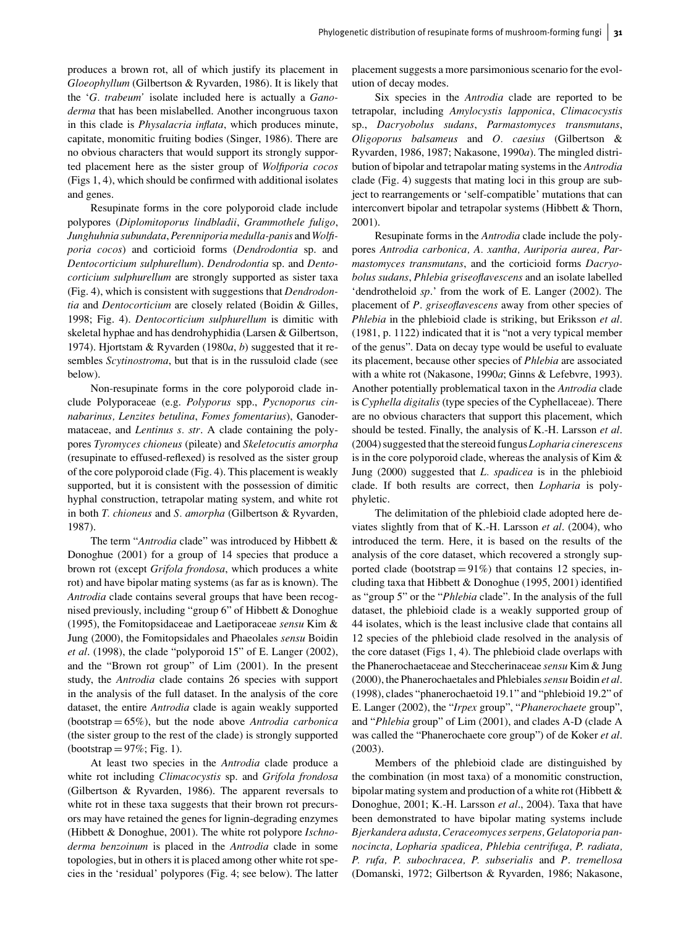produces a brown rot, all of which justify its placement in *Gloeophyllum* (Gilbertson & Ryvarden, 1986). It is likely that the '*G. trabeum'* isolate included here is actually a *Ganoderma* that has been mislabelled. Another incongruous taxon in this clade is *Physalacria inflata*, which produces minute, capitate, monomitic fruiting bodies (Singer, 1986). There are no obvious characters that would support its strongly supported placement here as the sister group of *Wolfiporia cocos* (Figs 1, 4), which should be confirmed with additional isolates and genes.

Resupinate forms in the core polyporoid clade include polypores (*Diplomitoporus lindbladii*, *Grammothele fuligo*, *Junghuhnia subundata*, *Perenniporia medulla-panis* and *Wolfiporia cocos*) and corticioid forms (*Dendrodontia* sp. and *Dentocorticium sulphurellum*). *Dendrodontia* sp. and *Dentocorticium sulphurellum* are strongly supported as sister taxa (Fig. 4), which is consistent with suggestions that *Dendrodontia* and *Dentocorticium* are closely related (Boidin & Gilles, 1998; Fig. 4). *Dentocorticium sulphurellum* is dimitic with skeletal hyphae and has dendrohyphidia (Larsen & Gilbertson, 1974). Hjortstam & Ryvarden (1980*a*, *b*) suggested that it resembles *Scytinostroma*, but that is in the russuloid clade (see below).

Non-resupinate forms in the core polyporoid clade include Polyporaceae (e.g. *Polyporus* spp., *Pycnoporus cinnabarinus, Lenzites betulina*, *Fomes fomentarius*), Ganodermataceae, and *Lentinus s. str*. A clade containing the polypores *Tyromyces chioneus* (pileate) and *Skeletocutis amorpha* (resupinate to effused-reflexed) is resolved as the sister group of the core polyporoid clade (Fig. 4). This placement is weakly supported, but it is consistent with the possession of dimitic hyphal construction, tetrapolar mating system, and white rot in both *T. chioneus* and *S. amorpha* (Gilbertson & Ryvarden, 1987).

The term "*Antrodia* clade" was introduced by Hibbett & Donoghue (2001) for a group of 14 species that produce a brown rot (except *Grifola frondosa*, which produces a white rot) and have bipolar mating systems (as far as is known). The *Antrodia* clade contains several groups that have been recognised previously, including "group 6" of Hibbett & Donoghue (1995), the Fomitopsidaceae and Laetiporaceae *sensu* Kim & Jung (2000), the Fomitopsidales and Phaeolales *sensu* Boidin *et al*. (1998), the clade "polyporoid 15" of E. Langer (2002), and the "Brown rot group" of Lim (2001). In the present study, the *Antrodia* clade contains 26 species with support in the analysis of the full dataset. In the analysis of the core dataset, the entire *Antrodia* clade is again weakly supported (bootstrap = 65%), but the node above *Antrodia carbonica* (the sister group to the rest of the clade) is strongly supported  $(bootstrap = 97\%; Fig. 1).$ 

At least two species in the *Antrodia* clade produce a white rot including *Climacocystis* sp. and *Grifola frondosa* (Gilbertson & Ryvarden, 1986). The apparent reversals to white rot in these taxa suggests that their brown rot precursors may have retained the genes for lignin-degrading enzymes (Hibbett & Donoghue, 2001). The white rot polypore *Ischnoderma benzoinum* is placed in the *Antrodia* clade in some topologies, but in others it is placed among other white rot species in the 'residual' polypores (Fig. 4; see below). The latter

placement suggests a more parsimonious scenario for the evolution of decay modes.

Six species in the *Antrodia* clade are reported to be tetrapolar, including *Amylocystis lapponica*, *Climacocystis* sp., *Dacryobolus sudans*, *Parmastomyces transmutans*, *Oligoporus balsameus* and *O. caesius* (Gilbertson & Ryvarden, 1986, 1987; Nakasone, 1990*a*). The mingled distribution of bipolar and tetrapolar mating systems in the *Antrodia* clade (Fig. 4) suggests that mating loci in this group are subject to rearrangements or 'self-compatible' mutations that can interconvert bipolar and tetrapolar systems (Hibbett & Thorn, 2001).

Resupinate forms in the *Antrodia* clade include the polypores *Antrodia carbonica, A. xantha, Auriporia aurea, Parmastomyces transmutans*, and the corticioid forms *Dacryobolus sudans*, *Phlebia griseoflavescens* and an isolate labelled 'dendrotheloid *sp*.' from the work of E. Langer (2002). The placement of *P*. *griseoflavescens* away from other species of *Phlebia* in the phlebioid clade is striking, but Eriksson *et al*. (1981, p. 1122) indicated that it is "not a very typical member of the genus". Data on decay type would be useful to evaluate its placement, because other species of *Phlebia* are associated with a white rot (Nakasone, 1990*a*; Ginns & Lefebvre, 1993). Another potentially problematical taxon in the *Antrodia* clade is *Cyphella digitalis* (type species of the Cyphellaceae). There are no obvious characters that support this placement, which should be tested. Finally, the analysis of K.-H. Larsson *et al*. (2004) suggested that the stereoid fungus *Lopharia cinerescens* is in the core polyporoid clade, whereas the analysis of Kim  $\&$ Jung (2000) suggested that *L. spadicea* is in the phlebioid clade. If both results are correct, then *Lopharia* is polyphyletic.

The delimitation of the phlebioid clade adopted here deviates slightly from that of K.-H. Larsson *et al*. (2004), who introduced the term. Here, it is based on the results of the analysis of the core dataset, which recovered a strongly supported clade (bootstrap  $= 91\%$ ) that contains 12 species, including taxa that Hibbett & Donoghue (1995, 2001) identified as "group 5" or the "*Phlebia* clade". In the analysis of the full dataset, the phlebioid clade is a weakly supported group of 44 isolates, which is the least inclusive clade that contains all 12 species of the phlebioid clade resolved in the analysis of the core dataset (Figs 1, 4). The phlebioid clade overlaps with the Phanerochaetaceae and Steccherinaceae *sensu* Kim & Jung (2000), the Phanerochaetales and Phlebiales*sensu*Boidin *et al*. (1998), clades "phanerochaetoid 19.1" and "phlebioid 19.2" of E. Langer (2002), the "*Irpex* group", "*Phanerochaete* group", and "*Phlebia* group" of Lim (2001), and clades A-D (clade A was called the "Phanerochaete core group") of de Koker *et al*. (2003).

Members of the phlebioid clade are distinguished by the combination (in most taxa) of a monomitic construction, bipolar mating system and production of a white rot (Hibbett & Donoghue, 2001; K.-H. Larsson *et al*., 2004). Taxa that have been demonstrated to have bipolar mating systems include *Bjerkandera adusta, Ceraceomyces serpens, Gelatoporia pannocincta, Lopharia spadicea, Phlebia centrifuga, P. radiata, P. rufa, P. subochracea, P. subserialis* and *P*. *tremellosa* (Domanski, 1972; Gilbertson & Ryvarden, 1986; Nakasone,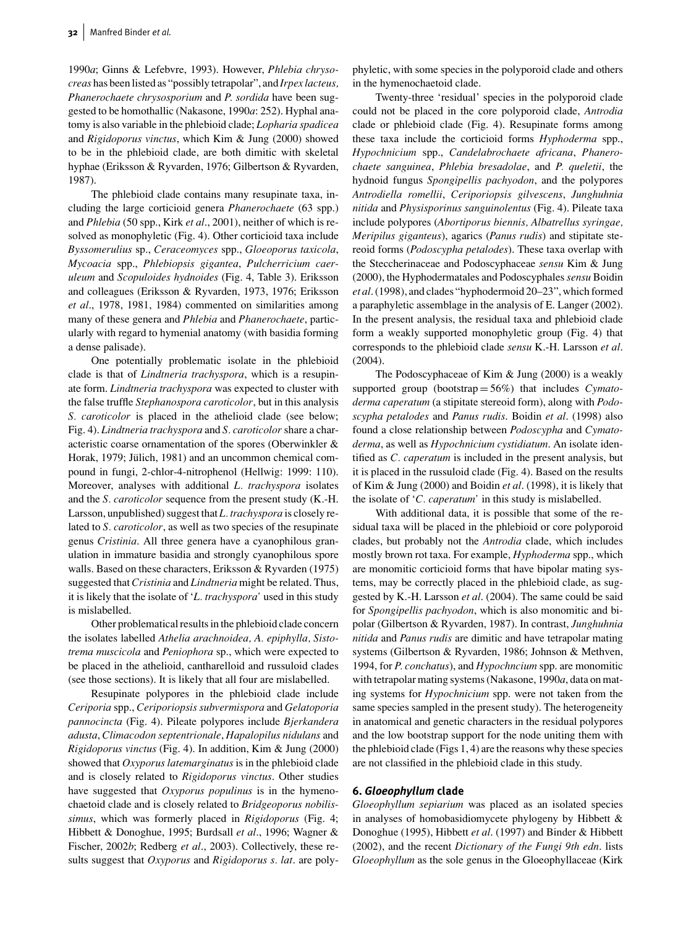1990*a*; Ginns & Lefebvre, 1993). However, *Phlebia chrysocreas* has been listed as "possibly tetrapolar", and *Irpex lacteus, Phanerochaete chrysosporium* and *P. sordida* have been suggested to be homothallic (Nakasone, 1990*a*: 252). Hyphal anatomy is also variable in the phlebioid clade; *Lopharia spadicea* and *Rigidoporus vinctus*, which Kim & Jung (2000) showed to be in the phlebioid clade, are both dimitic with skeletal hyphae (Eriksson & Ryvarden, 1976; Gilbertson & Ryvarden, 1987).

The phlebioid clade contains many resupinate taxa, including the large corticioid genera *Phanerochaete* (63 spp.) and *Phlebia* (50 spp., Kirk *et al*., 2001), neither of which is resolved as monophyletic (Fig. 4). Other corticioid taxa include *Byssomerulius* sp., *Ceraceomyces* spp., *Gloeoporus taxicola*, *Mycoacia* spp., *Phlebiopsis gigantea*, *Pulcherricium caeruleum* and *Scopuloides hydnoides* (Fig. 4, Table 3). Eriksson and colleagues (Eriksson & Ryvarden, 1973, 1976; Eriksson *et al*., 1978, 1981, 1984) commented on similarities among many of these genera and *Phlebia* and *Phanerochaete*, particularly with regard to hymenial anatomy (with basidia forming a dense palisade).

One potentially problematic isolate in the phlebioid clade is that of *Lindtneria trachyspora*, which is a resupinate form. *Lindtneria trachyspora* was expected to cluster with the false truffle *Stephanospora caroticolor*, but in this analysis *S. caroticolor* is placed in the athelioid clade (see below; Fig. 4). *Lindtneria trachyspora* and *S. caroticolor* share a characteristic coarse ornamentation of the spores (Oberwinkler & Horak, 1979; Jülich, 1981) and an uncommon chemical compound in fungi, 2-chlor-4-nitrophenol (Hellwig: 1999: 110). Moreover, analyses with additional *L. trachyspora* isolates and the *S. caroticolor* sequence from the present study (K.-H. Larsson, unpublished) suggest that *L. trachyspora* is closely related to *S. caroticolor*, as well as two species of the resupinate genus *Cristinia*. All three genera have a cyanophilous granulation in immature basidia and strongly cyanophilous spore walls. Based on these characters, Eriksson & Ryvarden (1975) suggested that *Cristinia* and *Lindtneria* might be related. Thus, it is likely that the isolate of '*L. trachyspora'* used in this study is mislabelled.

Other problematical results in the phlebioid clade concern the isolates labelled *Athelia arachnoidea, A. epiphylla, Sistotrema muscicola* and *Peniophora* sp., which were expected to be placed in the athelioid, cantharelloid and russuloid clades (see those sections). It is likely that all four are mislabelled.

Resupinate polypores in the phlebioid clade include *Ceriporia* spp., *Ceriporiopsis subvermispora* and *Gelatoporia pannocincta* (Fig. 4). Pileate polypores include *Bjerkandera adusta*, *Climacodon septentrionale*, *Hapalopilus nidulans* and *Rigidoporus vinctus* (Fig. 4). In addition, Kim & Jung (2000) showed that *Oxyporus latemarginatus* is in the phlebioid clade and is closely related to *Rigidoporus vinctus*. Other studies have suggested that *Oxyporus populinus* is in the hymenochaetoid clade and is closely related to *Bridgeoporus nobilissimus*, which was formerly placed in *Rigidoporus* (Fig. 4; Hibbett & Donoghue, 1995; Burdsall *et al*., 1996; Wagner & Fischer, 2002*b*; Redberg *et al*., 2003). Collectively, these results suggest that *Oxyporus* and *Rigidoporus s. lat*. are polyphyletic, with some species in the polyporoid clade and others in the hymenochaetoid clade.

Twenty-three 'residual' species in the polyporoid clade could not be placed in the core polyporoid clade, *Antrodia* clade or phlebioid clade (Fig. 4). Resupinate forms among these taxa include the corticioid forms *Hyphoderma* spp., *Hypochnicium* spp., *Candelabrochaete africana*, *Phanerochaete sanguinea*, *Phlebia bresadolae*, and *P. queletii*, the hydnoid fungus *Spongipellis pachyodon*, and the polypores *Antrodiella romellii*, *Ceriporiopsis gilvescens*, *Junghuhnia nitida* and *Physisporinus sanguinolentus* (Fig. 4). Pileate taxa include polypores (*Abortiporus biennis, Albatrellus syringae, Meripilus giganteus*), agarics (*Panus rudis*) and stipitate stereoid forms (*Podoscypha petalodes*). These taxa overlap with the Steccherinaceae and Podoscyphaceae *sensu* Kim & Jung (2000), the Hyphodermatales and Podoscyphales*sensu* Boidin *et al*. (1998), and clades "hyphodermoid 20–23", which formed a paraphyletic assemblage in the analysis of E. Langer (2002). In the present analysis, the residual taxa and phlebioid clade form a weakly supported monophyletic group (Fig. 4) that corresponds to the phlebioid clade *sensu* K.-H. Larsson *et al*. (2004).

The Podoscyphaceae of Kim & Jung (2000) is a weakly supported group (bootstrap = 56%) that includes *Cymatoderma caperatum* (a stipitate stereoid form), along with *Podoscypha petalodes* and *Panus rudis*. Boidin *et al*. (1998) also found a close relationship between *Podoscypha* and *Cymatoderma*, as well as *Hypochnicium cystidiatum*. An isolate identified as *C. caperatum* is included in the present analysis, but it is placed in the russuloid clade (Fig. 4). Based on the results of Kim & Jung (2000) and Boidin *et al*. (1998), it is likely that the isolate of '*C. caperatum'* in this study is mislabelled.

With additional data, it is possible that some of the residual taxa will be placed in the phlebioid or core polyporoid clades, but probably not the *Antrodia* clade, which includes mostly brown rot taxa. For example, *Hyphoderma* spp., which are monomitic corticioid forms that have bipolar mating systems, may be correctly placed in the phlebioid clade, as suggested by K.-H. Larsson *et al*. (2004). The same could be said for *Spongipellis pachyodon*, which is also monomitic and bipolar (Gilbertson & Ryvarden, 1987). In contrast, *Junghuhnia nitida* and *Panus rudis* are dimitic and have tetrapolar mating systems (Gilbertson & Ryvarden, 1986; Johnson & Methven, 1994, for *P. conchatus*), and *Hypochncium* spp. are monomitic with tetrapolar mating systems (Nakasone, 1990*a*, data on mating systems for *Hypochnicium* spp. were not taken from the same species sampled in the present study). The heterogeneity in anatomical and genetic characters in the residual polypores and the low bootstrap support for the node uniting them with the phlebioid clade (Figs 1, 4) are the reasons why these species are not classified in the phlebioid clade in this study.

#### **6.** *Gloeophyllum* **clade**

*Gloeophyllum sepiarium* was placed as an isolated species in analyses of homobasidiomycete phylogeny by Hibbett  $\&$ Donoghue (1995), Hibbett *et al*. (1997) and Binder & Hibbett (2002), and the recent *Dictionary of the Fungi 9th edn*. lists *Gloeophyllum* as the sole genus in the Gloeophyllaceae (Kirk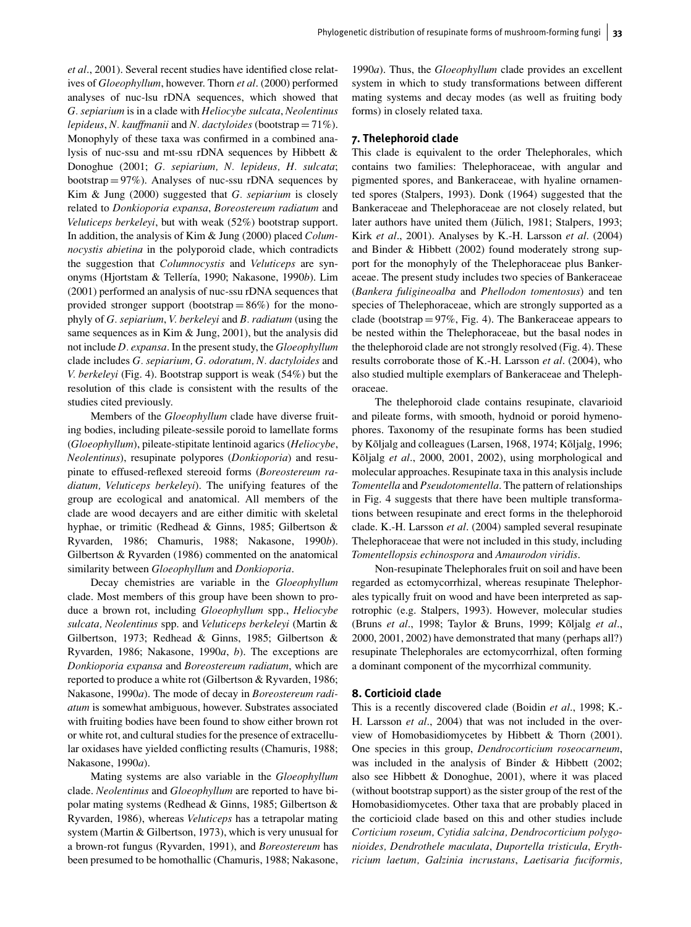*et al*., 2001). Several recent studies have identified close relatives of *Gloeophyllum*, however. Thorn *et al*. (2000) performed analyses of nuc-lsu rDNA sequences, which showed that *G. sepiarium* is in a clade with *Heliocybe sulcata*, *Neolentinus lepideus*, *N. kauffmanii* and *N. dactyloides* (bootstrap = 71%). Monophyly of these taxa was confirmed in a combined analysis of nuc-ssu and mt-ssu rDNA sequences by Hibbett & Donoghue (2001; *G. sepiarium, N. lepideus, H. sulcata*; bootstrap =  $97\%$ ). Analyses of nuc-ssu rDNA sequences by Kim & Jung (2000) suggested that *G. sepiarium* is closely related to *Donkioporia expansa*, *Boreostereum radiatum* and *Veluticeps berkeleyi*, but with weak (52%) bootstrap support. In addition, the analysis of Kim & Jung (2000) placed *Columnocystis abietina* in the polyporoid clade, which contradicts the suggestion that *Columnocystis* and *Veluticeps* are synonyms (Hjortstam & Tellería, 1990; Nakasone, 1990*b*). Lim (2001) performed an analysis of nuc-ssu rDNA sequences that provided stronger support (bootstrap  $= 86\%$ ) for the monophyly of *G. sepiarium*, *V. berkeleyi* and *B. radiatum* (using the same sequences as in Kim & Jung, 2001), but the analysis did not include *D. expansa*. In the present study, the *Gloeophyllum* clade includes *G. sepiarium, G. odoratum, N. dactyloides* and *V. berkeleyi* (Fig. 4). Bootstrap support is weak (54%) but the resolution of this clade is consistent with the results of the studies cited previously.

Members of the *Gloeophyllum* clade have diverse fruiting bodies, including pileate-sessile poroid to lamellate forms (*Gloeophyllum*), pileate-stipitate lentinoid agarics (*Heliocybe*, *Neolentinus*), resupinate polypores (*Donkioporia*) and resupinate to effused-reflexed stereoid forms (*Boreostereum radiatum, Veluticeps berkeleyi*). The unifying features of the group are ecological and anatomical. All members of the clade are wood decayers and are either dimitic with skeletal hyphae, or trimitic (Redhead & Ginns, 1985; Gilbertson & Ryvarden, 1986; Chamuris, 1988; Nakasone, 1990*b*). Gilbertson & Ryvarden (1986) commented on the anatomical similarity between *Gloeophyllum* and *Donkioporia*.

Decay chemistries are variable in the *Gloeophyllum* clade. Most members of this group have been shown to produce a brown rot, including *Gloeophyllum* spp., *Heliocybe sulcata, Neolentinus* spp. and *Veluticeps berkeleyi* (Martin & Gilbertson, 1973; Redhead & Ginns, 1985; Gilbertson & Ryvarden, 1986; Nakasone, 1990*a*, *b*). The exceptions are *Donkioporia expansa* and *Boreostereum radiatum*, which are reported to produce a white rot (Gilbertson & Ryvarden, 1986; Nakasone, 1990*a*). The mode of decay in *Boreostereum radiatum* is somewhat ambiguous, however. Substrates associated with fruiting bodies have been found to show either brown rot or white rot, and cultural studies for the presence of extracellular oxidases have yielded conflicting results (Chamuris, 1988; Nakasone, 1990*a*).

Mating systems are also variable in the *Gloeophyllum* clade. *Neolentinus* and *Gloeophyllum* are reported to have bipolar mating systems (Redhead & Ginns, 1985; Gilbertson & Ryvarden, 1986), whereas *Veluticeps* has a tetrapolar mating system (Martin & Gilbertson, 1973), which is very unusual for a brown-rot fungus (Ryvarden, 1991), and *Boreostereum* has been presumed to be homothallic (Chamuris, 1988; Nakasone,

1990*a*). Thus, the *Gloeophyllum* clade provides an excellent system in which to study transformations between different mating systems and decay modes (as well as fruiting body forms) in closely related taxa.

#### **7. Thelephoroid clade**

This clade is equivalent to the order Thelephorales, which contains two families: Thelephoraceae, with angular and pigmented spores, and Bankeraceae, with hyaline ornamented spores (Stalpers, 1993). Donk (1964) suggested that the Bankeraceae and Thelephoraceae are not closely related, but later authors have united them (Jülich, 1981; Stalpers, 1993; Kirk *et al*., 2001). Analyses by K.-H. Larsson *et al*. (2004) and Binder & Hibbett (2002) found moderately strong support for the monophyly of the Thelephoraceae plus Bankeraceae. The present study includes two species of Bankeraceae (*Bankera fuligineoalba* and *Phellodon tomentosus*) and ten species of Thelephoraceae, which are strongly supported as a clade (bootstrap =  $97\%$ , Fig. 4). The Bankeraceae appears to be nested within the Thelephoraceae, but the basal nodes in the thelephoroid clade are not strongly resolved (Fig. 4). These results corroborate those of K.-H. Larsson *et al*. (2004), who also studied multiple exemplars of Bankeraceae and Thelephoraceae.

The thelephoroid clade contains resupinate, clavarioid and pileate forms, with smooth, hydnoid or poroid hymenophores. Taxonomy of the resupinate forms has been studied by Kõljalg and colleagues (Larsen, 1968, 1974; Kõljalg, 1996; Kõljalg et al., 2000, 2001, 2002), using morphological and molecular approaches. Resupinate taxa in this analysis include *Tomentella* and *Pseudotomentella*. The pattern of relationships in Fig. 4 suggests that there have been multiple transformations between resupinate and erect forms in the thelephoroid clade. K.-H. Larsson *et al*. (2004) sampled several resupinate Thelephoraceae that were not included in this study, including *Tomentellopsis echinospora* and *Amaurodon viridis*.

Non-resupinate Thelephorales fruit on soil and have been regarded as ectomycorrhizal, whereas resupinate Thelephorales typically fruit on wood and have been interpreted as saprotrophic (e.g. Stalpers, 1993). However, molecular studies (Bruns *et al.*, 1998; Taylor & Bruns, 1999; Kõljalg *et al.*, 2000, 2001, 2002) have demonstrated that many (perhaps all?) resupinate Thelephorales are ectomycorrhizal, often forming a dominant component of the mycorrhizal community.

#### **8. Corticioid clade**

This is a recently discovered clade (Boidin *et al*., 1998; K.- H. Larsson *et al*., 2004) that was not included in the overview of Homobasidiomycetes by Hibbett  $&$  Thorn (2001). One species in this group, *Dendrocorticium roseocarneum*, was included in the analysis of Binder & Hibbett (2002; also see Hibbett & Donoghue, 2001), where it was placed (without bootstrap support) as the sister group of the rest of the Homobasidiomycetes. Other taxa that are probably placed in the corticioid clade based on this and other studies include *Corticium roseum, Cytidia salcina, Dendrocorticium polygonioides, Dendrothele maculata*, *Duportella tristicula*, *Erythricium laetum, Galzinia incrustans*, *Laetisaria fuciformis,*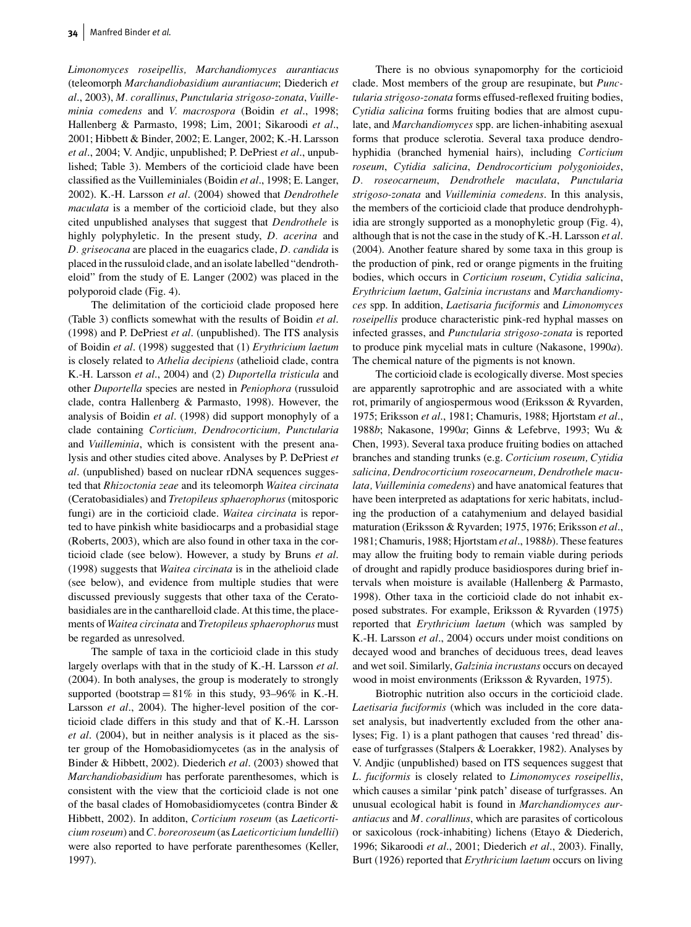*Limonomyces roseipellis, Marchandiomyces aurantiacus* (teleomorph *Marchandiobasidium aurantiacum*; Diederich *et al*., 2003), *M. corallinus*, *Punctularia strigoso-zonata*, *Vuilleminia comedens* and *V. macrospora* (Boidin *et al*., 1998; Hallenberg & Parmasto, 1998; Lim, 2001; Sikaroodi *et al*., 2001; Hibbett & Binder, 2002; E. Langer, 2002; K.-H. Larsson *et al*., 2004; V. Andjic, unpublished; P. DePriest *et al*., unpublished; Table 3). Members of the corticioid clade have been classified as the Vuilleminiales (Boidin *et al*., 1998; E. Langer, 2002). K.-H. Larsson *et al*. (2004) showed that *Dendrothele maculata* is a member of the corticioid clade, but they also cited unpublished analyses that suggest that *Dendrothele* is highly polyphyletic. In the present study, *D. acerina* and *D. griseocana* are placed in the euagarics clade, *D. candida* is placed in the russuloid clade, and an isolate labelled "dendrotheloid" from the study of E. Langer (2002) was placed in the polyporoid clade (Fig. 4).

The delimitation of the corticioid clade proposed here (Table 3) conflicts somewhat with the results of Boidin *et al*. (1998) and P. DePriest *et al*. (unpublished). The ITS analysis of Boidin *et al*. (1998) suggested that (1) *Erythricium laetum* is closely related to *Athelia decipiens* (athelioid clade, contra K.-H. Larsson *et al*., 2004) and (2) *Duportella tristicula* and other *Duportella* species are nested in *Peniophora* (russuloid clade, contra Hallenberg & Parmasto, 1998). However, the analysis of Boidin *et al*. (1998) did support monophyly of a clade containing *Corticium, Dendrocorticium, Punctularia* and *Vuilleminia*, which is consistent with the present analysis and other studies cited above. Analyses by P. DePriest *et al*. (unpublished) based on nuclear rDNA sequences suggested that *Rhizoctonia zeae* and its teleomorph *Waitea circinata* (Ceratobasidiales) and *Tretopileus sphaerophorus* (mitosporic fungi) are in the corticioid clade. *Waitea circinata* is reported to have pinkish white basidiocarps and a probasidial stage (Roberts, 2003), which are also found in other taxa in the corticioid clade (see below). However, a study by Bruns *et al*. (1998) suggests that *Waitea circinata* is in the athelioid clade (see below), and evidence from multiple studies that were discussed previously suggests that other taxa of the Ceratobasidiales are in the cantharelloid clade. At this time, the placements of *Waitea circinata* and *Tretopileus sphaerophorus* must be regarded as unresolved.

The sample of taxa in the corticioid clade in this study largely overlaps with that in the study of K.-H. Larsson *et al*. (2004). In both analyses, the group is moderately to strongly supported (bootstrap =  $81\%$  in this study, 93–96% in K.-H. Larsson *et al.*, 2004). The higher-level position of the corticioid clade differs in this study and that of K.-H. Larsson *et al*. (2004), but in neither analysis is it placed as the sister group of the Homobasidiomycetes (as in the analysis of Binder & Hibbett, 2002). Diederich *et al*. (2003) showed that *Marchandiobasidium* has perforate parenthesomes, which is consistent with the view that the corticioid clade is not one of the basal clades of Homobasidiomycetes (contra Binder & Hibbett, 2002). In additon, *Corticium roseum* (as *Laeticorticium roseum*) and *C. boreoroseum* (as *Laeticorticium lundellii*) were also reported to have perforate parenthesomes (Keller, 1997).

There is no obvious synapomorphy for the corticioid clade. Most members of the group are resupinate, but *Punctularia strigoso-zonata* forms effused-reflexed fruiting bodies, *Cytidia salicina* forms fruiting bodies that are almost cupulate, and *Marchandiomyces* spp. are lichen-inhabiting asexual forms that produce sclerotia. Several taxa produce dendrohyphidia (branched hymenial hairs), including *Corticium roseum*, *Cytidia salicina*, *Dendrocorticium polygonioides*, *D. roseocarneum*, *Dendrothele maculata*, *Punctularia strigoso-zonata* and *Vuilleminia comedens*. In this analysis, the members of the corticioid clade that produce dendrohyphidia are strongly supported as a monophyletic group (Fig. 4), although that is not the case in the study of K.-H. Larsson *et al*. (2004). Another feature shared by some taxa in this group is the production of pink, red or orange pigments in the fruiting bodies, which occurs in *Corticium roseum*, *Cytidia salicina*, *Erythricium laetum*, *Galzinia incrustans* and *Marchandiomyces* spp. In addition, *Laetisaria fuciformis* and *Limonomyces roseipellis* produce characteristic pink-red hyphal masses on infected grasses, and *Punctularia strigoso-zonata* is reported to produce pink mycelial mats in culture (Nakasone, 1990*a*). The chemical nature of the pigments is not known.

The corticioid clade is ecologically diverse. Most species are apparently saprotrophic and are associated with a white rot, primarily of angiospermous wood (Eriksson & Ryvarden, 1975; Eriksson *et al*., 1981; Chamuris, 1988; Hjortstam *et al*., 1988*b*; Nakasone, 1990*a*; Ginns & Lefebrve, 1993; Wu & Chen, 1993). Several taxa produce fruiting bodies on attached branches and standing trunks (e.g. *Corticium roseum, Cytidia salicina, Dendrocorticium roseocarneum, Dendrothele maculata, Vuilleminia comedens*) and have anatomical features that have been interpreted as adaptations for xeric habitats, including the production of a catahymenium and delayed basidial maturation (Eriksson & Ryvarden; 1975, 1976; Eriksson *et al*., 1981; Chamuris, 1988; Hjortstam *et al*., 1988*b*). These features may allow the fruiting body to remain viable during periods of drought and rapidly produce basidiospores during brief intervals when moisture is available (Hallenberg & Parmasto, 1998). Other taxa in the corticioid clade do not inhabit exposed substrates. For example, Eriksson & Ryvarden (1975) reported that *Erythricium laetum* (which was sampled by K.-H. Larsson *et al*., 2004) occurs under moist conditions on decayed wood and branches of deciduous trees, dead leaves and wet soil. Similarly, *Galzinia incrustans* occurs on decayed wood in moist environments (Eriksson & Ryvarden, 1975).

Biotrophic nutrition also occurs in the corticioid clade. *Laetisaria fuciformis* (which was included in the core dataset analysis, but inadvertently excluded from the other analyses; Fig. 1) is a plant pathogen that causes 'red thread' disease of turfgrasses (Stalpers & Loerakker, 1982). Analyses by V. Andjic (unpublished) based on ITS sequences suggest that *L*. *fuciformis* is closely related to *Limonomyces roseipellis*, which causes a similar 'pink patch' disease of turfgrasses. An unusual ecological habit is found in *Marchandiomyces aurantiacus* and *M*. *corallinus*, which are parasites of corticolous or saxicolous (rock-inhabiting) lichens (Etayo & Diederich, 1996; Sikaroodi *et al*., 2001; Diederich *et al*., 2003). Finally, Burt (1926) reported that *Erythricium laetum* occurs on living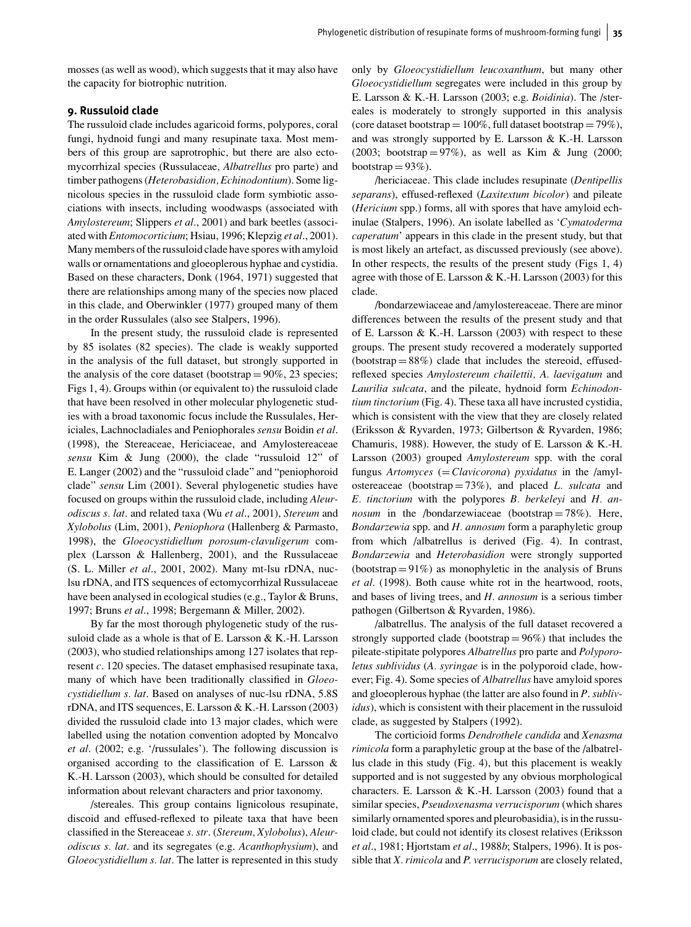mosses (as well as wood), which suggests that it may also have the capacity for biotrophic nutrition.

#### **9. Russuloid clade**

The russuloid clade includes agaricoid forms, polypores, coral fungi, hydnoid fungi and many resupinate taxa. Most members of this group are saprotrophic, but there are also ectomycorrhizal species (Russulaceae, *Albatrellus* pro parte) and timber pathogens (*Heterobasidion, Echinodontium*). Some lignicolous species in the russuloid clade form symbiotic associations with insects, including woodwasps (associated with *Amylostereum*; Slippers *et al*., 2001) and bark beetles (associated with *Entomocorticium*; Hsiau, 1996; Klepzig *et al*., 2001). Many members of the russuloid clade have spores with amyloid walls or ornamentations and gloeoplerous hyphae and cystidia. Based on these characters, Donk (1964, 1971) suggested that there are relationships among many of the species now placed in this clade, and Oberwinkler (1977) grouped many of them in the order Russulales (also see Stalpers, 1996).

In the present study, the russuloid clade is represented by 85 isolates (82 species). The clade is weakly supported in the analysis of the full dataset, but strongly supported in the analysis of the core dataset (bootstrap =  $90\%$ , 23 species; Figs 1, 4). Groups within (or equivalent to) the russuloid clade that have been resolved in other molecular phylogenetic studies with a broad taxonomic focus include the Russulales, Hericiales, Lachnocladiales and Peniophorales *sensu* Boidin *et al*. (1998), the Stereaceae, Hericiaceae, and Amylostereaceae *sensu* Kim & Jung (2000), the clade "russuloid 12" of E. Langer (2002) and the "russuloid clade" and "peniophoroid clade" *sensu* Lim (2001). Several phylogenetic studies have focused on groups within the russuloid clade, including *Aleurodiscus s. lat*. and related taxa (Wu *et al*., 2001), *Stereum* and *Xylobolus* (Lim, 2001), *Peniophora* (Hallenberg & Parmasto, 1998), the *Gloeocystidiellum porosum-clavuligerum* complex (Larsson & Hallenberg, 2001), and the Russulaceae (S. L. Miller *et al*., 2001, 2002). Many mt-lsu rDNA, nuclsu rDNA, and ITS sequences of ectomycorrhizal Russulaceae have been analysed in ecological studies (e.g., Taylor & Bruns, 1997; Bruns *et al*., 1998; Bergemann & Miller, 2002).

By far the most thorough phylogenetic study of the russuloid clade as a whole is that of E. Larsson & K.-H. Larsson (2003), who studied relationships among 127 isolates that represent *c*. 120 species. The dataset emphasised resupinate taxa, many of which have been traditionally classified in *Gloeocystidiellum s. lat*. Based on analyses of nuc-lsu rDNA, 5.8S rDNA, and ITS sequences, E. Larsson & K.-H. Larsson (2003) divided the russuloid clade into 13 major clades, which were labelled using the notation convention adopted by Moncalvo *et al*. (2002; e.g. '/russulales'). The following discussion is organised according to the classification of E. Larsson & K.-H. Larsson (2003), which should be consulted for detailed information about relevant characters and prior taxonomy.

/stereales. This group contains lignicolous resupinate, discoid and effused-reflexed to pileate taxa that have been classified in the Stereaceae *s. str*. (*Stereum, Xylobolus*), *Aleurodiscus s. lat*. and its segregates (e.g. *Acanthophysium*), and *Gloeocystidiellum s. lat*. The latter is represented in this study only by *Gloeocystidiellum leucoxanthum*, but many other *Gloeocystidiellum* segregates were included in this group by E. Larsson & K.-H. Larsson (2003; e.g. *Boidinia*). The /stereales is moderately to strongly supported in this analysis (core dataset bootstrap =  $100\%$ , full dataset bootstrap =  $79\%$ ), and was strongly supported by E. Larsson & K.-H. Larsson (2003; bootstrap =  $97\%$ ), as well as Kim & Jung (2000; bootstrap  $= 93\%$ ).

/hericiaceae. This clade includes resupinate (*Dentipellis separans*), effused-reflexed (*Laxitextum bicolor*) and pileate (*Hericium* spp.) forms, all with spores that have amyloid echinulae (Stalpers, 1996). An isolate labelled as '*Cymatoderma caperatum*' appears in this clade in the present study, but that is most likely an artefact, as discussed previously (see above). In other respects, the results of the present study (Figs 1, 4) agree with those of E. Larsson & K.-H. Larsson (2003) for this clade.

/bondarzewiaceae and /amylostereaceae. There are minor differences between the results of the present study and that of E. Larsson & K.-H. Larsson  $(2003)$  with respect to these groups. The present study recovered a moderately supported  $(bootstrap = 88\%)$  clade that includes the stereoid, effusedreflexed species *Amylostereum chailettii, A. laevigatum* and *Laurilia sulcata*, and the pileate, hydnoid form *Echinodontium tinctorium* (Fig. 4). These taxa all have incrusted cystidia, which is consistent with the view that they are closely related (Eriksson & Ryvarden, 1973; Gilbertson & Ryvarden, 1986; Chamuris, 1988). However, the study of E. Larsson & K.-H. Larsson (2003) grouped *Amylostereum* spp. with the coral fungus *Artomyces* (= *Clavicorona*) *pyxidatus* in the /amylostereaceae (bootstrap = 73%), and placed *L. sulcata* and *E. tinctorium* with the polypores *B. berkeleyi* and *H. annosum* in the /bondarzewiaceae (bootstrap = 78%). Here, *Bondarzewia* spp. and *H. annosum* form a paraphyletic group from which /albatrellus is derived (Fig. 4). In contrast, *Bondarzewia* and *Heterobasidion* were strongly supported  $(bootstrap = 91\%)$  as monophyletic in the analysis of Bruns *et al*. (1998). Both cause white rot in the heartwood, roots, and bases of living trees, and *H. annosum* is a serious timber pathogen (Gilbertson & Ryvarden, 1986).

/albatrellus. The analysis of the full dataset recovered a strongly supported clade (bootstrap  $= 96\%$ ) that includes the pileate-stipitate polypores *Albatrellus* pro parte and *Polyporoletus sublividus* (*A. syringae* is in the polyporoid clade, however; Fig. 4). Some species of *Albatrellus* have amyloid spores and gloeoplerous hyphae (the latter are also found in *P*. *sublividus*), which is consistent with their placement in the russuloid clade, as suggested by Stalpers (1992).

The corticioid forms *Dendrothele candida* and *Xenasma rimicola* form a paraphyletic group at the base of the /albatrellus clade in this study (Fig. 4), but this placement is weakly supported and is not suggested by any obvious morphological characters. E. Larsson & K.-H. Larsson  $(2003)$  found that a similar species, *Pseudoxenasma verrucisporum* (which shares similarly ornamented spores and pleurobasidia), is in the russuloid clade, but could not identify its closest relatives (Eriksson *et al*., 1981; Hjortstam *et al*., 1988*b*; Stalpers, 1996). It is possible that *X. rimicola* and *P. verrucisporum* are closely related,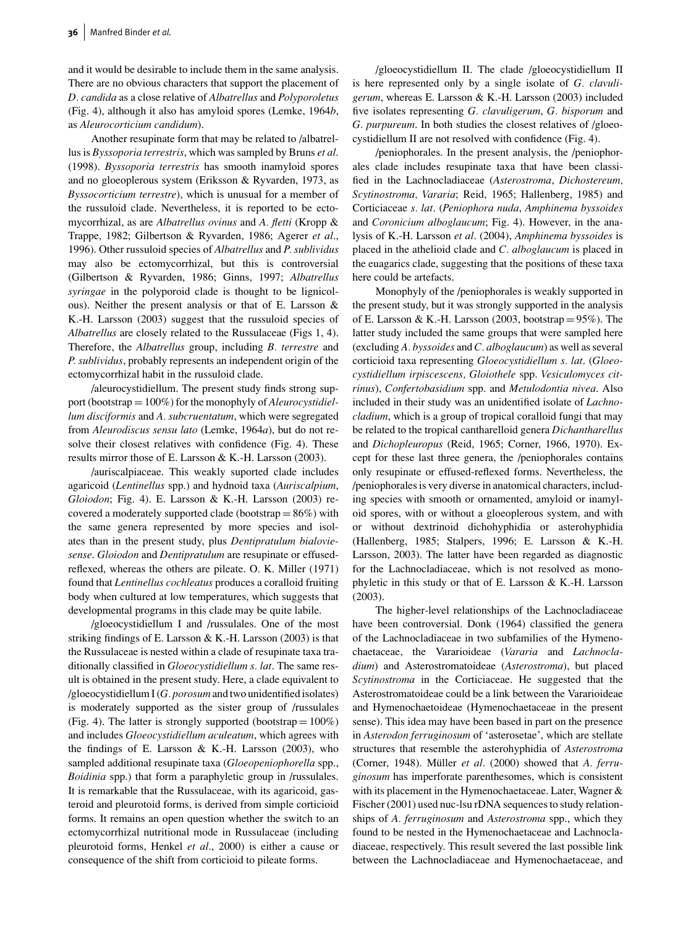and it would be desirable to include them in the same analysis. There are no obvious characters that support the placement of *D. candida* as a close relative of *Albatrellus* and *Polyporoletus* (Fig. 4), although it also has amyloid spores (Lemke, 1964*b*, as *Aleurocorticium candidum*).

Another resupinate form that may be related to /albatrellus is *Byssoporia terrestris*, which was sampled by Bruns *et al*. (1998). *Byssoporia terrestris* has smooth inamyloid spores and no gloeoplerous system (Eriksson & Ryvarden, 1973, as *Byssocorticium terrestre*), which is unusual for a member of the russuloid clade. Nevertheless, it is reported to be ectomycorrhizal, as are *Albatrellus ovinus* and *A. fletti* (Kropp & Trappe, 1982; Gilbertson & Ryvarden, 1986; Agerer *et al*., 1996). Other russuloid species of *Albatrellus* and *P. sublividus* may also be ectomycorrhizal, but this is controversial (Gilbertson & Ryvarden, 1986; Ginns, 1997; *Albatrellus syringae* in the polyporoid clade is thought to be lignicolous). Neither the present analysis or that of E. Larsson & K.-H. Larsson (2003) suggest that the russuloid species of *Albatrellus* are closely related to the Russulaceae (Figs 1, 4). Therefore, the *Albatrellus* group, including *B. terrestre* and *P. sublividus*, probably represents an independent origin of the ectomycorrhizal habit in the russuloid clade.

/aleurocystidiellum. The present study finds strong support (bootstrap = 100%) for the monophyly of *Aleurocystidiellum disciformis* and *A. subcruentatum*, which were segregated from *Aleurodiscus sensu lato* (Lemke, 1964*a*), but do not resolve their closest relatives with confidence (Fig. 4). These results mirror those of E. Larsson & K.-H. Larsson (2003).

/auriscalpiaceae. This weakly suported clade includes agaricoid (*Lentinellus* spp.) and hydnoid taxa (*Auriscalpium*, *Gloiodon*; Fig. 4). E. Larsson & K.-H. Larsson (2003) recovered a moderately supported clade (bootstrap  $= 86\%$ ) with the same genera represented by more species and isolates than in the present study, plus *Dentipratulum bialoviesense*. *Gloiodon* and *Dentipratulum* are resupinate or effusedreflexed, whereas the others are pileate. O. K. Miller (1971) found that *Lentinellus cochleatus* produces a coralloid fruiting body when cultured at low temperatures, which suggests that developmental programs in this clade may be quite labile.

/gloeocystidiellum I and /russulales. One of the most striking findings of E. Larsson  $\& K.-H.$  Larsson (2003) is that the Russulaceae is nested within a clade of resupinate taxa traditionally classified in *Gloeocystidiellum s. lat*. The same result is obtained in the present study. Here, a clade equivalent to /gloeocystidiellum I (*G. porosum* and two unidentified isolates) is moderately supported as the sister group of /russulales (Fig. 4). The latter is strongly supported (bootstrap  $= 100\%$ ) and includes *Gloeocystidiellum aculeatum*, which agrees with the findings of E. Larsson & K.-H. Larsson  $(2003)$ , who sampled additional resupinate taxa (*Gloeopeniophorella* spp., *Boidinia* spp.) that form a paraphyletic group in /russulales. It is remarkable that the Russulaceae, with its agaricoid, gasteroid and pleurotoid forms, is derived from simple corticioid forms. It remains an open question whether the switch to an ectomycorrhizal nutritional mode in Russulaceae (including pleurotoid forms, Henkel *et al*., 2000) is either a cause or consequence of the shift from corticioid to pileate forms.

/gloeocystidiellum II. The clade /gloeocystidiellum II is here represented only by a single isolate of *G. clavuligerum*, whereas E. Larsson & K.-H. Larsson (2003) included five isolates representing *G. clavuligerum*, *G. bisporum* and *G. purpureum*. In both studies the closest relatives of /gloeocystidiellum II are not resolved with confidence (Fig. 4).

/peniophorales. In the present analysis, the /peniophorales clade includes resupinate taxa that have been classified in the Lachnocladiaceae (*Asterostroma*, *Dichostereum, Scytinostroma, Vararia*; Reid, 1965; Hallenberg, 1985) and Corticiaceae *s. lat*. (*Peniophora nuda*, *Amphinema byssoides* and *Coronicium alboglaucum*; Fig. 4). However, in the analysis of K.-H. Larsson *et al*. (2004), *Amphinema byssoides* is placed in the athelioid clade and *C. alboglaucum* is placed in the euagarics clade, suggesting that the positions of these taxa here could be artefacts.

Monophyly of the /peniophorales is weakly supported in the present study, but it was strongly supported in the analysis of E. Larsson & K.-H. Larsson (2003, bootstrap =  $95\%$ ). The latter study included the same groups that were sampled here (excluding *A. byssoides* and *C. alboglaucum*) as well as several corticioid taxa representing *Gloeocystidiellum s. lat*. (*Gloeocystidiellum irpiscescens, Gloiothele* spp. *Vesiculomyces citrinus*), *Confertobasidium* spp. and *Metulodontia nivea*. Also included in their study was an unidentified isolate of *Lachnocladium*, which is a group of tropical coralloid fungi that may be related to the tropical cantharelloid genera *Dichantharellus* and *Dichopleuropus* (Reid, 1965; Corner, 1966, 1970). Except for these last three genera, the /peniophorales contains only resupinate or effused-reflexed forms. Nevertheless, the /peniophorales is very diverse in anatomical characters, including species with smooth or ornamented, amyloid or inamyloid spores, with or without a gloeoplerous system, and with or without dextrinoid dichohyphidia or asterohyphidia (Hallenberg, 1985; Stalpers, 1996; E. Larsson & K.-H. Larsson, 2003). The latter have been regarded as diagnostic for the Lachnocladiaceae, which is not resolved as monophyletic in this study or that of E. Larsson & K.-H. Larsson (2003).

The higher-level relationships of the Lachnocladiaceae have been controversial. Donk (1964) classified the genera of the Lachnocladiaceae in two subfamilies of the Hymenochaetaceae, the Vararioideae (*Vararia* and *Lachnocladium*) and Asterostromatoideae (*Asterostroma*), but placed *Scytinostroma* in the Corticiaceae. He suggested that the Asterostromatoideae could be a link between the Vararioideae and Hymenochaetoideae (Hymenochaetaceae in the present sense). This idea may have been based in part on the presence in *Asterodon ferruginosum* of 'asterosetae', which are stellate structures that resemble the asterohyphidia of *Asterostroma* (Corner, 1948). Müller et al. (2000) showed that *A. ferruginosum* has imperforate parenthesomes, which is consistent with its placement in the Hymenochaetaceae. Later, Wagner & Fischer (2001) used nuc-lsu rDNA sequences to study relationships of *A. ferruginosum* and *Asterostroma* spp., which they found to be nested in the Hymenochaetaceae and Lachnocladiaceae, respectively. This result severed the last possible link between the Lachnocladiaceae and Hymenochaetaceae, and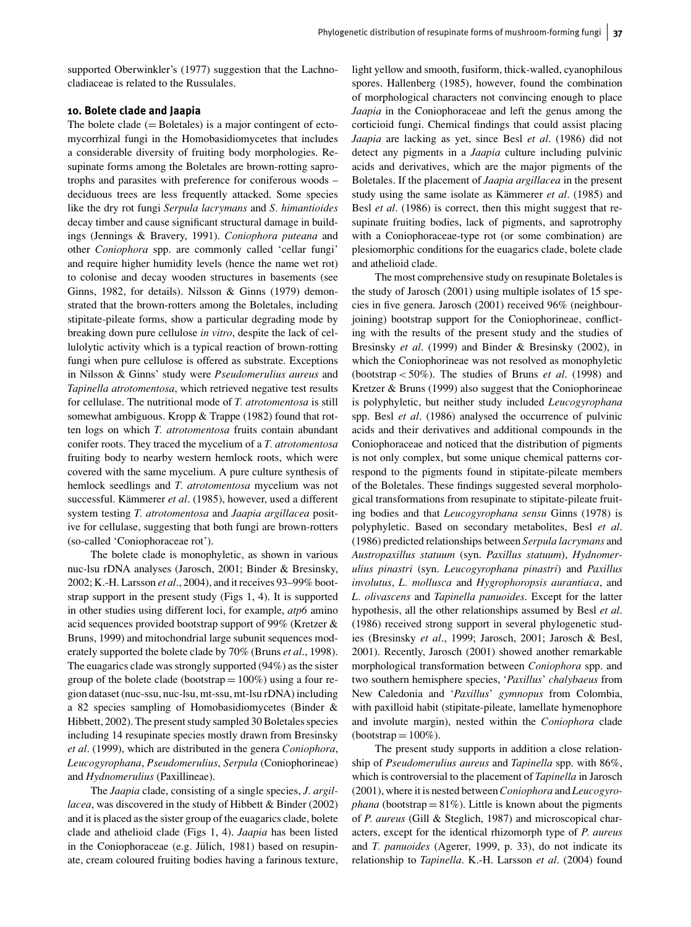supported Oberwinkler's (1977) suggestion that the Lachnocladiaceae is related to the Russulales.

#### **10. Bolete clade and Jaapia**

The bolete clade  $(=$  Boletales) is a major contingent of ectomycorrhizal fungi in the Homobasidiomycetes that includes a considerable diversity of fruiting body morphologies. Resupinate forms among the Boletales are brown-rotting saprotrophs and parasites with preference for coniferous woods – deciduous trees are less frequently attacked. Some species like the dry rot fungi *Serpula lacrymans* and *S. himantioides* decay timber and cause significant structural damage in buildings (Jennings & Bravery, 1991). *Coniophora puteana* and other *Coniophora* spp. are commonly called 'cellar fungi' and require higher humidity levels (hence the name wet rot) to colonise and decay wooden structures in basements (see Ginns, 1982, for details). Nilsson & Ginns (1979) demonstrated that the brown-rotters among the Boletales, including stipitate-pileate forms, show a particular degrading mode by breaking down pure cellulose *in vitro*, despite the lack of cellulolytic activity which is a typical reaction of brown-rotting fungi when pure cellulose is offered as substrate. Exceptions in Nilsson & Ginns' study were *Pseudomerulius aureus* and *Tapinella atrotomentosa*, which retrieved negative test results for cellulase. The nutritional mode of *T. atrotomentosa* is still somewhat ambiguous. Kropp & Trappe (1982) found that rotten logs on which *T. atrotomentosa* fruits contain abundant conifer roots. They traced the mycelium of a *T. atrotomentosa* fruiting body to nearby western hemlock roots, which were covered with the same mycelium. A pure culture synthesis of hemlock seedlings and *T. atrotomentosa* mycelium was not successful. Kämmerer *et al.* (1985), however, used a different system testing *T. atrotomentosa* and *Jaapia argillacea* positive for cellulase, suggesting that both fungi are brown-rotters (so-called 'Coniophoraceae rot').

The bolete clade is monophyletic, as shown in various nuc-lsu rDNA analyses (Jarosch, 2001; Binder & Bresinsky, 2002; K.-H. Larsson *et al*., 2004), and it receives 93–99% bootstrap support in the present study (Figs 1, 4). It is supported in other studies using different loci, for example, *atp6* amino acid sequences provided bootstrap support of 99% (Kretzer & Bruns, 1999) and mitochondrial large subunit sequences moderately supported the bolete clade by 70% (Bruns *et al*., 1998). The euagarics clade was strongly supported (94%) as the sister group of the bolete clade (bootstrap  $= 100\%$ ) using a four region dataset (nuc-ssu, nuc-lsu, mt-ssu, mt-lsu rDNA) including a 82 species sampling of Homobasidiomycetes (Binder & Hibbett, 2002). The present study sampled 30 Boletales species including 14 resupinate species mostly drawn from Bresinsky *et al*. (1999), which are distributed in the genera *Coniophora*, *Leucogyrophana*, *Pseudomerulius*, *Serpula* (Coniophorineae) and *Hydnomerulius* (Paxillineae).

The *Jaapia* clade, consisting of a single species, *J. argillacea*, was discovered in the study of Hibbett & Binder (2002) and it is placed as the sister group of the euagarics clade, bolete clade and athelioid clade (Figs 1, 4). *Jaapia* has been listed in the Coniophoraceae (e.g. Jülich, 1981) based on resupinate, cream coloured fruiting bodies having a farinous texture, light yellow and smooth, fusiform, thick-walled, cyanophilous spores. Hallenberg (1985), however, found the combination of morphological characters not convincing enough to place *Jaapia* in the Coniophoraceae and left the genus among the corticioid fungi. Chemical findings that could assist placing *Jaapia* are lacking as yet, since Besl *et al*. (1986) did not detect any pigments in a *Jaapia* culture including pulvinic acids and derivatives, which are the major pigments of the Boletales. If the placement of *Jaapia argillacea* in the present study using the same isolate as Kämmerer *et al.* (1985) and Besl *et al*. (1986) is correct, then this might suggest that resupinate fruiting bodies, lack of pigments, and saprotrophy with a Coniophoraceae-type rot (or some combination) are plesiomorphic conditions for the euagarics clade, bolete clade and athelioid clade.

The most comprehensive study on resupinate Boletales is the study of Jarosch (2001) using multiple isolates of 15 species in five genera. Jarosch (2001) received 96% (neighbourjoining) bootstrap support for the Coniophorineae, conflicting with the results of the present study and the studies of Bresinsky *et al*. (1999) and Binder & Bresinsky (2002), in which the Coniophorineae was not resolved as monophyletic (bootstrap *<* 50%). The studies of Bruns *et al*. (1998) and Kretzer & Bruns (1999) also suggest that the Coniophorineae is polyphyletic, but neither study included *Leucogyrophana* spp. Besl *et al*. (1986) analysed the occurrence of pulvinic acids and their derivatives and additional compounds in the Coniophoraceae and noticed that the distribution of pigments is not only complex, but some unique chemical patterns correspond to the pigments found in stipitate-pileate members of the Boletales. These findings suggested several morphological transformations from resupinate to stipitate-pileate fruiting bodies and that *Leucogyrophana sensu* Ginns (1978) is polyphyletic. Based on secondary metabolites, Besl *et al*. (1986) predicted relationships between *Serpula lacrymans* and *Austropaxillus statuum* (syn. *Paxillus statuum*), *Hydnomerulius pinastri* (syn. *Leucogyrophana pinastri*) and *Paxillus involutus*, *L. mollusca* and *Hygrophoropsis aurantiaca*, and *L. olivascens* and *Tapinella panuoides*. Except for the latter hypothesis, all the other relationships assumed by Besl *et al*. (1986) received strong support in several phylogenetic studies (Bresinsky *et al*., 1999; Jarosch, 2001; Jarosch & Besl, 2001). Recently, Jarosch (2001) showed another remarkable morphological transformation between *Coniophora* spp. and two southern hemisphere species, '*Paxillus*' *chalybaeus* from New Caledonia and '*Paxillus*' *gymnopus* from Colombia, with paxilloid habit (stipitate-pileate, lamellate hymenophore and involute margin), nested within the *Coniophora* clade  $(bootstrap = 100\%).$ 

The present study supports in addition a close relationship of *Pseudomerulius aureus* and *Tapinella* spp. with 86%, which is controversial to the placement of *Tapinella* in Jarosch (2001), where it is nested between *Coniophora* and *Leucogyrophana* (bootstrap =  $81\%$ ). Little is known about the pigments of *P. aureus* (Gill & Steglich, 1987) and microscopical characters, except for the identical rhizomorph type of *P. aureus* and *T. panuoides* (Agerer, 1999, p. 33), do not indicate its relationship to *Tapinella*. K.-H. Larsson *et al*. (2004) found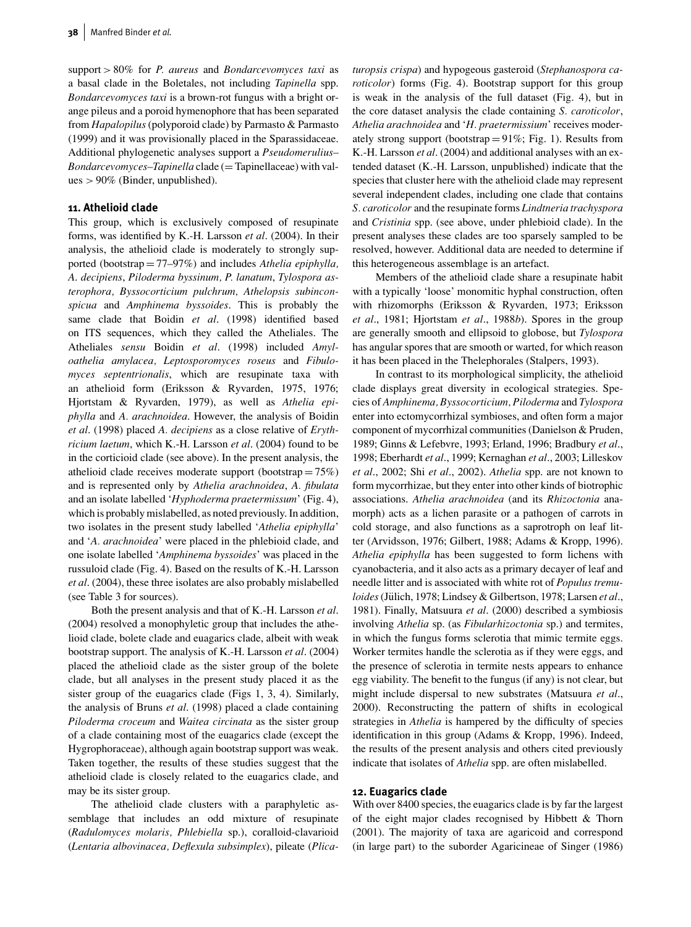support *>* 80% for *P. aureus* and *Bondarcevomyces taxi* as a basal clade in the Boletales, not including *Tapinella* spp. *Bondarcevomyces taxi* is a brown-rot fungus with a bright orange pileus and a poroid hymenophore that has been separated from *Hapalopilus* (polyporoid clade) by Parmasto & Parmasto (1999) and it was provisionally placed in the Sparassidaceae. Additional phylogenetic analyses support a *Pseudomerulius*– *Bondarcevomyces*–*Tapinella* clade (= Tapinellaceae) with values *>* 90% (Binder, unpublished).

#### **11. Athelioid clade**

This group, which is exclusively composed of resupinate forms, was identified by K.-H. Larsson *et al*. (2004). In their analysis, the athelioid clade is moderately to strongly supported (bootstrap = 77–97%) and includes *Athelia epiphylla, A*. *decipiens*, *Piloderma byssinum, P. lanatum*, *Tylospora asterophora, Byssocorticium pulchrum, Athelopsis subinconspicua* and *Amphinema byssoides*. This is probably the same clade that Boidin *et al*. (1998) identified based on ITS sequences, which they called the Atheliales. The Atheliales *sensu* Boidin *et al*. (1998) included *Amyloathelia amylacea, Leptosporomyces roseus* and *Fibulomyces septentrionalis*, which are resupinate taxa with an athelioid form (Eriksson & Ryvarden, 1975, 1976; Hjortstam & Ryvarden, 1979), as well as *Athelia epiphylla* and *A. arachnoidea*. However, the analysis of Boidin *et al*. (1998) placed *A. decipiens* as a close relative of *Erythricium laetum*, which K.-H. Larsson *et al*. (2004) found to be in the corticioid clade (see above). In the present analysis, the athelioid clade receives moderate support (bootstrap =  $75\%$ ) and is represented only by *Athelia arachnoidea*, *A. fibulata* and an isolate labelled '*Hyphoderma praetermissum*' (Fig. 4), which is probably mislabelled, as noted previously. In addition, two isolates in the present study labelled '*Athelia epiphylla*' and '*A. arachnoidea*' were placed in the phlebioid clade, and one isolate labelled '*Amphinema byssoides*' was placed in the russuloid clade (Fig. 4). Based on the results of K.-H. Larsson *et al*. (2004), these three isolates are also probably mislabelled (see Table 3 for sources).

Both the present analysis and that of K.-H. Larsson *et al*. (2004) resolved a monophyletic group that includes the athelioid clade, bolete clade and euagarics clade, albeit with weak bootstrap support. The analysis of K.-H. Larsson *et al*. (2004) placed the athelioid clade as the sister group of the bolete clade, but all analyses in the present study placed it as the sister group of the euagarics clade (Figs 1, 3, 4). Similarly, the analysis of Bruns *et al*. (1998) placed a clade containing *Piloderma croceum* and *Waitea circinata* as the sister group of a clade containing most of the euagarics clade (except the Hygrophoraceae), although again bootstrap support was weak. Taken together, the results of these studies suggest that the athelioid clade is closely related to the euagarics clade, and may be its sister group.

The athelioid clade clusters with a paraphyletic assemblage that includes an odd mixture of resupinate (*Radulomyces molaris, Phlebiella* sp.), coralloid-clavarioid (*Lentaria albovinacea, Deflexula subsimplex*), pileate (*Plica-* *turopsis crispa*) and hypogeous gasteroid (*Stephanospora caroticolor*) forms (Fig. 4). Bootstrap support for this group is weak in the analysis of the full dataset (Fig. 4), but in the core dataset analysis the clade containing *S. caroticolor*, *Athelia arachnoidea* and '*H. praetermissium*' receives moderately strong support (bootstrap =  $91\%$ ; Fig. 1). Results from K.-H. Larsson *et al*. (2004) and additional analyses with an extended dataset (K.-H. Larsson, unpublished) indicate that the species that cluster here with the athelioid clade may represent several independent clades, including one clade that contains *S. caroticolor* and the resupinate forms *Lindtneria trachyspora* and *Cristinia* spp. (see above, under phlebioid clade). In the present analyses these clades are too sparsely sampled to be resolved, however. Additional data are needed to determine if this heterogeneous assemblage is an artefact.

Members of the athelioid clade share a resupinate habit with a typically 'loose' monomitic hyphal construction, often with rhizomorphs (Eriksson & Ryvarden, 1973; Eriksson *et al*., 1981; Hjortstam *et al*., 1988*b*). Spores in the group are generally smooth and ellipsoid to globose, but *Tylospora* has angular spores that are smooth or warted, for which reason it has been placed in the Thelephorales (Stalpers, 1993).

In contrast to its morphological simplicity, the athelioid clade displays great diversity in ecological strategies. Species of *Amphinema, Byssocorticium, Piloderma* and *Tylospora* enter into ectomycorrhizal symbioses, and often form a major component of mycorrhizal communities (Danielson & Pruden, 1989; Ginns & Lefebvre, 1993; Erland, 1996; Bradbury *et al*., 1998; Eberhardt *et al*., 1999; Kernaghan *et al*., 2003; Lilleskov *et al*., 2002; Shi *et al*., 2002). *Athelia* spp. are not known to form mycorrhizae, but they enter into other kinds of biotrophic associations. *Athelia arachnoidea* (and its *Rhizoctonia* anamorph) acts as a lichen parasite or a pathogen of carrots in cold storage, and also functions as a saprotroph on leaf litter (Arvidsson, 1976; Gilbert, 1988; Adams & Kropp, 1996). *Athelia epiphylla* has been suggested to form lichens with cyanobacteria, and it also acts as a primary decayer of leaf and needle litter and is associated with white rot of *Populus tremuloides* (Jülich, 1978; Lindsey & Gilbertson, 1978; Larsen et al., 1981). Finally, Matsuura *et al*. (2000) described a symbiosis involving *Athelia* sp. (as *Fibularhizoctonia* sp.) and termites, in which the fungus forms sclerotia that mimic termite eggs. Worker termites handle the sclerotia as if they were eggs, and the presence of sclerotia in termite nests appears to enhance egg viability. The benefit to the fungus (if any) is not clear, but might include dispersal to new substrates (Matsuura *et al*., 2000). Reconstructing the pattern of shifts in ecological strategies in *Athelia* is hampered by the difficulty of species identification in this group (Adams & Kropp, 1996). Indeed, the results of the present analysis and others cited previously indicate that isolates of *Athelia* spp. are often mislabelled.

#### **12. Euagarics clade**

With over 8400 species, the euagarics clade is by far the largest of the eight major clades recognised by Hibbett & Thorn (2001). The majority of taxa are agaricoid and correspond (in large part) to the suborder Agaricineae of Singer (1986)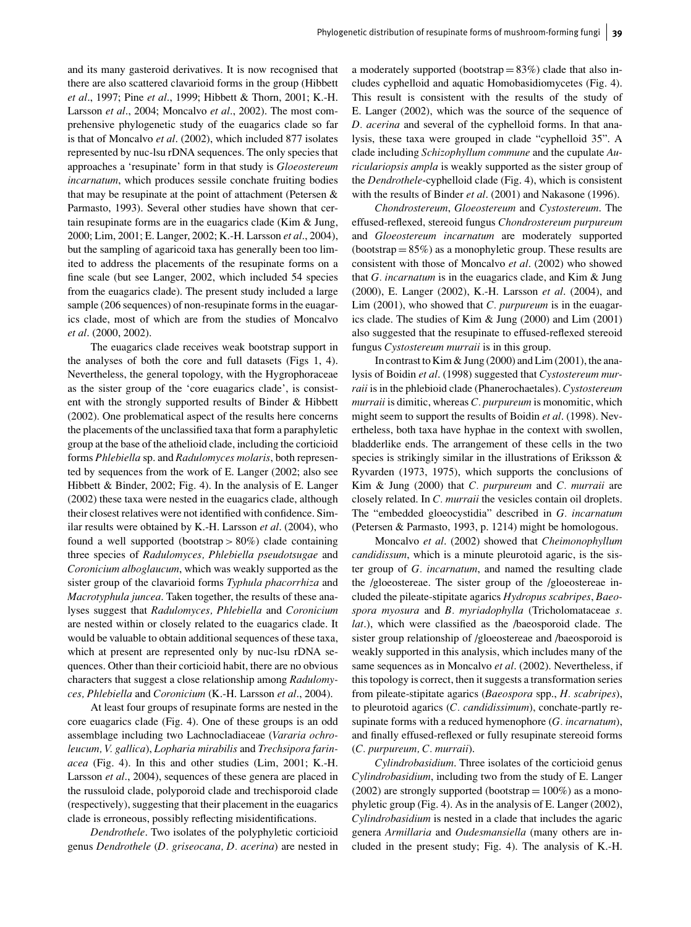and its many gasteroid derivatives. It is now recognised that there are also scattered clavarioid forms in the group (Hibbett *et al*., 1997; Pine *et al*., 1999; Hibbett & Thorn, 2001; K.-H. Larsson *et al*., 2004; Moncalvo *et al*., 2002). The most comprehensive phylogenetic study of the euagarics clade so far is that of Moncalvo *et al*. (2002), which included 877 isolates represented by nuc-lsu rDNA sequences. The only species that approaches a 'resupinate' form in that study is *Gloeostereum incarnatum*, which produces sessile conchate fruiting bodies that may be resupinate at the point of attachment (Petersen & Parmasto, 1993). Several other studies have shown that certain resupinate forms are in the euagarics clade (Kim & Jung, 2000; Lim, 2001; E. Langer, 2002; K.-H. Larsson *et al*., 2004), but the sampling of agaricoid taxa has generally been too limited to address the placements of the resupinate forms on a fine scale (but see Langer, 2002, which included 54 species from the euagarics clade). The present study included a large sample (206 sequences) of non-resupinate forms in the euagarics clade, most of which are from the studies of Moncalvo *et al*. (2000, 2002).

The euagarics clade receives weak bootstrap support in the analyses of both the core and full datasets (Figs 1, 4). Nevertheless, the general topology, with the Hygrophoraceae as the sister group of the 'core euagarics clade', is consistent with the strongly supported results of Binder & Hibbett (2002). One problematical aspect of the results here concerns the placements of the unclassified taxa that form a paraphyletic group at the base of the athelioid clade, including the corticioid forms *Phlebiella* sp. and *Radulomyces molaris*, both represented by sequences from the work of E. Langer (2002; also see Hibbett & Binder, 2002; Fig. 4). In the analysis of E. Langer (2002) these taxa were nested in the euagarics clade, although their closest relatives were not identified with confidence. Similar results were obtained by K.-H. Larsson *et al*. (2004), who found a well supported (bootstrap *>* 80%) clade containing three species of *Radulomyces, Phlebiella pseudotsugae* and *Coronicium alboglaucum*, which was weakly supported as the sister group of the clavarioid forms *Typhula phacorrhiza* and *Macrotyphula juncea*. Taken together, the results of these analyses suggest that *Radulomyces, Phlebiella* and *Coronicium* are nested within or closely related to the euagarics clade. It would be valuable to obtain additional sequences of these taxa, which at present are represented only by nuc-lsu rDNA sequences. Other than their corticioid habit, there are no obvious characters that suggest a close relationship among *Radulomyces, Phlebiella* and *Coronicium* (K.-H. Larsson *et al*., 2004).

At least four groups of resupinate forms are nested in the core euagarics clade (Fig. 4). One of these groups is an odd assemblage including two Lachnocladiaceae (*Vararia ochroleucum, V. gallica*), *Lopharia mirabilis* and *Trechsipora farinacea* (Fig. 4). In this and other studies (Lim, 2001; K.-H. Larsson *et al*., 2004), sequences of these genera are placed in the russuloid clade, polyporoid clade and trechisporoid clade (respectively), suggesting that their placement in the euagarics clade is erroneous, possibly reflecting misidentifications.

*Dendrothele*. Two isolates of the polyphyletic corticioid genus *Dendrothele* (*D. griseocana, D. acerina*) are nested in a moderately supported (bootstrap  $= 83\%$ ) clade that also includes cyphelloid and aquatic Homobasidiomycetes (Fig. 4). This result is consistent with the results of the study of E. Langer (2002), which was the source of the sequence of *D. acerina* and several of the cyphelloid forms. In that analysis, these taxa were grouped in clade "cyphelloid 35". A clade including *Schizophyllum commune* and the cupulate *Auriculariopsis ampla* is weakly supported as the sister group of the *Dendrothele*-cyphelloid clade (Fig. 4), which is consistent with the results of Binder *et al*. (2001) and Nakasone (1996).

*Chondrostereum*, *Gloeostereum* and *Cystostereum*. The effused-reflexed, stereoid fungus *Chondrostereum purpureum* and *Gloeostereum incarnatum* are moderately supported  $(bootstrap = 85\%)$  as a monophyletic group. These results are consistent with those of Moncalvo *et al*. (2002) who showed that *G. incarnatum* is in the euagarics clade, and Kim & Jung (2000), E. Langer (2002), K.-H. Larsson *et al*. (2004), and Lim (2001), who showed that *C. purpureum* is in the euagarics clade. The studies of Kim & Jung (2000) and Lim (2001) also suggested that the resupinate to effused-reflexed stereoid fungus *Cystostereum murraii* is in this group.

In contrast to Kim & Jung (2000) and Lim (2001), the analysis of Boidin *et al*. (1998) suggested that *Cystostereum murraii* is in the phlebioid clade (Phanerochaetales). *Cystostereum murraii* is dimitic, whereas *C. purpureum* is monomitic, which might seem to support the results of Boidin *et al*. (1998). Nevertheless, both taxa have hyphae in the context with swollen, bladderlike ends. The arrangement of these cells in the two species is strikingly similar in the illustrations of Eriksson & Ryvarden (1973, 1975), which supports the conclusions of Kim & Jung (2000) that *C. purpureum* and *C. murraii* are closely related. In *C. murraii* the vesicles contain oil droplets. The "embedded gloeocystidia" described in *G. incarnatum* (Petersen & Parmasto, 1993, p. 1214) might be homologous.

Moncalvo *et al*. (2002) showed that *Cheimonophyllum candidissum*, which is a minute pleurotoid agaric, is the sister group of *G. incarnatum*, and named the resulting clade the /gloeostereae. The sister group of the /gloeostereae included the pileate-stipitate agarics *Hydropus scabripes*, *Baeospora myosura* and *B. myriadophylla* (Tricholomataceae *s. lat*.), which were classified as the /baeosporoid clade. The sister group relationship of /gloeostereae and /baeosporoid is weakly supported in this analysis, which includes many of the same sequences as in Moncalvo *et al*. (2002). Nevertheless, if this topology is correct, then it suggests a transformation series from pileate-stipitate agarics (*Baeospora* spp., *H. scabripes*), to pleurotoid agarics (*C. candidissimum*), conchate-partly resupinate forms with a reduced hymenophore (*G. incarnatum*), and finally effused-reflexed or fully resupinate stereoid forms (*C. purpureum, C. murraii*).

*Cylindrobasidium*. Three isolates of the corticioid genus *Cylindrobasidium*, including two from the study of E. Langer (2002) are strongly supported (bootstrap  $= 100\%$ ) as a monophyletic group (Fig. 4). As in the analysis of E. Langer (2002), *Cylindrobasidium* is nested in a clade that includes the agaric genera *Armillaria* and *Oudesmansiella* (many others are included in the present study; Fig. 4). The analysis of K.-H.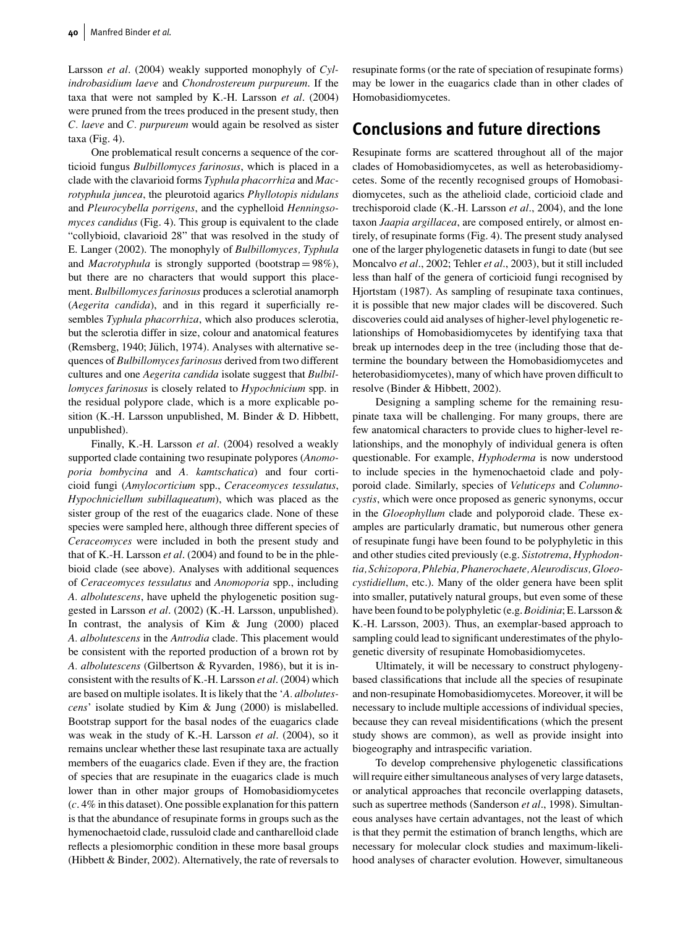Larsson *et al*. (2004) weakly supported monophyly of *Cylindrobasidium laeve* and *Chondrostereum purpureum*. If the taxa that were not sampled by K.-H. Larsson *et al*. (2004) were pruned from the trees produced in the present study, then *C. laeve* and *C. purpureum* would again be resolved as sister taxa (Fig. 4).

One problematical result concerns a sequence of the corticioid fungus *Bulbillomyces farinosus*, which is placed in a clade with the clavarioid forms *Typhula phacorrhiza* and *Macrotyphula juncea*, the pleurotoid agarics *Phyllotopis nidulans* and *Pleurocybella porrigens*, and the cyphelloid *Henningsomyces candidus* (Fig. 4). This group is equivalent to the clade "collybioid, clavarioid 28" that was resolved in the study of E. Langer (2002). The monophyly of *Bulbillomyces, Typhula* and *Macrotyphula* is strongly supported (bootstrap = 98%), but there are no characters that would support this placement. *Bulbillomyces farinosus* produces a sclerotial anamorph (*Aegerita candida*), and in this regard it superficially resembles *Typhula phacorrhiza*, which also produces sclerotia, but the sclerotia differ in size, colour and anatomical features (Remsberg, 1940; Jülich, 1974). Analyses with alternative sequences of *Bulbillomyces farinosus* derived from two different cultures and one *Aegerita candida* isolate suggest that *Bulbillomyces farinosus* is closely related to *Hypochnicium* spp. in the residual polypore clade, which is a more explicable position (K.-H. Larsson unpublished, M. Binder & D. Hibbett, unpublished).

Finally, K.-H. Larsson *et al*. (2004) resolved a weakly supported clade containing two resupinate polypores (*Anomoporia bombycina* and *A. kamtschatica*) and four corticioid fungi (*Amylocorticium* spp., *Ceraceomyces tessulatus*, *Hypochniciellum subillaqueatum*), which was placed as the sister group of the rest of the euagarics clade. None of these species were sampled here, although three different species of *Ceraceomyces* were included in both the present study and that of K.-H. Larsson *et al*. (2004) and found to be in the phlebioid clade (see above). Analyses with additional sequences of *Ceraceomyces tessulatus* and *Anomoporia* spp., including *A. albolutescens*, have upheld the phylogenetic position suggested in Larsson *et al*. (2002) (K.-H. Larsson, unpublished). In contrast, the analysis of Kim & Jung (2000) placed *A. albolutescens* in the *Antrodia* clade. This placement would be consistent with the reported production of a brown rot by *A. albolutescens* (Gilbertson & Ryvarden, 1986), but it is inconsistent with the results of K.-H. Larsson *et al*. (2004) which are based on multiple isolates. It is likely that the '*A. albolutescens*' isolate studied by Kim & Jung (2000) is mislabelled. Bootstrap support for the basal nodes of the euagarics clade was weak in the study of K.-H. Larsson *et al*. (2004), so it remains unclear whether these last resupinate taxa are actually members of the euagarics clade. Even if they are, the fraction of species that are resupinate in the euagarics clade is much lower than in other major groups of Homobasidiomycetes (*c*. 4% in this dataset). One possible explanation for this pattern is that the abundance of resupinate forms in groups such as the hymenochaetoid clade, russuloid clade and cantharelloid clade reflects a plesiomorphic condition in these more basal groups (Hibbett & Binder, 2002). Alternatively, the rate of reversals to

resupinate forms (or the rate of speciation of resupinate forms) may be lower in the euagarics clade than in other clades of Homobasidiomycetes.

# **Conclusions and future directions**

Resupinate forms are scattered throughout all of the major clades of Homobasidiomycetes, as well as heterobasidiomycetes. Some of the recently recognised groups of Homobasidiomycetes, such as the athelioid clade, corticioid clade and trechisporoid clade (K.-H. Larsson *et al*., 2004), and the lone taxon *Jaapia argillacea*, are composed entirely, or almost entirely, of resupinate forms (Fig. 4). The present study analysed one of the larger phylogenetic datasets in fungi to date (but see Moncalvo *et al*., 2002; Tehler *et al*., 2003), but it still included less than half of the genera of corticioid fungi recognised by Hjortstam (1987). As sampling of resupinate taxa continues, it is possible that new major clades will be discovered. Such discoveries could aid analyses of higher-level phylogenetic relationships of Homobasidiomycetes by identifying taxa that break up internodes deep in the tree (including those that determine the boundary between the Homobasidiomycetes and heterobasidiomycetes), many of which have proven difficult to resolve (Binder & Hibbett, 2002).

Designing a sampling scheme for the remaining resupinate taxa will be challenging. For many groups, there are few anatomical characters to provide clues to higher-level relationships, and the monophyly of individual genera is often questionable. For example, *Hyphoderma* is now understood to include species in the hymenochaetoid clade and polyporoid clade. Similarly, species of *Veluticeps* and *Columnocystis*, which were once proposed as generic synonyms, occur in the *Gloeophyllum* clade and polyporoid clade. These examples are particularly dramatic, but numerous other genera of resupinate fungi have been found to be polyphyletic in this and other studies cited previously (e.g. *Sistotrema*, *Hyphodontia, Schizopora, Phlebia, Phanerochaete, Aleurodiscus, Gloeocystidiellum*, etc.). Many of the older genera have been split into smaller, putatively natural groups, but even some of these have been found to be polyphyletic (e.g.*Boidinia*; E. Larsson & K.-H. Larsson, 2003). Thus, an exemplar-based approach to sampling could lead to significant underestimates of the phylogenetic diversity of resupinate Homobasidiomycetes.

Ultimately, it will be necessary to construct phylogenybased classifications that include all the species of resupinate and non-resupinate Homobasidiomycetes. Moreover, it will be necessary to include multiple accessions of individual species, because they can reveal misidentifications (which the present study shows are common), as well as provide insight into biogeography and intraspecific variation.

To develop comprehensive phylogenetic classifications will require either simultaneous analyses of very large datasets, or analytical approaches that reconcile overlapping datasets, such as supertree methods (Sanderson *et al*., 1998). Simultaneous analyses have certain advantages, not the least of which is that they permit the estimation of branch lengths, which are necessary for molecular clock studies and maximum-likelihood analyses of character evolution. However, simultaneous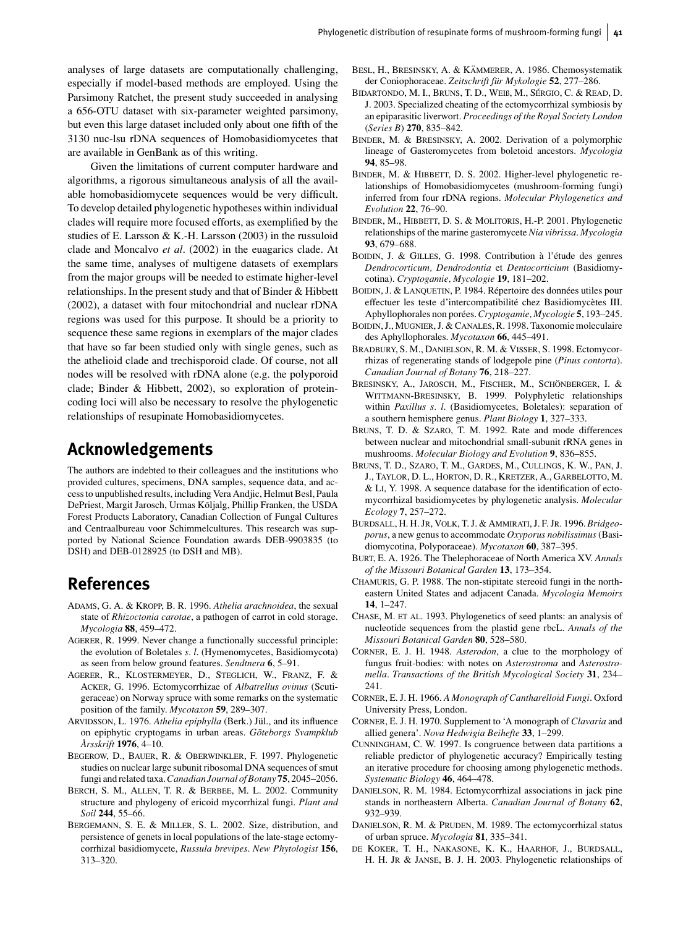analyses of large datasets are computationally challenging, especially if model-based methods are employed. Using the Parsimony Ratchet, the present study succeeded in analysing a 656-OTU dataset with six-parameter weighted parsimony, but even this large dataset included only about one fifth of the 3130 nuc-lsu rDNA sequences of Homobasidiomycetes that are available in GenBank as of this writing.

Given the limitations of current computer hardware and algorithms, a rigorous simultaneous analysis of all the available homobasidiomycete sequences would be very difficult. To develop detailed phylogenetic hypotheses within individual clades will require more focused efforts, as exemplified by the studies of E. Larsson & K.-H. Larsson (2003) in the russuloid clade and Moncalvo *et al*. (2002) in the euagarics clade. At the same time, analyses of multigene datasets of exemplars from the major groups will be needed to estimate higher-level relationships. In the present study and that of Binder & Hibbett (2002), a dataset with four mitochondrial and nuclear rDNA regions was used for this purpose. It should be a priority to sequence these same regions in exemplars of the major clades that have so far been studied only with single genes, such as the athelioid clade and trechisporoid clade. Of course, not all nodes will be resolved with rDNA alone (e.g. the polyporoid clade; Binder & Hibbett, 2002), so exploration of proteincoding loci will also be necessary to resolve the phylogenetic relationships of resupinate Homobasidiomycetes.

## **Acknowledgements**

The authors are indebted to their colleagues and the institutions who provided cultures, specimens, DNA samples, sequence data, and access to unpublished results, including Vera Andjic, Helmut Besl, Paula DePriest, Margit Jarosch, Urmas Kõljalg, Phillip Franken, the USDA Forest Products Laboratory, Canadian Collection of Fungal Cultures and Centraalbureau voor Schimmelcultures. This research was supported by National Science Foundation awards DEB-9903835 (to DSH) and DEB-0128925 (to DSH and MB).

# **References**

- ADAMS, G. A. & KROPP, B. R. 1996. *Athelia arachnoidea*, the sexual state of *Rhizoctonia carotae*, a pathogen of carrot in cold storage. *Mycologia* **88**, 459–472.
- AGERER, R. 1999. Never change a functionally successful principle: the evolution of Boletales *s. l*. (Hymenomycetes, Basidiomycota) as seen from below ground features. *Sendtnera* **6**, 5–91.
- AGERER, R., KLOSTERMEYER, D., STEGLICH, W., FRANZ, F. & ACKER, G. 1996. Ectomycorrhizae of *Albatrellus ovinus* (Scutigeraceae) on Norway spruce with some remarks on the systematic position of the family. *Mycotaxon* **59**, 289–307.
- ARVIDSSON, L. 1976. Athelia epiphylla (Berk.) Jül., and its influence on epiphytic cryptogams in urban areas. *Goteborgs Svampklub ¨ ˚ Arsskrift* **1976**, 4–10.
- BEGEROW, D., BAUER, R. & OBERWINKLER, F. 1997. Phylogenetic studies on nuclear large subunit ribosomal DNA sequences of smut fungi and related taxa.*Canadian Journal of Botany* **75**, 2045–2056.
- BERCH, S. M., ALLEN, T. R. & BERBEE, M. L. 2002. Community structure and phylogeny of ericoid mycorrhizal fungi. *Plant and Soil* **244**, 55–66.
- BERGEMANN, S. E. & MILLER, S. L. 2002. Size, distribution, and persistence of genets in local populations of the late-stage ectomycorrhizal basidiomycete, *Russula brevipes*. *New Phytologist* **156**, 313–320.
- BESL, H., BRESINSKY, A. & KÄMMERER, A. 1986. Chemosystematik der Coniophoraceae. Zeitschrift für Mykologie 52, 277–286.
- BIDARTONDO, M. I., BRUNS, T. D., WEIß, M., SÉRGIO, C. & READ, D. J. 2003. Specialized cheating of the ectomycorrhizal symbiosis by an epiparasitic liverwort. *Proceedings of the Royal Society London* (*Series B*) **270**, 835–842.
- BINDER, M. & BRESINSKY, A. 2002. Derivation of a polymorphic lineage of Gasteromycetes from boletoid ancestors. *Mycologia* **94**, 85–98.
- BINDER, M. & HIBBETT, D. S. 2002. Higher-level phylogenetic relationships of Homobasidiomycetes (mushroom-forming fungi) inferred from four rDNA regions. *Molecular Phylogenetics and Evolution* **22**, 76–90.
- BINDER, M., HIBBETT, D. S. & MOLITORIS, H.-P. 2001. Phylogenetic relationships of the marine gasteromycete *Nia vibrissa*. *Mycologia* **93**, 679–688.
- BOIDIN, J. & GILLES, G. 1998. Contribution à l'étude des genres *Dendrocorticum, Dendrodontia* et *Dentocorticium* (Basidiomycotina). *Cryptogamie, Mycologie* **19**, 181–202.
- BOIDIN, J. & LANQUETIN, P. 1984. Répertoire des données utiles pour effectuer les teste d'intercompatibilité chez Basidiomycètes III. Aphyllophorales non porées. Cryptogamie, Mycologie 5, 193-245.
- BOIDIN, J., MUGNIER, J. & CANALES, R. 1998. Taxonomie moleculaire des Aphyllophorales. *Mycotaxon* **66**, 445–491.
- BRADBURY, S. M., DANIELSON, R. M. & VISSER, S. 1998. Ectomycorrhizas of regenerating stands of lodgepole pine (*Pinus contorta*). *Canadian Journal of Botany* **76**, 218–227.
- BRESINSKY, A., JAROSCH, M., FISCHER, M., SCHÖNBERGER, I. & WITTMANN-BRESINSKY, B. 1999. Polyphyletic relationships within *Paxillus s. l*. (Basidiomycetes, Boletales): separation of a southern hemisphere genus. *Plant Biology* **1**, 327–333.
- BRUNS, T. D. & SZARO, T. M. 1992. Rate and mode differences between nuclear and mitochondrial small-subunit rRNA genes in mushrooms. *Molecular Biology and Evolution* **9**, 836–855.
- BRUNS, T. D., SZARO, T. M., GARDES, M., CULLINGS, K. W., PAN, J. J., TAYLOR, D. L., HORTON, D. R., KRETZER, A., GARBELOTTO, M. & LI, Y. 1998. A sequence database for the identification of ectomycorrhizal basidiomycetes by phylogenetic analysis. *Molecular Ecology* **7**, 257–272.
- BURDSALL, H. H. JR, VOLK, T. J. & AMMIRATI, J. F. JR. 1996. *Bridgeoporus*, a new genus to accommodate *Oxyporus nobilissimus* (Basidiomycotina, Polyporaceae). *Mycotaxon* **60**, 387–395.
- BURT, E. A. 1926. The Thelephoraceae of North America XV. *Annals of the Missouri Botanical Garden* **13**, 173–354.
- CHAMURIS, G. P. 1988. The non-stipitate stereoid fungi in the northeastern United States and adjacent Canada. *Mycologia Memoirs* **14**, 1–247.
- CHASE, M. ET AL. 1993. Phylogenetics of seed plants: an analysis of nucleotide sequences from the plastid gene rbcL. *Annals of the Missouri Botanical Garden* **80**, 528–580.
- CORNER, E. J. H. 1948. *Asterodon*, a clue to the morphology of fungus fruit-bodies: with notes on *Asterostroma* and *Asterostromella*. *Transactions of the British Mycological Society* **31**, 234– 241.
- CORNER, E. J. H. 1966. *A Monograph of Cantharelloid Fungi*. Oxford University Press, London.
- CORNER, E. J. H. 1970. Supplement to 'A monograph of *Clavaria* and allied genera'. *Nova Hedwigia Beihefte* **33**, 1–299.
- CUNNINGHAM, C. W. 1997. Is congruence between data partitions a reliable predictor of phylogenetic accuracy? Empirically testing an iterative procedure for choosing among phylogenetic methods. *Systematic Biology* **46**, 464–478.
- DANIELSON, R. M. 1984. Ectomycorrhizal associations in jack pine stands in northeastern Alberta. *Canadian Journal of Botany* **62**, 932–939.
- DANIELSON, R. M. & PRUDEN, M. 1989. The ectomycorrhizal status of urban spruce. *Mycologia* **81**, 335–341.
- DE KOKER, T. H., NAKASONE, K. K., HAARHOF, J., BURDSALL, H. H. JR & JANSE, B. J. H. 2003. Phylogenetic relationships of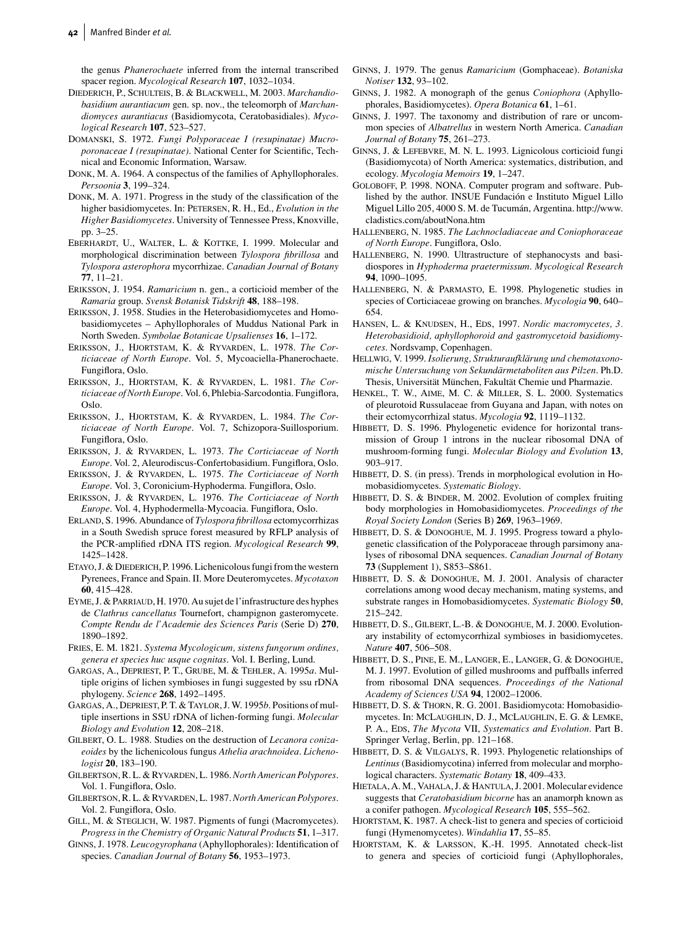the genus *Phanerochaete* inferred from the internal transcribed spacer region. *Mycological Research* **107**, 1032–1034.

- DIEDERICH, P., SCHULTEIS, B. & BLACKWELL, M. 2003. *Marchandiobasidium aurantiacum* gen. sp. nov., the teleomorph of *Marchandiomyces aurantiacus* (Basidiomycota, Ceratobasidiales). *Mycological Research* **107**, 523–527.
- DOMANSKI, S. 1972. *Fungi Polyporaceae I (resupinatae) Mucroporonaceae I (resupinatae)*. National Center for Scientific, Technical and Economic Information, Warsaw.
- DONK, M. A. 1964. A conspectus of the families of Aphyllophorales. *Persoonia* **3**, 199–324.
- DONK, M. A. 1971. Progress in the study of the classification of the higher basidiomycetes. In: PETERSEN, R. H., Ed., *Evolution in the Higher Basidiomycetes*. University of Tennessee Press, Knoxville, pp. 3–25.
- EBERHARDT, U., WALTER, L. & KOTTKE, I. 1999. Molecular and morphological discrimination between *Tylospora fibrillosa* and *Tylospora asterophora* mycorrhizae. *Canadian Journal of Botany* **77**, 11–21.
- ERIKSSON, J. 1954. *Ramaricium* n. gen., a corticioid member of the *Ramaria* group. *Svensk Botanisk Tidskrift* **48**, 188–198.
- ERIKSSON, J. 1958. Studies in the Heterobasidiomycetes and Homobasidiomycetes – Aphyllophorales of Muddus National Park in North Sweden. *Symbolae Botanicae Upsalienses* **16**, 1–172.
- ERIKSSON, J., HJORTSTAM, K. & RYVARDEN, L. 1978. *The Corticiaceae of North Europe*. Vol. 5, Mycoaciella-Phanerochaete. Fungiflora, Oslo.
- ERIKSSON, J., HJORTSTAM, K. & RYVARDEN, L. 1981. *The Corticiaceae of North Europe*. Vol. 6, Phlebia-Sarcodontia. Fungiflora, Oslo.
- ERIKSSON, J., HJORTSTAM, K. & RYVARDEN, L. 1984. *The Corticiaceae of North Europe*. Vol. 7, Schizopora-Suillosporium. Fungiflora, Oslo.
- ERIKSSON, J. & RYVARDEN, L. 1973. *The Corticiaceae of North Europe*. Vol. 2, Aleurodiscus-Confertobasidium. Fungiflora, Oslo.
- ERIKSSON, J. & RYVARDEN, L. 1975. *The Corticiaceae of North Europe*. Vol. 3, Coronicium-Hyphoderma. Fungiflora, Oslo.
- ERIKSSON, J. & RYVARDEN, L. 1976. *The Corticiaceae of North Europe*. Vol. 4, Hyphodermella-Mycoacia. Fungiflora, Oslo.
- ERLAND, S. 1996. Abundance of *Tylospora fibrillosa* ectomycorrhizas in a South Swedish spruce forest measured by RFLP analysis of the PCR-amplified rDNA ITS region. *Mycological Research* **99**, 1425–1428.
- ETAYO, J. & DIEDERICH, P. 1996. Lichenicolous fungi from the western Pyrenees, France and Spain. II. More Deuteromycetes. *Mycotaxon* **60**, 415–428.
- EYME, J. & PARRIAUD, H. 1970. Au sujet de l'infrastructure des hyphes de *Clathrus cancellatus* Tournefort, champignon gasteromycete. *Compte Rendu de l'Academie des Sciences Paris* (Serie D) **270**, 1890–1892.
- FRIES, E. M. 1821. *Systema Mycologicum, sistens fungorum ordines, genera et species huc usque cognitas*. Vol. I. Berling, Lund.
- GARGAS, A., DEPRIEST, P. T., GRUBE, M. & TEHLER, A. 1995*a*. Multiple origins of lichen symbioses in fungi suggested by ssu rDNA phylogeny. *Science* **268**, 1492–1495.
- GARGAS, A., DEPRIEST, P. T. & TAYLOR, J. W. 1995*b*. Positions of multiple insertions in SSU rDNA of lichen-forming fungi. *Molecular Biology and Evolution* **12**, 208–218.
- GILBERT, O. L. 1988. Studies on the destruction of *Lecanora conizaeoides* by the lichenicolous fungus *Athelia arachnoidea*. *Lichenologist* **20**, 183–190.
- GILBERTSON, R. L. & RYVARDEN, L. 1986.*North American Polypores*. Vol. 1. Fungiflora, Oslo.
- GILBERTSON, R. L. & RYVARDEN, L. 1987.*North American Polypores*. Vol. 2. Fungiflora, Oslo.
- GILL, M. & STEGLICH, W. 1987. Pigments of fungi (Macromycetes). *Progress in the Chemistry of Organic Natural Products* **51**, 1–317.
- GINNS, J. 1978. *Leucogyrophana* (Aphyllophorales): Identification of species. *Canadian Journal of Botany* **56**, 1953–1973.
- GINNS, J. 1979. The genus *Ramaricium* (Gomphaceae). *Botaniska Notiser* **132**, 93–102.
- GINNS, J. 1982. A monograph of the genus *Coniophora* (Aphyllophorales, Basidiomycetes). *Opera Botanica* **61**, 1–61.
- GINNS, J. 1997. The taxonomy and distribution of rare or uncommon species of *Albatrellus* in western North America. *Canadian Journal of Botany* **75**, 261–273.
- GINNS, J. & LEFEBVRE, M. N. L. 1993. Lignicolous corticioid fungi (Basidiomycota) of North America: systematics, distribution, and ecology. *Mycologia Memoirs* **19**, 1–247.
- GOLOBOFF, P. 1998. NONA. Computer program and software. Published by the author. INSUE Fundación e Instituto Miguel Lillo Miguel Lillo 205, 4000 S. M. de Tucumán, Argentina. http://www. cladistics.com/aboutNona.htm
- HALLENBERG, N. 1985. *The Lachnocladiaceae and Coniophoraceae of North Europe*. Fungiflora, Oslo.
- HALLENBERG, N. 1990. Ultrastructure of stephanocysts and basidiospores in *Hyphoderma praetermissum*. *Mycological Research* **94**, 1090–1095.
- HALLENBERG, N. & PARMASTO, E. 1998. Phylogenetic studies in species of Corticiaceae growing on branches. *Mycologia* **90**, 640– 654.
- HANSEN, L. & KNUDSEN, H., EDS, 1997. *Nordic macromycetes, 3. Heterobasidioid, aphyllophoroid and gastromycetoid basidiomycetes*. Nordsvamp, Copenhagen.
- HELLWIG, V. 1999. *Isolierung, Strukturaufklarung und chemotaxono- ¨ mische Untersuchung von Sekundärmetaboliten aus Pilzen. Ph.D.* Thesis, Universität München, Fakultät Chemie und Pharmazie.
- HENKEL, T. W., AIME, M. C. & MILLER, S. L. 2000. Systematics of pleurotoid Russulaceae from Guyana and Japan, with notes on their ectomycorrhizal status. *Mycologia* **92**, 1119–1132.
- HIBBETT, D. S. 1996. Phylogenetic evidence for horizontal transmission of Group 1 introns in the nuclear ribosomal DNA of mushroom-forming fungi. *Molecular Biology and Evolution* **13**, 903–917.
- HIBBETT, D. S. (in press). Trends in morphological evolution in Homobasidiomycetes. *Systematic Biology*.
- HIBBETT, D. S. & BINDER, M. 2002. Evolution of complex fruiting body morphologies in Homobasidiomycetes. *Proceedings of the Royal Society London* (Series B) **269**, 1963–1969.
- HIBBETT, D. S. & DONOGHUE, M. J. 1995. Progress toward a phylogenetic classification of the Polyporaceae through parsimony analyses of ribosomal DNA sequences. *Canadian Journal of Botany* **73** (Supplement 1), S853–S861.
- HIBBETT, D. S. & DONOGHUE, M. J. 2001. Analysis of character correlations among wood decay mechanism, mating systems, and substrate ranges in Homobasidiomycetes. *Systematic Biology* **50**, 215–242.
- HIBBETT, D. S., GILBERT, L.-B. & DONOGHUE, M. J. 2000. Evolutionary instability of ectomycorrhizal symbioses in basidiomycetes. *Nature* **407**, 506–508.
- HIBBETT, D. S., PINE, E. M., LANGER, E., LANGER, G. & DONOGHUE, M. J. 1997. Evolution of gilled mushrooms and puffballs inferred from ribosomal DNA sequences. *Proceedings of the National Academy of Sciences USA* **94**, 12002–12006.
- HIBBETT, D. S. & THORN, R. G. 2001. Basidiomycota: Homobasidiomycetes. In: MCLAUGHLIN, D. J., MCLAUGHLIN, E. G. & LEMKE, P. A., EDS, *The Mycota* VII, *Systematics and Evolution*. Part B. Springer Verlag, Berlin, pp. 121–168.
- HIBBETT, D. S. & VILGALYS, R. 1993. Phylogenetic relationships of *Lentinus* (Basidiomycotina) inferred from molecular and morphological characters. *Systematic Botany* **18**, 409–433.
- HIETALA, A. M., VAHALA, J. & HANTULA, J. 2001. Molecular evidence suggests that *Ceratobasidium bicorne* has an anamorph known as a conifer pathogen. *Mycological Research* **105**, 555–562.
- HJORTSTAM, K. 1987. A check-list to genera and species of corticioid fungi (Hymenomycetes). *Windahlia* **17**, 55–85.
- HJORTSTAM, K. & LARSSON, K.-H. 1995. Annotated check-list to genera and species of corticioid fungi (Aphyllophorales,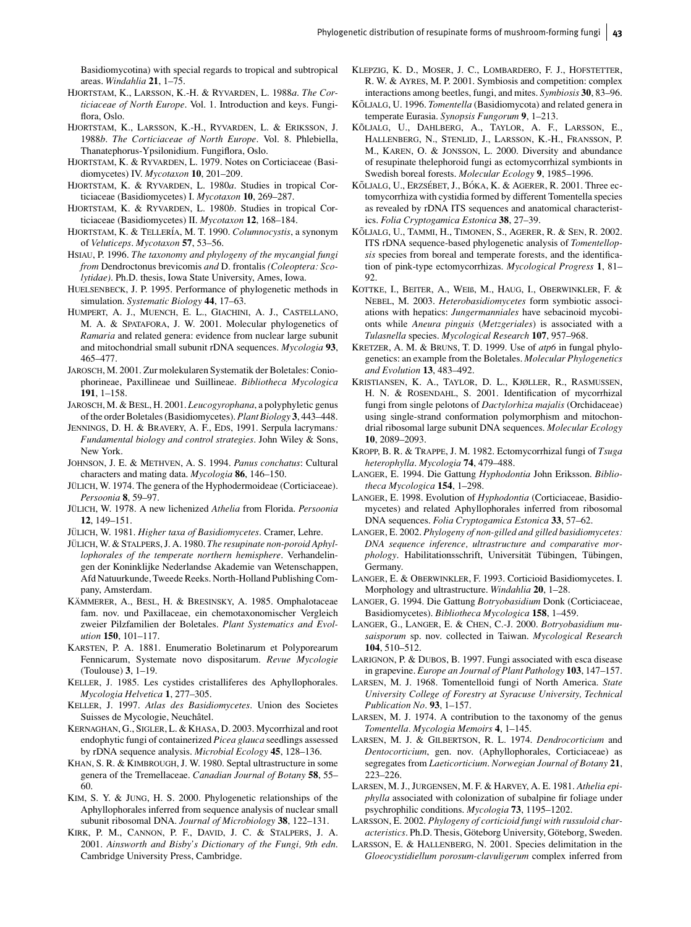Basidiomycotina) with special regards to tropical and subtropical areas. *Windahlia* **21**, 1–75.

- HJORTSTAM, K., LARSSON, K.-H. & RYVARDEN, L. 1988*a*. *The Corticiaceae of North Europe*. Vol. 1. Introduction and keys. Fungiflora, Oslo.
- HJORTSTAM, K., LARSSON, K.-H., RYVARDEN, L. & ERIKSSON, J. 1988*b*. *The Corticiaceae of North Europe*. Vol. 8. Phlebiella, Thanatephorus-Ypsilonidium. Fungiflora, Oslo.
- HJORTSTAM, K. & RYVARDEN, L. 1979. Notes on Corticiaceae (Basidiomycetes) IV. *Mycotaxon* **10**, 201–209.
- HJORTSTAM, K. & RYVARDEN, L. 1980*a*. Studies in tropical Corticiaceae (Basidiomycetes) I. *Mycotaxon* **10**, 269–287.
- HJORTSTAM, K. & RYVARDEN, L. 1980*b*. Studies in tropical Corticiaceae (Basidiomycetes) II. *Mycotaxon* **12**, 168–184.
- HJORTSTAM, K. & TELLER´IA, M. T. 1990. *Columnocystis*, a synonym of *Veluticeps*. *Mycotaxon* **57**, 53–56.
- HSIAU, P. 1996. *The taxonomy and phylogeny of the mycangial fungi from* Dendroctonus brevicomis *and* D. frontalis *(Coleoptera: Scolytidae)*. Ph.D. thesis, Iowa State University, Ames, Iowa.
- HUELSENBECK, J. P. 1995. Performance of phylogenetic methods in simulation. *Systematic Biology* **44**, 17–63.
- HUMPERT, A. J., MUENCH, E. L., GIACHINI, A. J., CASTELLANO, M. A. & SPATAFORA, J. W. 2001. Molecular phylogenetics of *Ramaria* and related genera: evidence from nuclear large subunit and mitochondrial small subunit rDNA sequences. *Mycologia* **93**, 465–477.
- JAROSCH, M. 2001. Zur molekularen Systematik der Boletales: Coniophorineae, Paxillineae und Suillineae. *Bibliotheca Mycologica* **191**, 1–158.
- JAROSCH, M. & BESL, H. 2001. *Leucogyrophana*, a polyphyletic genus of the order Boletales (Basidiomycetes). *Plant Biology* **3**, 443–448.
- JENNINGS, D. H. & BRAVERY, A. F., EDS, 1991. Serpula lacrymans*: Fundamental biology and control strategies*. John Wiley & Sons, New York.
- JOHNSON, J. E. & METHVEN, A. S. 1994. *Panus conchatus*: Cultural characters and mating data. *Mycologia* **86**, 146–150.
- JÜLICH, W. 1974. The genera of the Hyphodermoideae (Corticiaceae). *Persoonia* **8**, 59–97.
- JÜLICH, W. 1978. A new lichenized *Athelia* from Florida. *Persoonia* **12**, 149–151.
- JÜLICH, W. 1981. *Higher taxa of Basidiomycetes*. Cramer, Lehre.
- JÜLICH, W. & STALPERS, J. A. 1980. *The resupinate non-poroid Aphyllophorales of the temperate northern hemisphere*. Verhandelingen der Koninklijke Nederlandse Akademie van Wetenschappen, Afd Natuurkunde, Tweede Reeks. North-Holland Publishing Company, Amsterdam.
- KÄMMERER, A., BESL, H. & BRESINSKY, A. 1985. Omphalotaceae fam. nov. und Paxillaceae, ein chemotaxonomischer Vergleich zweier Pilzfamilien der Boletales. *Plant Systematics and Evolution* **150**, 101–117.
- KARSTEN, P. A. 1881. Enumeratio Boletinarum et Polyporearum Fennicarum, Systemate novo dispositarum. *Revue Mycologie* (Toulouse) **3**, 1–19.
- KELLER, J. 1985. Les cystides cristalliferes des Aphyllophorales. *Mycologia Helvetica* **1**, 277–305.
- KELLER, J. 1997. *Atlas des Basidiomycetes*. Union des Societes Suisses de Mycologie, Neuchâtel.
- KERNAGHAN, G., SIGLER, L. & KHASA, D. 2003. Mycorrhizal and root endophytic fungi of containerized *Picea glauca* seedlings assessed by rDNA sequence analysis. *Microbial Ecology* **45**, 128–136.
- KHAN, S. R. & KIMBROUGH, J. W. 1980. Septal ultrastructure in some genera of the Tremellaceae. *Canadian Journal of Botany* **58**, 55– 60.
- KIM, S. Y. & JUNG, H. S. 2000. Phylogenetic relationships of the Aphyllophorales inferred from sequence analysis of nuclear small subunit ribosomal DNA. *Journal of Microbiology* **38**, 122–131.
- KIRK, P. M., CANNON, P. F., DAVID, J. C. & STALPERS, J. A. 2001. *Ainsworth and Bisby's Dictionary of the Fungi, 9th edn*. Cambridge University Press, Cambridge.
- KLEPZIG, K. D., MOSER, J. C., LOMBARDERO, F. J., HOFSTETTER, R. W. & AYRES, M. P. 2001. Symbiosis and competition: complex interactions among beetles, fungi, and mites. *Symbiosis* **30**, 83–96.
- KÕLJALG, U. 1996. *Tomentella* (Basidiomycota) and related genera in temperate Eurasia. *Synopsis Fungorum* **9**, 1–213.
- KÕLJALG, U., DAHLBERG, A., TAYLOR, A. F., LARSSON, E., HALLENBERG, N., STENLID, J., LARSSON, K.-H., FRANSSON, P. M., KAREN, O. & JONSSON, L. 2000. Diversity and abundance of resupinate thelephoroid fungi as ectomycorrhizal symbionts in Swedish boreal forests. *Molecular Ecology* **9**, 1985–1996.
- KÕLJALG, U., ERZSÉBET, J., BÓKA, K. & AGERER, R. 2001. Three ectomycorrhiza with cystidia formed by different Tomentella species as revealed by rDNA ITS sequences and anatomical characteristics. *Folia Cryptogamica Estonica* **38**, 27–39.
- KÕLJALG, U., TAMMI, H., TIMONEN, S., AGERER, R. & SEN, R. 2002. ITS rDNA sequence-based phylogenetic analysis of *Tomentellopsis* species from boreal and temperate forests, and the identification of pink-type ectomycorrhizas. *Mycological Progress* **1**, 81– 92.
- KOTTKE, I., BEITER, A., WEIß, M., HAUG, I., OBERWINKLER, F. & NEBEL, M. 2003. *Heterobasidiomycetes* form symbiotic associations with hepatics: *Jungermanniales* have sebacinoid mycobionts while *Aneura pinguis* (*Metzgeriales*) is associated with a *Tulasnella* species. *Mycological Research* **107**, 957–968.
- KRETZER, A. M. & BRUNS, T. D. 1999. Use of *atp6* in fungal phylogenetics: an example from the Boletales. *Molecular Phylogenetics and Evolution* **13**, 483–492.
- KRISTIANSEN, K. A., TAYLOR, D. L., KJØLLER, R., RASMUSSEN, H. N. & ROSENDAHL, S. 2001. Identification of mycorrhizal fungi from single pelotons of *Dactylorhiza majalis* (Orchidaceae) using single-strand conformation polymorphism and mitochondrial ribosomal large subunit DNA sequences. *Molecular Ecology* **10**, 2089–2093.
- KROPP, B. R. & TRAPPE, J. M. 1982. Ectomycorrhizal fungi of *Tsuga heterophylla*. *Mycologia* **74**, 479–488.
- LANGER, E. 1994. Die Gattung *Hyphodontia* John Eriksson. *Bibliotheca Mycologica* **154**, 1–298.
- LANGER, E. 1998. Evolution of *Hyphodontia* (Corticiaceae, Basidiomycetes) and related Aphyllophorales inferred from ribosomal DNA sequences. *Folia Cryptogamica Estonica* **33**, 57–62.
- LANGER, E. 2002. *Phylogeny of non-gilled and gilled basidiomycetes: DNA sequence inference, ultrastructure and comparative morphology*. Habilitationsschrift, Universität Tübingen, Tübingen, Germany.
- LANGER, E. & OBERWINKLER, F. 1993. Corticioid Basidiomycetes. I. Morphology and ultrastructure. *Windahlia* **20**, 1–28.
- LANGER, G. 1994. Die Gattung *Botryobasidium* Donk (Corticiaceae, Basidiomycetes). *Bibliotheca Mycologica* **158**, 1–459.
- LANGER, G., LANGER, E. & CHEN, C.-J. 2000. *Botryobasidium musaisporum* sp. nov. collected in Taiwan. *Mycological Research* **104**, 510–512.
- LARIGNON, P. & DUBOS, B. 1997. Fungi associated with esca disease in grapevine. *Europe an Journal of Plant Pathology* **103**, 147–157.
- LARSEN, M. J. 1968. Tomentelloid fungi of North America. *State University College of Forestry at Syracuse University, Technical Publication No*. **93**, 1–157.
- LARSEN, M. J. 1974. A contribution to the taxonomy of the genus *Tomentella. Mycologia Memoirs* **4**, 1–145.
- LARSEN, M. J. & GILBERTSON, R. L. 1974. *Dendrocorticium* and *Dentocorticium*, gen. nov. (Aphyllophorales, Corticiaceae) as segregates from *Laeticorticium*. *Norwegian Journal of Botany* **21**, 223–226.
- LARSEN, M. J., JURGENSEN, M. F. & HARVEY, A. E. 1981. *Athelia epiphylla* associated with colonization of subalpine fir foliage under psychrophilic conditions. *Mycologia* **73**, 1195–1202.
- LARSSON, E. 2002. *Phylogeny of corticioid fungi with russuloid characteristics*. Ph.D. Thesis, Göteborg University, Göteborg, Sweden.
- LARSSON, E. & HALLENBERG, N. 2001. Species delimitation in the *Gloeocystidiellum porosum-clavuligerum* complex inferred from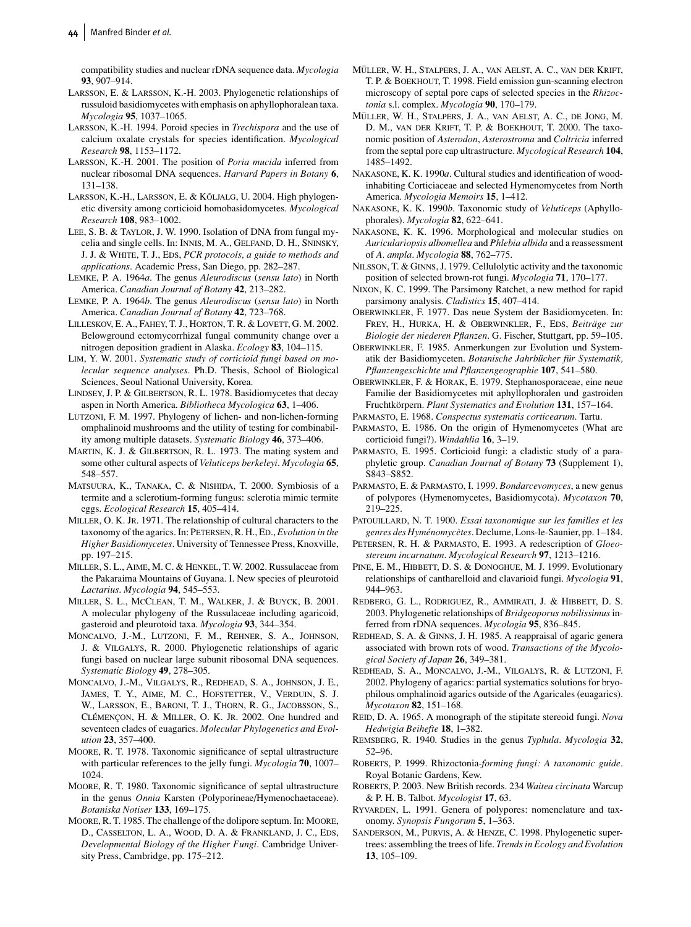compatibility studies and nuclear rDNA sequence data. *Mycologia* **93**, 907–914.

- LARSSON, E. & LARSSON, K.-H. 2003. Phylogenetic relationships of russuloid basidiomycetes with emphasis on aphyllophoralean taxa. *Mycologia* **95**, 1037–1065.
- LARSSON, K.-H. 1994. Poroid species in *Trechispora* and the use of calcium oxalate crystals for species identification. *Mycological Research* **98**, 1153–1172.
- LARSSON, K.-H. 2001. The position of *Poria mucida* inferred from nuclear ribosomal DNA sequences. *Harvard Papers in Botany* **6**, 131–138.
- LARSSON, K.-H., LARSSON, E. & KÕLJALG, U. 2004. High phylogenetic diversity among corticioid homobasidomycetes. *Mycological Research* **108**, 983–1002.
- LEE, S. B. & TAYLOR, J. W. 1990. Isolation of DNA from fungal mycelia and single cells. In: INNIS, M. A., GELFAND, D. H., SNINSKY, J. J. & WHITE, T. J., EDS, *PCR protocols, a guide to methods and applications*. Academic Press, San Diego, pp. 282–287.
- LEMKE, P. A. 1964*a*. The genus *Aleurodiscus* (*sensu lato*) in North America. *Canadian Journal of Botany* **42**, 213–282.
- LEMKE, P. A. 1964*b*. The genus *Aleurodiscus* (*sensu lato*) in North America. *Canadian Journal of Botany* **42**, 723–768.
- LILLESKOV, E. A., FAHEY, T. J., HORTON, T. R. & LOVETT, G. M. 2002. Belowground ectomycorrhizal fungal community change over a nitrogen deposition gradient in Alaska. *Ecology* **83**, 104–115.
- LIM, Y. W. 2001. *Systematic study of corticioid fungi based on molecular sequence analyses*. Ph.D. Thesis, School of Biological Sciences, Seoul National University, Korea.
- LINDSEY, J. P. & GILBERTSON, R. L. 1978. Basidiomycetes that decay aspen in North America. *Bibliotheca Mycologica* **63**, 1–406.
- LUTZONI, F. M. 1997. Phylogeny of lichen- and non-lichen-forming omphalinoid mushrooms and the utility of testing for combinability among multiple datasets. *Systematic Biology* **46**, 373–406.
- MARTIN, K. J. & GILBERTSON, R. L. 1973. The mating system and some other cultural aspects of *Veluticeps berkeleyi*. *Mycologia* **65**, 548–557.
- MATSUURA, K., TANAKA, C. & NISHIDA, T. 2000. Symbiosis of a termite and a sclerotium-forming fungus: sclerotia mimic termite eggs. *Ecological Research* **15**, 405–414.
- MILLER, O. K. JR. 1971. The relationship of cultural characters to the taxonomy of the agarics. In: PETERSEN, R. H., ED., *Evolution in the Higher Basidiomycetes*. University of Tennessee Press, Knoxville, pp. 197–215.
- MILLER, S. L., AIME, M. C. & HENKEL, T. W. 2002. Russulaceae from the Pakaraima Mountains of Guyana. I. New species of pleurotoid *Lactarius*. *Mycologia* **94**, 545–553.
- MILLER, S. L., MCCLEAN, T. M., WALKER, J. & BUYCK, B. 2001. A molecular phylogeny of the Russulaceae including agaricoid, gasteroid and pleurotoid taxa. *Mycologia* **93**, 344–354.
- MONCALVO, J.-M., LUTZONI, F. M., REHNER, S. A., JOHNSON, J. & VILGALYS, R. 2000. Phylogenetic relationships of agaric fungi based on nuclear large subunit ribosomal DNA sequences. *Systematic Biology* **49**, 278–305.
- MONCALVO, J.-M., VILGALYS, R., REDHEAD, S. A., JOHNSON, J. E., JAMES, T. Y., AIME, M. C., HOFSTETTER, V., VERDUIN, S. J. W., LARSSON, E., BARONI, T. J., THORN, R. G., JACOBSSON, S., CLÉMENÇON, H. & MILLER, O. K. JR. 2002. One hundred and seventeen clades of euagarics. *Molecular Phylogenetics and Evolution* **23**, 357–400.
- MOORE, R. T. 1978. Taxonomic significance of septal ultrastructure with particular references to the jelly fungi. *Mycologia* **70**, 1007– 1024.
- MOORE, R. T. 1980. Taxonomic significance of septal ultrastructure in the genus *Onnia* Karsten (Polyporineae/Hymenochaetaceae). *Botaniska Notiser* **133**, 169–175.
- MOORE, R. T. 1985. The challenge of the dolipore septum. In: MOORE, D., CASSELTON, L. A., WOOD, D. A. & FRANKLAND, J. C., EDS, *Developmental Biology of the Higher Fungi*. Cambridge University Press, Cambridge, pp. 175–212.
- MÜLLER, W. H., STALPERS, J. A., VAN AELST, A. C., VAN DER KRIFT, T. P. & BOEKHOUT, T. 1998. Field emission gun-scanning electron microscopy of septal pore caps of selected species in the *Rhizoctonia* s.l. complex. *Mycologia* **90**, 170–179.
- MÜLLER, W. H., STALPERS, J. A., VAN AELST, A. C., DE JONG, M. D. M., VAN DER KRIFT, T. P. & BOEKHOUT, T. 2000. The taxonomic position of *Asterodon*, *Asterostroma* and *Coltricia* inferred from the septal pore cap ultrastructure. *Mycological Research* **104**, 1485–1492.
- NAKASONE, K. K. 1990*a*. Cultural studies and identification of woodinhabiting Corticiaceae and selected Hymenomycetes from North America. *Mycologia Memoirs* **15**, 1–412.
- NAKASONE, K. K. 1990*b*. Taxonomic study of *Veluticeps* (Aphyllophorales). *Mycologia* **82**, 622–641.
- NAKASONE, K. K. 1996. Morphological and molecular studies on *Auriculariopsis albomellea* and *Phlebia albida* and a reassessment of *A. ampla*. *Mycologia* **88**, 762–775.
- NILSSON, T. & GINNS, J. 1979. Cellulolytic activity and the taxonomic position of selected brown-rot fungi. *Mycologia* **71**, 170–177.
- NIXON, K. C. 1999. The Parsimony Ratchet, a new method for rapid parsimony analysis. *Cladistics* **15**, 407–414.
- OBERWINKLER, F. 1977. Das neue System der Basidiomyceten. In: FREY, H., HURKA, H. & OBERWINKLER, F., EDS, Beiträge zur *Biologie der niederen Pflanzen*. G. Fischer, Stuttgart, pp. 59–105.
- OBERWINKLER, F. 1985. Anmerkungen zur Evolution und Systematik der Basidiomyceten. *Botanische Jahrbucher f ¨ ur Systematik, ¨ Pflanzengeschichte und Pflanzengeographie* **107**, 541–580.
- OBERWINKLER, F. & HORAK, E. 1979. Stephanosporaceae, eine neue Familie der Basidiomycetes mit aphyllophoralen und gastroiden Fruchtkörpern. Plant Systematics and Evolution 131, 157-164.
- PARMASTO, E. 1968. *Conspectus systematis corticearum*. Tartu.
- PARMASTO, E. 1986. On the origin of Hymenomycetes (What are corticioid fungi?). *Windahlia* **16**, 3–19.
- PARMASTO, E. 1995. Corticioid fungi: a cladistic study of a paraphyletic group. *Canadian Journal of Botany* **73** (Supplement 1), S843–S852.
- PARMASTO, E. & PARMASTO, I. 1999. *Bondarcevomyces*, a new genus of polypores (Hymenomycetes, Basidiomycota). *Mycotaxon* **70**, 219–225.
- PATOUILLARD, N. T. 1900. *Essai taxonomique sur les familles et les genres des Hymenomyc ´ etes `* . Declume, Lons-le-Saunier, pp. 1–184.
- PETERSEN, R. H. & PARMASTO, E. 1993. A redescription of *Gloeostereum incarnatum*. *Mycological Research* **97**, 1213–1216.
- PINE, E. M., HIBBETT, D. S. & DONOGHUE, M. J. 1999. Evolutionary relationships of cantharelloid and clavarioid fungi. *Mycologia* **91**, 944–963.
- REDBERG, G. L., RODRIGUEZ, R., AMMIRATI, J. & HIBBETT, D. S. 2003. Phylogenetic relationships of *Bridgeoporus nobilissimus* inferred from rDNA sequences. *Mycologia* **95**, 836–845.
- REDHEAD, S. A. & GINNS, J. H. 1985. A reappraisal of agaric genera associated with brown rots of wood. *Transactions of the Mycological Society of Japan* **26**, 349–381.
- REDHEAD, S. A., MONCALVO, J.-M., VILGALYS, R. & LUTZONI, F. 2002. Phylogeny of agarics: partial systematics solutions for bryophilous omphalinoid agarics outside of the Agaricales (euagarics). *Mycotaxon* **82**, 151–168.
- REID, D. A. 1965. A monograph of the stipitate stereoid fungi. *Nova Hedwigia Beihefte* **18**, 1–382.
- REMSBERG, R. 1940. Studies in the genus *Typhula*. *Mycologia* **32**, 52–96.
- ROBERTS, P. 1999. Rhizoctonia*-forming fungi: A taxonomic guide*. Royal Botanic Gardens, Kew.
- ROBERTS, P. 2003. New British records. 234 *Waitea circinata* Warcup & P. H. B. Talbot. *Mycologist* **17**, 63.
- RYVARDEN, L. 1991. Genera of polypores: nomenclature and taxonomy. *Synopsis Fungorum* **5**, 1–363.
- SANDERSON, M., PURVIS, A. & HENZE, C. 1998. Phylogenetic supertrees: assembling the trees of life. *Trends in Ecology and Evolution* **13**, 105–109.